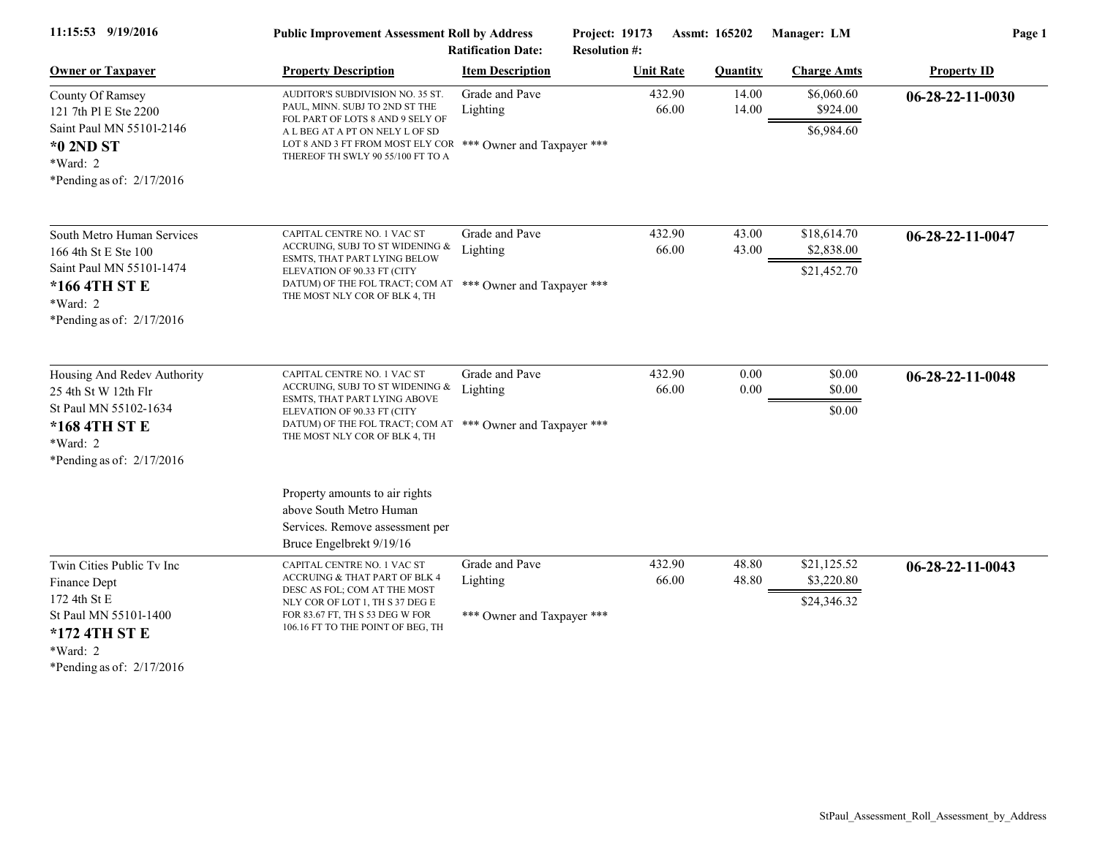| Page 1             | Manager: LM               | <b>Assmt: 165202</b> |                  | Project: 19173<br><b>Ratification Date:</b><br><b>Resolution #:</b> | <b>Public Improvement Assessment Roll by Address</b>                                                                                                         | 11:15:53 9/19/2016                                                                |
|--------------------|---------------------------|----------------------|------------------|---------------------------------------------------------------------|--------------------------------------------------------------------------------------------------------------------------------------------------------------|-----------------------------------------------------------------------------------|
| <b>Property ID</b> | <b>Charge Amts</b>        | <b>Quantity</b>      | <b>Unit Rate</b> | <b>Item Description</b>                                             | <b>Property Description</b>                                                                                                                                  | <b>Owner or Taxpayer</b>                                                          |
| $06-28-22-11-0030$ | \$6,060.60<br>\$924.00    | 14.00<br>14.00       | 432.90<br>66.00  | Grade and Pave<br>Lighting                                          | AUDITOR'S SUBDIVISION NO. 35 ST.<br>PAUL, MINN. SUBJ TO 2ND ST THE<br>FOL PART OF LOTS 8 AND 9 SELY OF                                                       | County Of Ramsey<br>121 7th Pl E Ste 2200                                         |
|                    | \$6,984.60                |                      |                  |                                                                     | A L BEG AT A PT ON NELY L OF SD<br>LOT 8 AND 3 FT FROM MOST ELY COR *** Owner and Taxpayer ***<br>THEREOF TH SWLY 90 55/100 FT TO A                          | Saint Paul MN 55101-2146<br>*0 2ND ST<br>*Ward: 2<br>*Pending as of: $2/17/2016$  |
| 06-28-22-11-0047   | \$18,614.70               | 43.00                | 432.90           | Grade and Pave                                                      | CAPITAL CENTRE NO. 1 VAC ST                                                                                                                                  | South Metro Human Services                                                        |
|                    | \$2,838.00<br>\$21,452.70 | 43.00                | 66.00            | Lighting                                                            | ACCRUING, SUBJ TO ST WIDENING &<br>ESMTS, THAT PART LYING BELOW<br>ELEVATION OF 90.33 FT (CITY<br>DATUM) OF THE FOL TRACT; COM AT *** Owner and Taxpayer *** | 166 4th St E Ste 100<br>Saint Paul MN 55101-1474<br>*166 4TH ST E                 |
|                    |                           |                      |                  |                                                                     | THE MOST NLY COR OF BLK 4, TH                                                                                                                                | *Ward: 2<br>*Pending as of: $2/17/2016$                                           |
| 06-28-22-11-0048   | \$0.00<br>\$0.00          | 0.00<br>0.00         | 432.90<br>66.00  | Grade and Pave<br>Lighting                                          | CAPITAL CENTRE NO. 1 VAC ST<br>ACCRUING, SUBJ TO ST WIDENING &                                                                                               | Housing And Redev Authority                                                       |
|                    | \$0.00                    |                      |                  |                                                                     | ESMTS, THAT PART LYING ABOVE<br>ELEVATION OF 90.33 FT (CITY<br>DATUM) OF THE FOL TRACT; COM AT *** Owner and Taxpayer ***<br>THE MOST NLY COR OF BLK 4, TH   | St Paul MN 55102-1634<br>*168 4TH ST E<br>*Ward: 2<br>*Pending as of: $2/17/2016$ |
|                    |                           |                      |                  |                                                                     | Property amounts to air rights<br>above South Metro Human                                                                                                    |                                                                                   |
|                    |                           |                      |                  |                                                                     | Bruce Engelbrekt 9/19/16                                                                                                                                     |                                                                                   |
| $06-28-22-11-0043$ | \$21,125.52<br>\$3,220.80 | 48.80<br>48.80       | 432.90<br>66.00  | Grade and Pave<br>Lighting                                          | CAPITAL CENTRE NO. 1 VAC ST<br>ACCRUING & THAT PART OF BLK 4                                                                                                 | Twin Cities Public Tv Inc<br>Finance Dept                                         |
|                    | \$24,346.32               |                      |                  | *** Owner and Taxpayer ***                                          | NLY COR OF LOT 1, TH S 37 DEG E<br>FOR 83.67 FT, TH S 53 DEG W FOR<br>106.16 FT TO THE POINT OF BEG, TH                                                      | 172 4th St E<br>St Paul MN 55101-1400<br>*172 4TH ST E<br>*Ward: 2                |
|                    |                           |                      |                  |                                                                     | Services. Remove assessment per<br>DESC AS FOL; COM AT THE MOST                                                                                              | 25 4th St W 12th Flr<br>*Pending as of: $2/17/2016$                               |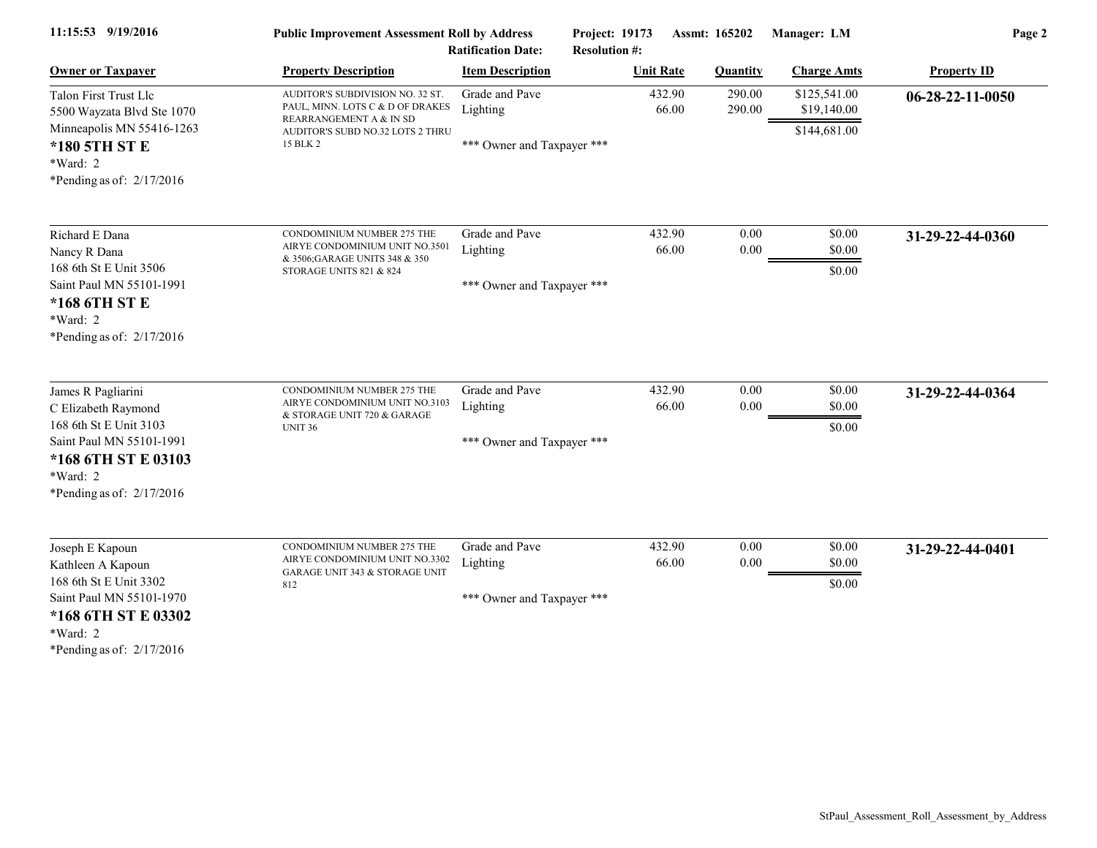| 11:15:53 9/19/2016                                                                                                                                              | <b>Public Improvement Assessment Roll by Address</b><br><b>Ratification Date:</b>                                                               |                                                          | Project: 19173<br>Assmt: 165202<br><b>Resolution #:</b> |                      | Manager: LM                                 | Page 2             |  |
|-----------------------------------------------------------------------------------------------------------------------------------------------------------------|-------------------------------------------------------------------------------------------------------------------------------------------------|----------------------------------------------------------|---------------------------------------------------------|----------------------|---------------------------------------------|--------------------|--|
| <b>Owner or Taxpayer</b>                                                                                                                                        | <b>Property Description</b>                                                                                                                     | <b>Item Description</b>                                  | <b>Unit Rate</b>                                        | <b>Quantity</b>      | <b>Charge Amts</b>                          | <b>Property ID</b> |  |
| Talon First Trust Llc<br>5500 Wayzata Blvd Ste 1070<br>Minneapolis MN 55416-1263<br>*180 5TH ST E<br>*Ward: 2<br>*Pending as of: $2/17/2016$                    | AUDITOR'S SUBDIVISION NO. 32 ST.<br>PAUL, MINN. LOTS C & D OF DRAKES<br>REARRANGEMENT A & IN SD<br>AUDITOR'S SUBD NO.32 LOTS 2 THRU<br>15 BLK 2 | Grade and Pave<br>Lighting<br>*** Owner and Taxpayer *** | 432.90<br>66.00                                         | 290.00<br>290.00     | \$125,541.00<br>\$19,140.00<br>\$144,681.00 | $06-28-22-11-0050$ |  |
| Richard E Dana<br>Nancy R Dana<br>168 6th St E Unit 3506<br>Saint Paul MN 55101-1991<br>*168 6TH ST E<br>*Ward: 2<br>*Pending as of: 2/17/2016                  | CONDOMINIUM NUMBER 275 THE<br>AIRYE CONDOMINIUM UNIT NO.3501<br>& 3506; GARAGE UNITS 348 & 350<br>STORAGE UNITS 821 & 824                       | Grade and Pave<br>Lighting<br>*** Owner and Taxpayer *** | 432.90<br>66.00                                         | $0.00\,$<br>0.00     | \$0.00<br>\$0.00<br>\$0.00                  | 31-29-22-44-0360   |  |
| James R Pagliarini<br>C Elizabeth Raymond<br>168 6th St E Unit 3103<br>Saint Paul MN 55101-1991<br>*168 6TH ST E 03103<br>*Ward: 2<br>*Pending as of: 2/17/2016 | CONDOMINIUM NUMBER 275 THE<br>AIRYE CONDOMINIUM UNIT NO.3103<br>& STORAGE UNIT 720 & GARAGE<br><b>UNIT 36</b>                                   | Grade and Pave<br>Lighting<br>*** Owner and Taxpayer *** | 432.90<br>66.00                                         | $0.00\,$<br>$0.00\,$ | \$0.00<br>\$0.00<br>\$0.00                  | 31-29-22-44-0364   |  |
| Joseph E Kapoun<br>Kathleen A Kapoun<br>168 6th St E Unit 3302<br>Saint Paul MN 55101-1970<br>*168 6TH ST E 03302<br>*Ward: 2<br>*Pending as of: $2/17/2016$    | <b>CONDOMINIUM NUMBER 275 THE</b><br>AIRYE CONDOMINIUM UNIT NO.3302<br><b>GARAGE UNIT 343 &amp; STORAGE UNIT</b><br>812                         | Grade and Pave<br>Lighting<br>*** Owner and Taxpayer *** | 432.90<br>66.00                                         | $0.00\,$<br>0.00     | \$0.00<br>\$0.00<br>\$0.00                  | 31-29-22-44-0401   |  |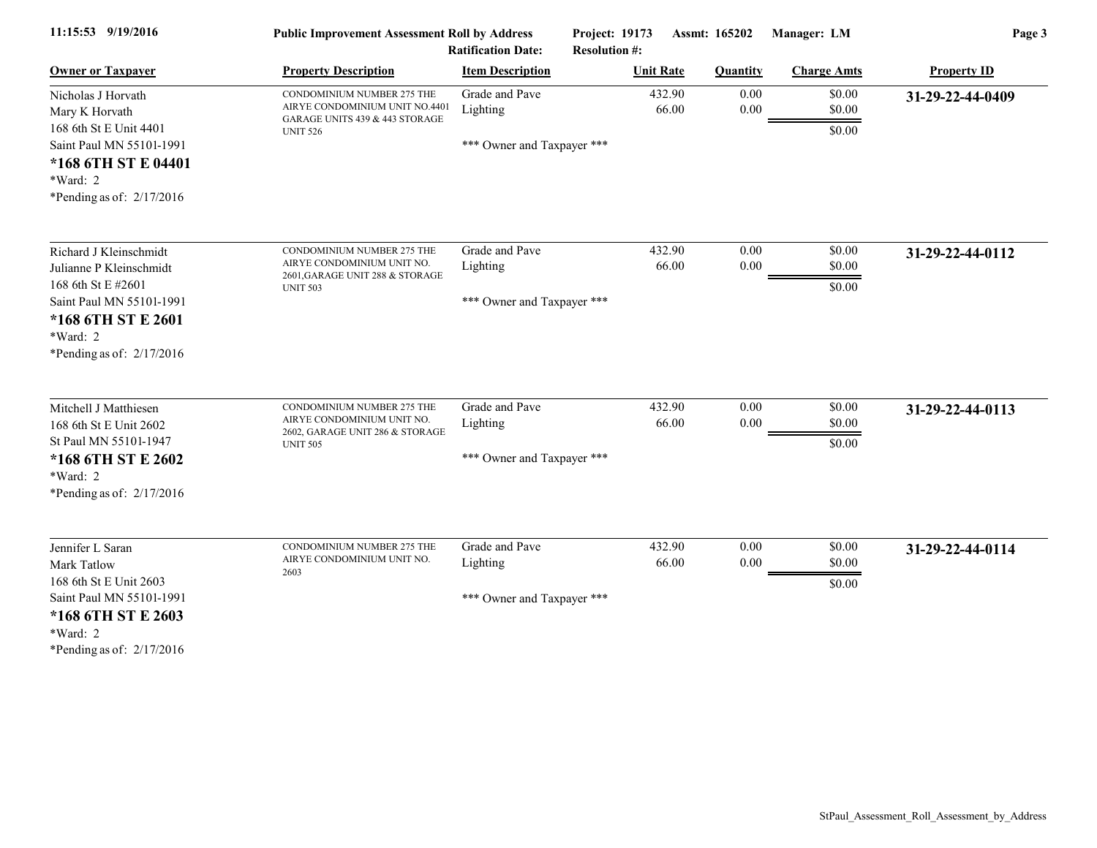| 11:15:53 9/19/2016                                                                                                                                                 | <b>Public Improvement Assessment Roll by Address</b><br><b>Ratification Date:</b>                                        |                                                          | Project: 19173<br>Assmt: 165202<br><b>Resolution #:</b> |                      | Manager: LM                | Page 3             |  |
|--------------------------------------------------------------------------------------------------------------------------------------------------------------------|--------------------------------------------------------------------------------------------------------------------------|----------------------------------------------------------|---------------------------------------------------------|----------------------|----------------------------|--------------------|--|
| <b>Owner or Taxpayer</b>                                                                                                                                           | <b>Property Description</b>                                                                                              | <b>Item Description</b>                                  | <b>Unit Rate</b>                                        | <b>Quantity</b>      | <b>Charge Amts</b>         | <b>Property ID</b> |  |
| Nicholas J Horvath<br>Mary K Horvath<br>168 6th St E Unit 4401<br>Saint Paul MN 55101-1991<br>*168 6TH ST E 04401<br>$*Ward: 2$<br>*Pending as of: $2/17/2016$     | <b>CONDOMINIUM NUMBER 275 THE</b><br>AIRYE CONDOMINIUM UNIT NO.4401<br>GARAGE UNITS 439 & 443 STORAGE<br><b>UNIT 526</b> | Grade and Pave<br>Lighting<br>*** Owner and Taxpayer *** | 432.90<br>66.00                                         | $0.00\,$<br>$0.00\,$ | \$0.00<br>\$0.00<br>\$0.00 | 31-29-22-44-0409   |  |
| Richard J Kleinschmidt<br>Julianne P Kleinschmidt<br>168 6th St E #2601<br>Saint Paul MN 55101-1991<br>*168 6TH ST E 2601<br>*Ward: 2<br>*Pending as of: 2/17/2016 | CONDOMINIUM NUMBER 275 THE<br>AIRYE CONDOMINIUM UNIT NO.<br>2601, GARAGE UNIT 288 & STORAGE<br><b>UNIT 503</b>           | Grade and Pave<br>Lighting<br>*** Owner and Taxpayer *** | 432.90<br>66.00                                         | $0.00\,$<br>0.00     | \$0.00<br>\$0.00<br>\$0.00 | 31-29-22-44-0112   |  |
| Mitchell J Matthiesen<br>168 6th St E Unit 2602<br>St Paul MN 55101-1947<br>*168 6TH ST E 2602<br>*Ward: 2<br>*Pending as of: $2/17/2016$                          | CONDOMINIUM NUMBER 275 THE<br>AIRYE CONDOMINIUM UNIT NO.<br>2602, GARAGE UNIT 286 & STORAGE<br><b>UNIT 505</b>           | Grade and Pave<br>Lighting<br>*** Owner and Taxpayer *** | 432.90<br>66.00                                         | 0.00<br>0.00         | \$0.00<br>\$0.00<br>\$0.00 | 31-29-22-44-0113   |  |
| Jennifer L Saran<br>Mark Tatlow<br>168 6th St E Unit 2603<br>Saint Paul MN 55101-1991<br>*168 6TH ST E 2603<br>*Ward: 2<br>*Pending as of: $2/17/2016$             | CONDOMINIUM NUMBER 275 THE<br>AIRYE CONDOMINIUM UNIT NO.<br>2603                                                         | Grade and Pave<br>Lighting<br>*** Owner and Taxpayer *** | 432.90<br>66.00                                         | 0.00<br>$0.00\,$     | \$0.00<br>\$0.00<br>\$0.00 | 31-29-22-44-0114   |  |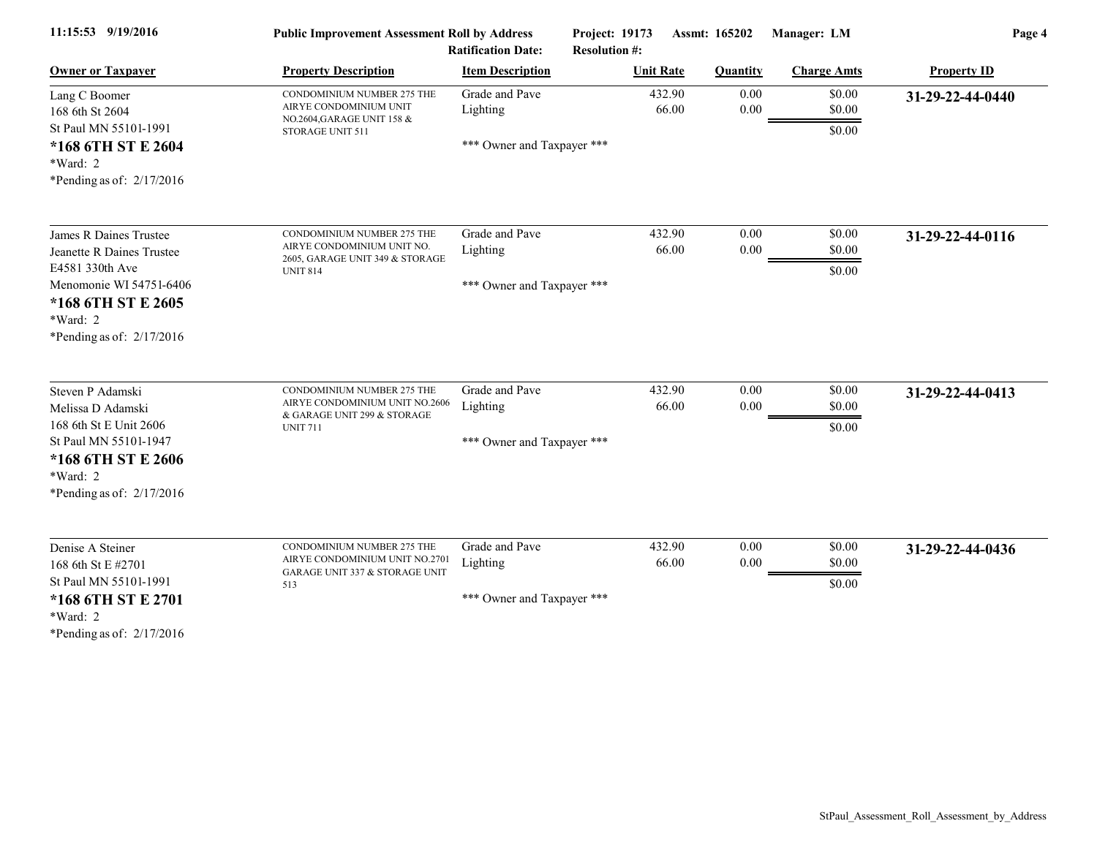| 11:15:53 9/19/2016                                                                                                                                      | <b>Public Improvement Assessment Roll by Address</b><br><b>Ratification Date:</b>                              |                                                          | Project: 19173<br><b>Resolution #:</b> | Manager: LM<br>Assmt: 165202 |                            | Page 4             |  |
|---------------------------------------------------------------------------------------------------------------------------------------------------------|----------------------------------------------------------------------------------------------------------------|----------------------------------------------------------|----------------------------------------|------------------------------|----------------------------|--------------------|--|
| <b>Owner or Taxpayer</b>                                                                                                                                | <b>Property Description</b>                                                                                    | <b>Item Description</b>                                  | <b>Unit Rate</b>                       | <b>Quantity</b>              | <b>Charge Amts</b>         | <b>Property ID</b> |  |
| Lang C Boomer<br>168 6th St 2604<br>St Paul MN 55101-1991                                                                                               | CONDOMINIUM NUMBER 275 THE<br>AIRYE CONDOMINIUM UNIT<br>NO.2604, GARAGE UNIT 158 &                             | Grade and Pave<br>Lighting                               | 432.90<br>66.00                        | 0.00<br>0.00                 | \$0.00<br>\$0.00<br>\$0.00 | 31-29-22-44-0440   |  |
| *168 6TH ST E 2604<br>*Ward: 2<br>*Pending as of: $2/17/2016$                                                                                           | STORAGE UNIT 511                                                                                               | *** Owner and Taxpayer ***                               |                                        |                              |                            |                    |  |
| James R Daines Trustee<br>Jeanette R Daines Trustee<br>E4581 330th Ave                                                                                  | CONDOMINIUM NUMBER 275 THE<br>AIRYE CONDOMINIUM UNIT NO.<br>2605, GARAGE UNIT 349 & STORAGE<br><b>UNIT 814</b> | Grade and Pave<br>Lighting                               | 432.90<br>66.00                        | 0.00<br>0.00                 | \$0.00<br>\$0.00<br>\$0.00 | 31-29-22-44-0116   |  |
| Menomonie WI 54751-6406<br>*168 6TH ST E 2605<br>*Ward: 2<br>*Pending as of: 2/17/2016                                                                  |                                                                                                                | *** Owner and Taxpayer ***                               |                                        |                              |                            |                    |  |
| Steven P Adamski<br>Melissa D Adamski<br>168 6th St E Unit 2606<br>St Paul MN 55101-1947<br>*168 6TH ST E 2606<br>*Ward: 2<br>*Pending as of: 2/17/2016 | CONDOMINIUM NUMBER 275 THE<br>AIRYE CONDOMINIUM UNIT NO.2606<br>& GARAGE UNIT 299 & STORAGE<br><b>UNIT 711</b> | Grade and Pave<br>Lighting<br>*** Owner and Taxpayer *** | 432.90<br>66.00                        | 0.00<br>0.00                 | \$0.00<br>\$0.00<br>\$0.00 | 31-29-22-44-0413   |  |
| Denise A Steiner<br>168 6th St E #2701<br>St Paul MN 55101-1991<br>*168 6TH ST E 2701<br>*Ward: 2<br>*Pending as of: $2/17/2016$                        | CONDOMINIUM NUMBER 275 THE<br>AIRYE CONDOMINIUM UNIT NO.2701<br>GARAGE UNIT 337 & STORAGE UNIT<br>513          | Grade and Pave<br>Lighting<br>*** Owner and Taxpayer *** | 432.90<br>66.00                        | 0.00<br>0.00                 | \$0.00<br>\$0.00<br>\$0.00 | 31-29-22-44-0436   |  |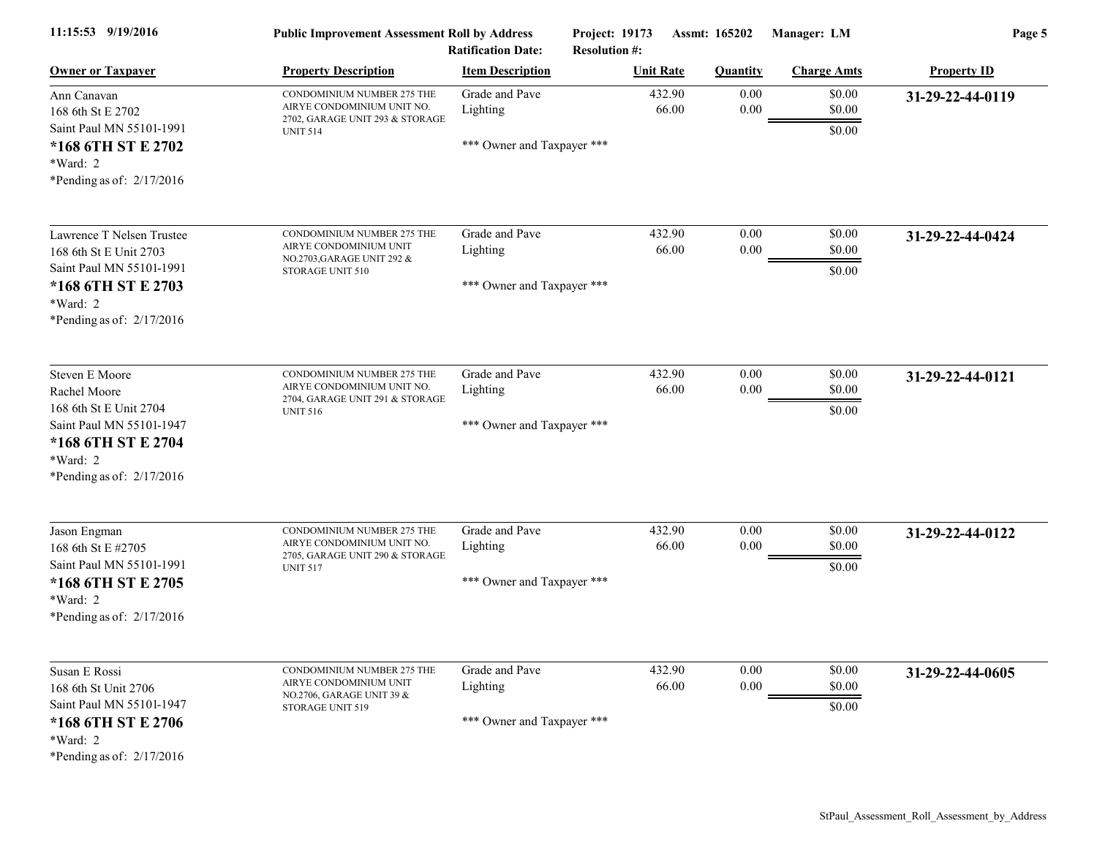| 11:15:53 9/19/2016                                                                                                                                           | <b>Public Improvement Assessment Roll by Address</b><br><b>Ratification Date:</b>                              |                                                          | Assmt: 165202<br>Project: 19173<br><b>Resolution #:</b> |                  | Manager: LM                | Page 5             |  |
|--------------------------------------------------------------------------------------------------------------------------------------------------------------|----------------------------------------------------------------------------------------------------------------|----------------------------------------------------------|---------------------------------------------------------|------------------|----------------------------|--------------------|--|
| <b>Owner or Taxpayer</b>                                                                                                                                     | <b>Property Description</b>                                                                                    | <b>Item Description</b>                                  | <b>Unit Rate</b>                                        | <b>Quantity</b>  | <b>Charge Amts</b>         | <b>Property ID</b> |  |
| Ann Canavan<br>168 6th St E 2702<br>Saint Paul MN 55101-1991                                                                                                 | CONDOMINIUM NUMBER 275 THE<br>AIRYE CONDOMINIUM UNIT NO.<br>2702, GARAGE UNIT 293 & STORAGE<br><b>UNIT 514</b> | Grade and Pave<br>Lighting<br>*** Owner and Taxpayer *** | 432.90<br>66.00                                         | 0.00<br>$0.00\,$ | \$0.00<br>\$0.00<br>\$0.00 | 31-29-22-44-0119   |  |
| *168 6TH ST E 2702<br>*Ward: 2<br>*Pending as of: $2/17/2016$                                                                                                |                                                                                                                |                                                          |                                                         |                  |                            |                    |  |
| Lawrence T Nelsen Trustee<br>168 6th St E Unit 2703<br>Saint Paul MN 55101-1991                                                                              | CONDOMINIUM NUMBER 275 THE<br>AIRYE CONDOMINIUM UNIT<br>NO.2703, GARAGE UNIT 292 &<br>STORAGE UNIT 510         | Grade and Pave<br>Lighting                               | 432.90<br>66.00                                         | 0.00<br>$0.00\,$ | \$0.00<br>\$0.00<br>\$0.00 | 31-29-22-44-0424   |  |
| *168 6TH ST E 2703<br>$*Ward: 2$<br>*Pending as of: $2/17/2016$                                                                                              |                                                                                                                | *** Owner and Taxpayer ***                               |                                                         |                  |                            |                    |  |
| <b>Steven E Moore</b><br>Rachel Moore<br>168 6th St E Unit 2704<br>Saint Paul MN 55101-1947<br>*168 6TH ST E 2704<br>*Ward: 2<br>*Pending as of: $2/17/2016$ | CONDOMINIUM NUMBER 275 THE<br>AIRYE CONDOMINIUM UNIT NO.<br>2704, GARAGE UNIT 291 & STORAGE<br><b>UNIT 516</b> | Grade and Pave<br>Lighting<br>*** Owner and Taxpayer *** | 432.90<br>66.00                                         | 0.00<br>$0.00\,$ | \$0.00<br>\$0.00<br>\$0.00 | 31-29-22-44-0121   |  |
| Jason Engman<br>168 6th St E #2705<br>Saint Paul MN 55101-1991<br>*168 6TH ST E 2705<br>$*Ward: 2$<br>*Pending as of: $2/17/2016$                            | CONDOMINIUM NUMBER 275 THE<br>AIRYE CONDOMINIUM UNIT NO.<br>2705, GARAGE UNIT 290 & STORAGE<br><b>UNIT 517</b> | Grade and Pave<br>Lighting<br>*** Owner and Taxpayer *** | 432.90<br>66.00                                         | 0.00<br>0.00     | \$0.00<br>\$0.00<br>\$0.00 | 31-29-22-44-0122   |  |
| Susan E Rossi<br>168 6th St Unit 2706<br>Saint Paul MN 55101-1947<br>*168 6TH ST E 2706<br>*Ward: 2<br>*Pending as of: $2/17/2016$                           | CONDOMINIUM NUMBER 275 THE<br>AIRYE CONDOMINIUM UNIT<br>NO.2706, GARAGE UNIT 39 &<br>STORAGE UNIT 519          | Grade and Pave<br>Lighting<br>*** Owner and Taxpayer *** | 432.90<br>66.00                                         | 0.00<br>$0.00\,$ | \$0.00<br>\$0.00<br>\$0.00 | 31-29-22-44-0605   |  |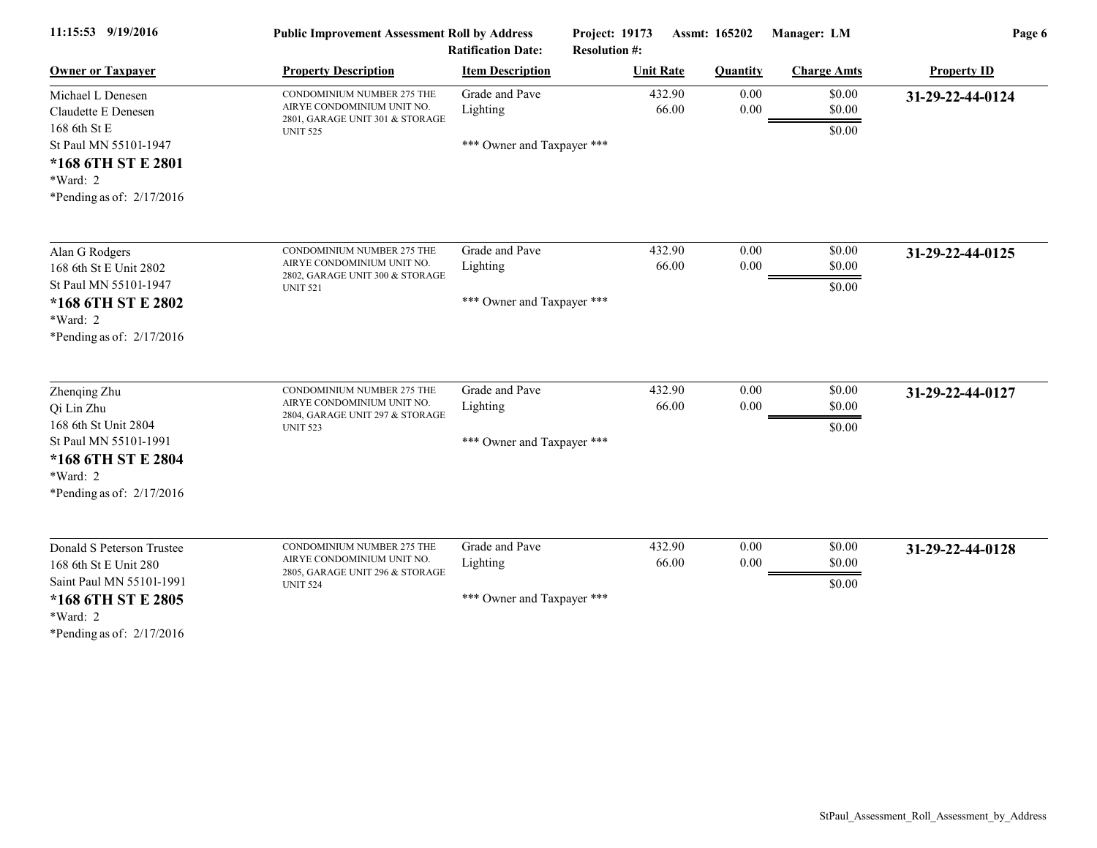| 11:15:53 9/19/2016                                                                                                                                 | <b>Public Improvement Assessment Roll by Address</b><br><b>Ratification Date:</b>                              |                                                          | Project: 19173                           | Assmt: 165202         | Manager: LM                | Page 6             |
|----------------------------------------------------------------------------------------------------------------------------------------------------|----------------------------------------------------------------------------------------------------------------|----------------------------------------------------------|------------------------------------------|-----------------------|----------------------------|--------------------|
| <b>Owner or Taxpayer</b>                                                                                                                           | <b>Property Description</b>                                                                                    | <b>Item Description</b>                                  | <b>Resolution #:</b><br><b>Unit Rate</b> | <b>Quantity</b>       | <b>Charge Amts</b>         | <b>Property ID</b> |
| Michael L Denesen<br>Claudette E Denesen<br>168 6th St E<br>St Paul MN 55101-1947<br>*168 6TH ST E 2801<br>*Ward: 2<br>*Pending as of: $2/17/2016$ | CONDOMINIUM NUMBER 275 THE<br>AIRYE CONDOMINIUM UNIT NO.<br>2801, GARAGE UNIT 301 & STORAGE<br><b>UNIT 525</b> | Grade and Pave<br>Lighting<br>*** Owner and Taxpayer *** | 432.90                                   | 0.00<br>66.00<br>0.00 | \$0.00<br>\$0.00<br>\$0.00 | 31-29-22-44-0124   |
| Alan G Rodgers<br>168 6th St E Unit 2802<br>St Paul MN 55101-1947<br>*168 6TH ST E 2802<br>*Ward: 2<br>*Pending as of: $2/17/2016$                 | CONDOMINIUM NUMBER 275 THE<br>AIRYE CONDOMINIUM UNIT NO.<br>2802, GARAGE UNIT 300 & STORAGE<br><b>UNIT 521</b> | Grade and Pave<br>Lighting<br>*** Owner and Taxpayer *** | 432.90                                   | 0.00<br>66.00<br>0.00 | \$0.00<br>\$0.00<br>\$0.00 | 31-29-22-44-0125   |
| Zhenqing Zhu<br>Qi Lin Zhu<br>168 6th St Unit 2804<br>St Paul MN 55101-1991<br>*168 6TH ST E 2804<br>*Ward: 2<br>*Pending as of: $2/17/2016$       | CONDOMINIUM NUMBER 275 THE<br>AIRYE CONDOMINIUM UNIT NO.<br>2804, GARAGE UNIT 297 & STORAGE<br><b>UNIT 523</b> | Grade and Pave<br>Lighting<br>*** Owner and Taxpayer *** | 432.90                                   | 0.00<br>66.00<br>0.00 | \$0.00<br>\$0.00<br>\$0.00 | 31-29-22-44-0127   |
| Donald S Peterson Trustee<br>168 6th St E Unit 280<br>Saint Paul MN 55101-1991<br>*168 6TH ST E 2805<br>*Ward: 2<br>*Pending as of: 2/17/2016      | CONDOMINIUM NUMBER 275 THE<br>AIRYE CONDOMINIUM UNIT NO.<br>2805, GARAGE UNIT 296 & STORAGE<br><b>UNIT 524</b> | Grade and Pave<br>Lighting<br>*** Owner and Taxpayer *** | 432.90                                   | 0.00<br>0.00<br>66.00 | \$0.00<br>\$0.00<br>\$0.00 | 31-29-22-44-0128   |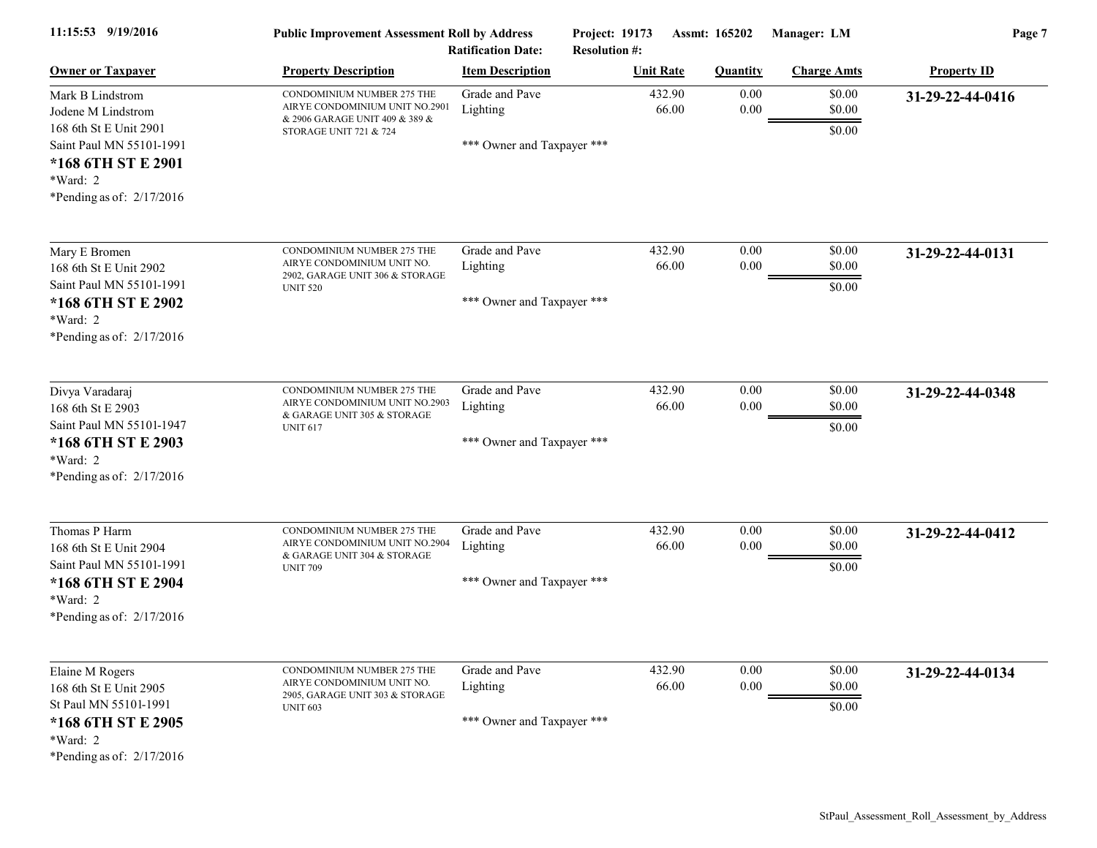| 11:15:53 9/19/2016                                                                                                  | <b>Public Improvement Assessment Roll by Address</b><br><b>Ratification Date:</b>                                        |                                                          | Assmt: 165202<br>Project: 19173<br><b>Resolution #:</b> |                  | Manager: LM                | Page 7             |  |
|---------------------------------------------------------------------------------------------------------------------|--------------------------------------------------------------------------------------------------------------------------|----------------------------------------------------------|---------------------------------------------------------|------------------|----------------------------|--------------------|--|
| <b>Owner or Taxpayer</b>                                                                                            | <b>Property Description</b>                                                                                              | <b>Item Description</b>                                  | <b>Unit Rate</b>                                        | <b>Quantity</b>  | <b>Charge Amts</b>         | <b>Property ID</b> |  |
| Mark B Lindstrom<br>Jodene M Lindstrom<br>168 6th St E Unit 2901<br>Saint Paul MN 55101-1991<br>*168 6TH ST E 2901  | CONDOMINIUM NUMBER 275 THE<br>AIRYE CONDOMINIUM UNIT NO.2901<br>& 2906 GARAGE UNIT 409 & 389 &<br>STORAGE UNIT 721 & 724 | Grade and Pave<br>Lighting<br>*** Owner and Taxpayer *** | 432.90<br>66.00                                         | 0.00<br>$0.00\,$ | \$0.00<br>\$0.00<br>\$0.00 | 31-29-22-44-0416   |  |
| *Ward: 2<br>*Pending as of: $2/17/2016$                                                                             |                                                                                                                          |                                                          |                                                         |                  |                            |                    |  |
| Mary E Bromen<br>168 6th St E Unit 2902<br>Saint Paul MN 55101-1991<br>*168 6TH ST E 2902                           | CONDOMINIUM NUMBER 275 THE<br>AIRYE CONDOMINIUM UNIT NO.<br>2902, GARAGE UNIT 306 & STORAGE<br><b>UNIT 520</b>           | Grade and Pave<br>Lighting<br>*** Owner and Taxpayer *** | 432.90<br>66.00                                         | 0.00<br>0.00     | \$0.00<br>\$0.00<br>\$0.00 | 31-29-22-44-0131   |  |
| *Ward: 2<br>*Pending as of: $2/17/2016$                                                                             |                                                                                                                          |                                                          |                                                         |                  |                            |                    |  |
| Divya Varadaraj<br>168 6th St E 2903                                                                                | CONDOMINIUM NUMBER 275 THE<br>AIRYE CONDOMINIUM UNIT NO.2903<br>& GARAGE UNIT 305 & STORAGE                              | Grade and Pave<br>Lighting                               | 432.90<br>66.00                                         | 0.00<br>$0.00\,$ | \$0.00<br>\$0.00           | 31-29-22-44-0348   |  |
| Saint Paul MN 55101-1947<br>*168 6TH ST E 2903<br>*Ward: 2<br>*Pending as of: $2/17/2016$                           | <b>UNIT 617</b>                                                                                                          | *** Owner and Taxpayer ***                               |                                                         |                  | \$0.00                     |                    |  |
| Thomas P Harm                                                                                                       | CONDOMINIUM NUMBER 275 THE<br>AIRYE CONDOMINIUM UNIT NO.2904                                                             | Grade and Pave<br>Lighting                               | 432.90<br>66.00                                         | 0.00<br>$0.00\,$ | \$0.00<br>\$0.00           | 31-29-22-44-0412   |  |
| 168 6th St E Unit 2904<br>Saint Paul MN 55101-1991<br>*168 6TH ST E 2904<br>*Ward: 2<br>*Pending as of: $2/17/2016$ | & GARAGE UNIT 304 & STORAGE<br><b>UNIT 709</b>                                                                           | *** Owner and Taxpayer ***                               |                                                         |                  | \$0.00                     |                    |  |
| Elaine M Rogers                                                                                                     | CONDOMINIUM NUMBER 275 THE<br>AIRYE CONDOMINIUM UNIT NO.                                                                 | Grade and Pave<br>Lighting                               | 432.90<br>66.00                                         | 0.00<br>$0.00\,$ | \$0.00<br>\$0.00           | 31-29-22-44-0134   |  |
| 168 6th St E Unit 2905<br>St Paul MN 55101-1991<br>*168 6TH ST E 2905<br>*Ward: 2<br>*Pending as of: $2/17/2016$    | 2905, GARAGE UNIT 303 & STORAGE<br><b>UNIT 603</b>                                                                       | *** Owner and Taxpayer ***                               |                                                         |                  | \$0.00                     |                    |  |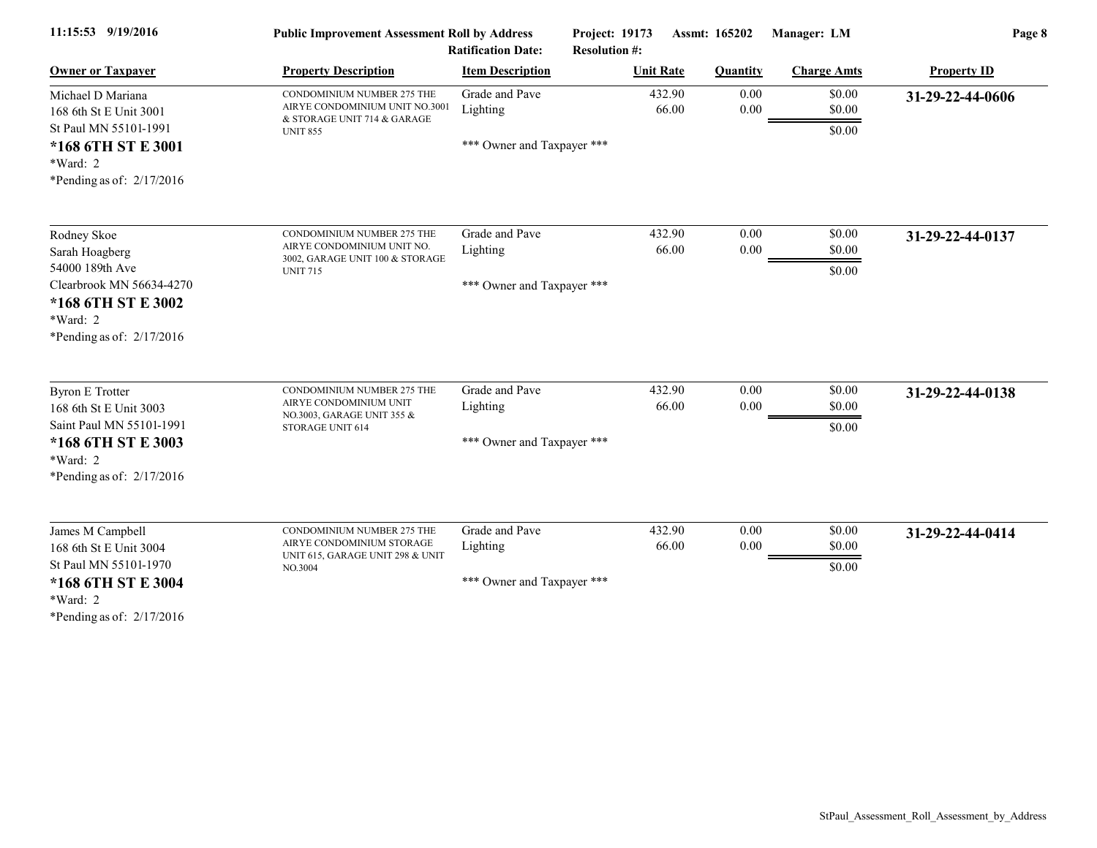| 11:15:53 9/19/2016                                                                                                                            | <b>Public Improvement Assessment Roll by Address</b><br><b>Ratification Date:</b>                              |                                                          | <b>Project: 19173</b><br>Assmt: 165202<br><b>Resolution #:</b> |                  | Manager: LM                | Page 8             |  |
|-----------------------------------------------------------------------------------------------------------------------------------------------|----------------------------------------------------------------------------------------------------------------|----------------------------------------------------------|----------------------------------------------------------------|------------------|----------------------------|--------------------|--|
| <b>Owner or Taxpayer</b>                                                                                                                      | <b>Property Description</b>                                                                                    | <b>Item Description</b>                                  | <b>Unit Rate</b>                                               | <b>Quantity</b>  | <b>Charge Amts</b>         | <b>Property ID</b> |  |
| Michael D Mariana<br>168 6th St E Unit 3001<br>St Paul MN 55101-1991                                                                          | CONDOMINIUM NUMBER 275 THE<br>AIRYE CONDOMINIUM UNIT NO.3001<br>& STORAGE UNIT 714 & GARAGE<br><b>UNIT 855</b> | Grade and Pave<br>Lighting                               | 432.90<br>66.00                                                | 0.00<br>$0.00\,$ | \$0.00<br>\$0.00<br>\$0.00 | 31-29-22-44-0606   |  |
| *168 6TH ST E 3001<br>$*Ward: 2$<br>*Pending as of: $2/17/2016$                                                                               |                                                                                                                | *** Owner and Taxpayer ***                               |                                                                |                  |                            |                    |  |
| Rodney Skoe<br>Sarah Hoagberg<br>54000 189th Ave                                                                                              | CONDOMINIUM NUMBER 275 THE<br>AIRYE CONDOMINIUM UNIT NO.<br>3002, GARAGE UNIT 100 & STORAGE<br><b>UNIT 715</b> | Grade and Pave<br>Lighting                               | 432.90<br>66.00                                                | 0.00<br>0.00     | \$0.00<br>\$0.00<br>\$0.00 | 31-29-22-44-0137   |  |
| Clearbrook MN 56634-4270<br>*168 6TH ST E 3002<br>*Ward: 2<br>*Pending as of: $2/17/2016$                                                     |                                                                                                                | *** Owner and Taxpayer ***                               |                                                                |                  |                            |                    |  |
| <b>Byron E Trotter</b><br>168 6th St E Unit 3003<br>Saint Paul MN 55101-1991<br>*168 6TH ST E 3003<br>*Ward: 2<br>*Pending as of: $2/17/2016$ | CONDOMINIUM NUMBER 275 THE<br>AIRYE CONDOMINIUM UNIT<br>NO.3003, GARAGE UNIT 355 &<br>STORAGE UNIT 614         | Grade and Pave<br>Lighting<br>*** Owner and Taxpayer *** | 432.90<br>66.00                                                | 0.00<br>0.00     | \$0.00<br>\$0.00<br>\$0.00 | 31-29-22-44-0138   |  |
| James M Campbell<br>168 6th St E Unit 3004<br>St Paul MN 55101-1970<br>*168 6TH ST E 3004<br>*Ward: 2<br>*Pending as of: 2/17/2016            | CONDOMINIUM NUMBER 275 THE<br>AIRYE CONDOMINIUM STORAGE<br>UNIT 615, GARAGE UNIT 298 & UNIT<br>NO.3004         | Grade and Pave<br>Lighting<br>*** Owner and Taxpayer *** | 432.90<br>66.00                                                | 0.00<br>0.00     | \$0.00<br>\$0.00<br>\$0.00 | 31-29-22-44-0414   |  |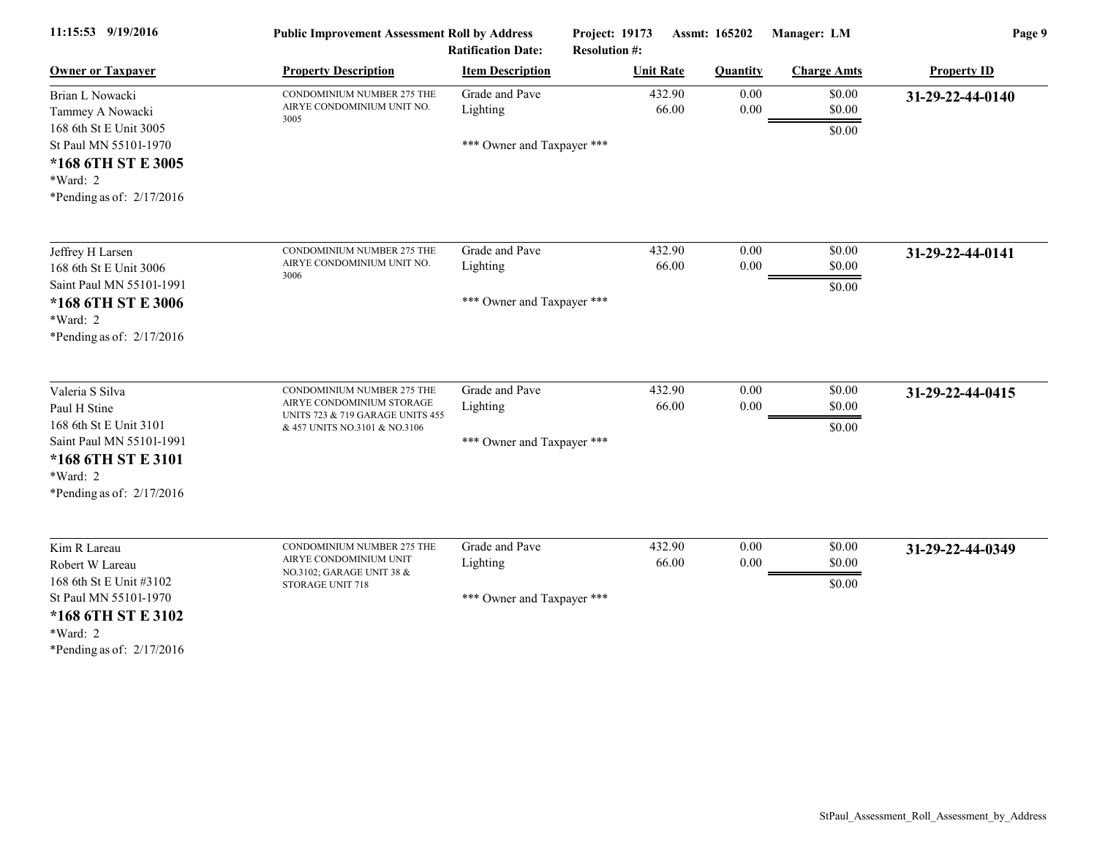| 11:15:53 9/19/2016                                                                        | <b>Public Improvement Assessment Roll by Address</b><br><b>Ratification Date:</b>              |                            | Project: 19173<br><b>Resolution #:</b> | Assmt: 165202<br>Manager: LM |                            | Page 9             |  |
|-------------------------------------------------------------------------------------------|------------------------------------------------------------------------------------------------|----------------------------|----------------------------------------|------------------------------|----------------------------|--------------------|--|
| <b>Owner or Taxpayer</b>                                                                  | <b>Property Description</b>                                                                    | <b>Item Description</b>    | <b>Unit Rate</b>                       | <b>Quantity</b>              | <b>Charge Amts</b>         | <b>Property ID</b> |  |
| Brian L Nowacki<br>Tammey A Nowacki<br>168 6th St E Unit 3005                             | CONDOMINIUM NUMBER 275 THE<br>AIRYE CONDOMINIUM UNIT NO.<br>3005                               | Grade and Pave<br>Lighting | 432.90<br>66.00                        | 0.00<br>$0.00\,$             | \$0.00<br>\$0.00<br>\$0.00 | 31-29-22-44-0140   |  |
| St Paul MN 55101-1970<br>*168 6TH ST E 3005<br>*Ward: 2<br>*Pending as of: 2/17/2016      |                                                                                                | *** Owner and Taxpayer *** |                                        |                              |                            |                    |  |
| Jeffrey H Larsen                                                                          | CONDOMINIUM NUMBER 275 THE                                                                     | Grade and Pave             | 432.90                                 | 0.00                         | \$0.00                     | 31-29-22-44-0141   |  |
| 168 6th St E Unit 3006<br>Saint Paul MN 55101-1991                                        | AIRYE CONDOMINIUM UNIT NO.<br>3006                                                             | Lighting                   | 66.00                                  | $0.00\,$                     | \$0.00<br>\$0.00           |                    |  |
| *168 6TH ST E 3006<br>*Ward: 2<br>*Pending as of: $2/17/2016$                             |                                                                                                | *** Owner and Taxpayer *** |                                        |                              |                            |                    |  |
| Valeria S Silva                                                                           | CONDOMINIUM NUMBER 275 THE                                                                     | Grade and Pave             | 432.90                                 | 0.00                         | \$0.00                     | 31-29-22-44-0415   |  |
| Paul H Stine<br>168 6th St E Unit 3101                                                    | AIRYE CONDOMINIUM STORAGE<br>UNITS 723 & 719 GARAGE UNITS 455<br>& 457 UNITS NO.3101 & NO.3106 | Lighting                   | 66.00                                  | 0.00                         | \$0.00<br>\$0.00           |                    |  |
| Saint Paul MN 55101-1991<br>*168 6TH ST E 3101<br>*Ward: 2<br>*Pending as of: $2/17/2016$ |                                                                                                | *** Owner and Taxpayer *** |                                        |                              |                            |                    |  |
| Kim R Lareau                                                                              | CONDOMINIUM NUMBER 275 THE<br>AIRYE CONDOMINIUM UNIT                                           | Grade and Pave             | 432.90                                 | 0.00                         | \$0.00                     | 31-29-22-44-0349   |  |
| Robert W Lareau<br>168 6th St E Unit #3102                                                | NO.3102; GARAGE UNIT 38 &<br>STORAGE UNIT 718                                                  | Lighting                   | 66.00                                  | 0.00                         | \$0.00<br>\$0.00           |                    |  |
| St Paul MN 55101-1970<br>*168 6TH ST E 3102<br>*Ward: 2<br>*Pending as of: $2/17/2016$    |                                                                                                | *** Owner and Taxpayer *** |                                        |                              |                            |                    |  |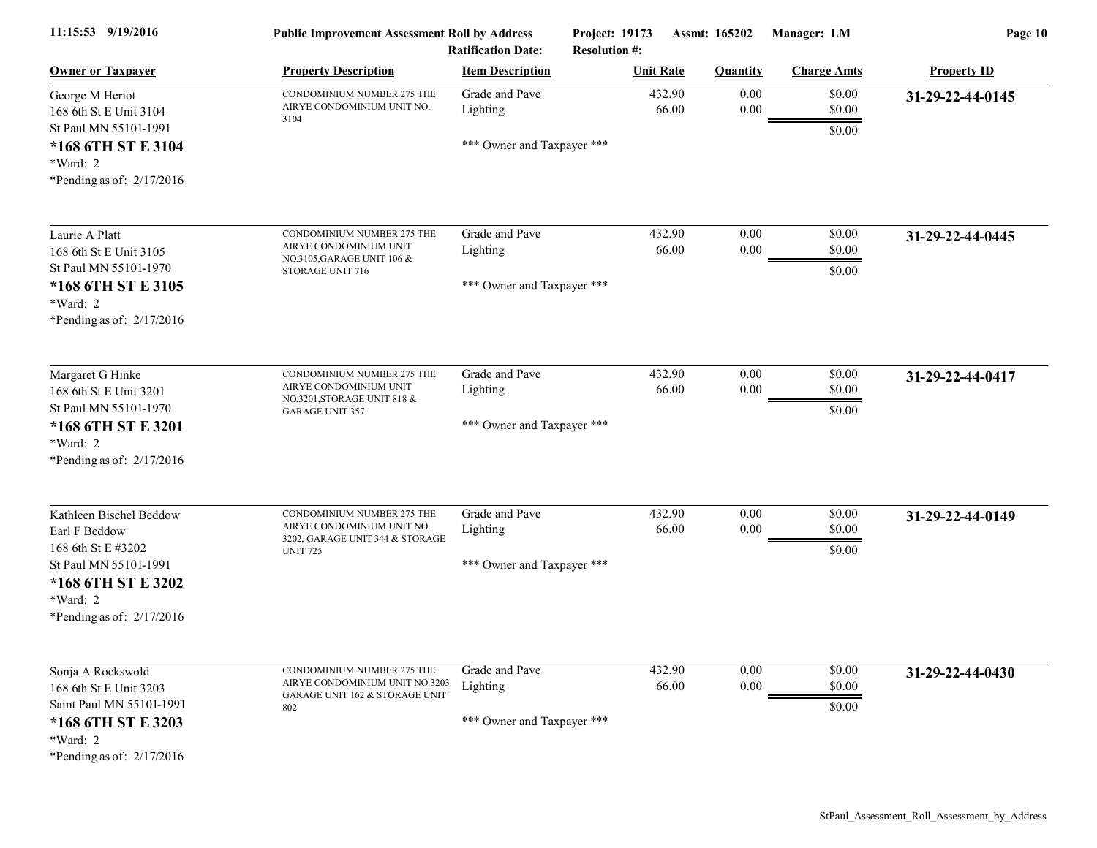| 11:15:53 9/19/2016                                                                                                                                       | <b>Public Improvement Assessment Roll by Address</b><br><b>Ratification Date:</b>                              |                                                          | <b>Project: 19173</b><br><b>Resolution #:</b> | Assmt: 165202<br>Manager: LM |                            | Page 10            |  |
|----------------------------------------------------------------------------------------------------------------------------------------------------------|----------------------------------------------------------------------------------------------------------------|----------------------------------------------------------|-----------------------------------------------|------------------------------|----------------------------|--------------------|--|
| <b>Owner or Taxpayer</b>                                                                                                                                 | <b>Property Description</b>                                                                                    | <b>Item Description</b>                                  | <b>Unit Rate</b>                              | <b>Quantity</b>              | <b>Charge Amts</b>         | <b>Property ID</b> |  |
| George M Heriot<br>168 6th St E Unit 3104<br>St Paul MN 55101-1991<br>*168 6TH ST E 3104<br>*Ward: 2<br>*Pending as of: $2/17/2016$                      | CONDOMINIUM NUMBER 275 THE<br>AIRYE CONDOMINIUM UNIT NO.<br>3104                                               | Grade and Pave<br>Lighting<br>*** Owner and Taxpayer *** | 432.90<br>66.00                               | 0.00<br>$0.00\,$             | \$0.00<br>\$0.00<br>\$0.00 | 31-29-22-44-0145   |  |
| Laurie A Platt<br>168 6th St E Unit 3105<br>St Paul MN 55101-1970<br>*168 6TH ST E 3105<br>*Ward: 2<br>*Pending as of: $2/17/2016$                       | CONDOMINIUM NUMBER 275 THE<br>AIRYE CONDOMINIUM UNIT<br>NO.3105, GARAGE UNIT 106 &<br>STORAGE UNIT 716         | Grade and Pave<br>Lighting<br>*** Owner and Taxpayer *** | 432.90<br>66.00                               | 0.00<br>0.00                 | \$0.00<br>\$0.00<br>\$0.00 | 31-29-22-44-0445   |  |
| Margaret G Hinke<br>168 6th St E Unit 3201<br>St Paul MN 55101-1970<br>*168 6TH ST E 3201<br>*Ward: 2<br>*Pending as of: $2/17/2016$                     | CONDOMINIUM NUMBER 275 THE<br>AIRYE CONDOMINIUM UNIT<br>NO.3201, STORAGE UNIT 818 &<br><b>GARAGE UNIT 357</b>  | Grade and Pave<br>Lighting<br>*** Owner and Taxpayer *** | 432.90<br>66.00                               | 0.00<br>$0.00\,$             | \$0.00<br>\$0.00<br>\$0.00 | 31-29-22-44-0417   |  |
| Kathleen Bischel Beddow<br>Earl F Beddow<br>168 6th St E #3202<br>St Paul MN 55101-1991<br>*168 6TH ST E 3202<br>*Ward: 2<br>*Pending as of: $2/17/2016$ | CONDOMINIUM NUMBER 275 THE<br>AIRYE CONDOMINIUM UNIT NO.<br>3202, GARAGE UNIT 344 & STORAGE<br><b>UNIT 725</b> | Grade and Pave<br>Lighting<br>*** Owner and Taxpayer *** | 432.90<br>66.00                               | 0.00<br>$0.00\,$             | \$0.00<br>\$0.00<br>\$0.00 | 31-29-22-44-0149   |  |
| Sonja A Rockswold<br>168 6th St E Unit 3203<br>Saint Paul MN 55101-1991<br>*168 6TH ST E 3203<br>*Ward: 2<br>*Pending as of: $2/17/2016$                 | CONDOMINIUM NUMBER 275 THE<br>AIRYE CONDOMINIUM UNIT NO.3203<br>GARAGE UNIT 162 & STORAGE UNIT<br>802          | Grade and Pave<br>Lighting<br>*** Owner and Taxpayer *** | 432.90<br>66.00                               | $0.00\,$<br>$0.00\,$         | \$0.00<br>\$0.00<br>\$0.00 | 31-29-22-44-0430   |  |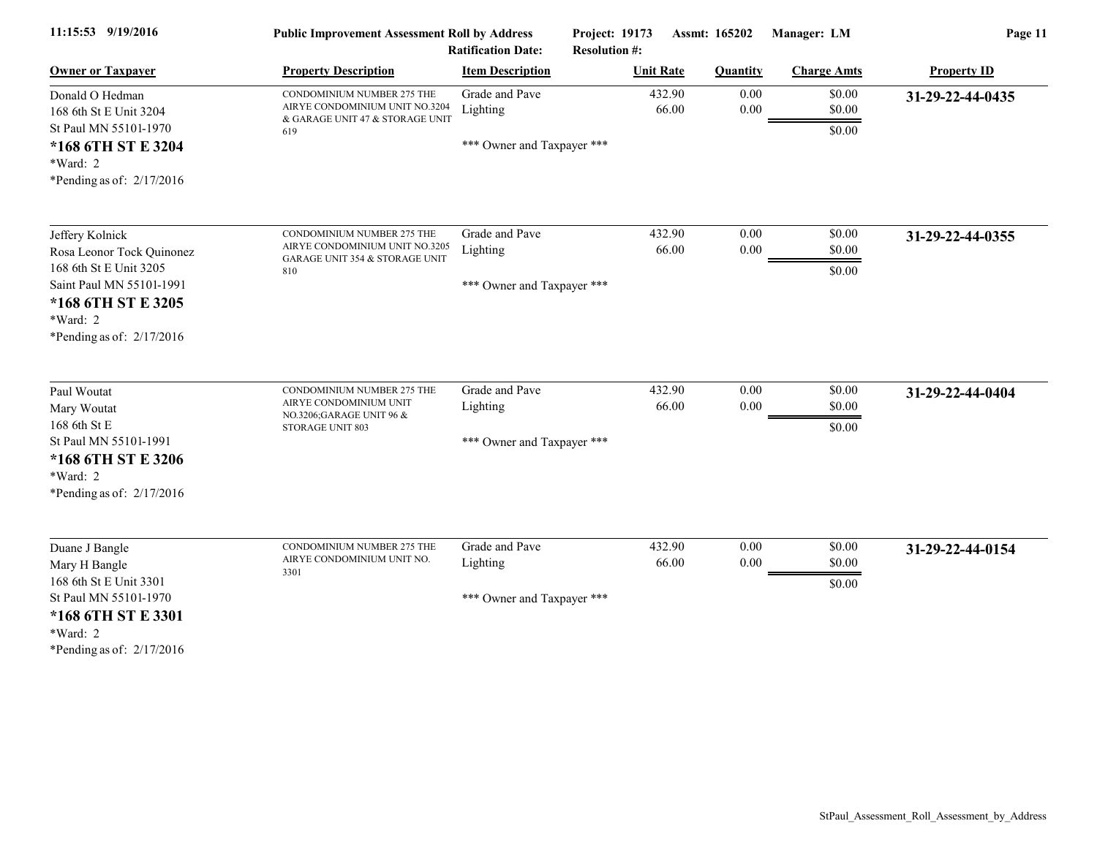| 11:15:53 9/19/2016                                                                                                                                                  | <b>Public Improvement Assessment Roll by Address</b><br><b>Ratification Date:</b>                      |                                                          | Project: 19173<br>Assmt: 165202<br><b>Resolution #:</b> |                  | Manager: LM                | Page 11            |  |
|---------------------------------------------------------------------------------------------------------------------------------------------------------------------|--------------------------------------------------------------------------------------------------------|----------------------------------------------------------|---------------------------------------------------------|------------------|----------------------------|--------------------|--|
| <b>Owner or Taxpayer</b>                                                                                                                                            | <b>Property Description</b>                                                                            | <b>Item Description</b>                                  | <b>Unit Rate</b>                                        | <b>Quantity</b>  | <b>Charge Amts</b>         | <b>Property ID</b> |  |
| Donald O Hedman<br>168 6th St E Unit 3204<br>St Paul MN 55101-1970<br>*168 6TH ST E 3204<br>*Ward: 2<br>*Pending as of: $2/17/2016$                                 | CONDOMINIUM NUMBER 275 THE<br>AIRYE CONDOMINIUM UNIT NO.3204<br>& GARAGE UNIT 47 & STORAGE UNIT<br>619 | Grade and Pave<br>Lighting<br>*** Owner and Taxpayer *** | 432.90<br>66.00                                         | 0.00<br>$0.00\,$ | \$0.00<br>\$0.00<br>\$0.00 | 31-29-22-44-0435   |  |
| Jeffery Kolnick<br>Rosa Leonor Tock Quinonez<br>168 6th St E Unit 3205<br>Saint Paul MN 55101-1991<br>*168 6TH ST E 3205<br>*Ward: 2<br>*Pending as of: $2/17/2016$ | CONDOMINIUM NUMBER 275 THE<br>AIRYE CONDOMINIUM UNIT NO.3205<br>GARAGE UNIT 354 & STORAGE UNIT<br>810  | Grade and Pave<br>Lighting<br>*** Owner and Taxpayer *** | 432.90<br>66.00                                         | 0.00<br>$0.00\,$ | \$0.00<br>\$0.00<br>\$0.00 | 31-29-22-44-0355   |  |
| Paul Woutat<br>Mary Woutat<br>168 6th St E<br>St Paul MN 55101-1991<br>*168 6TH ST E 3206<br>*Ward: 2<br>*Pending as of: 2/17/2016                                  | CONDOMINIUM NUMBER 275 THE<br>AIRYE CONDOMINIUM UNIT<br>NO.3206;GARAGE UNIT 96 &<br>STORAGE UNIT 803   | Grade and Pave<br>Lighting<br>*** Owner and Taxpayer *** | 432.90<br>66.00                                         | 0.00<br>0.00     | \$0.00<br>\$0.00<br>\$0.00 | 31-29-22-44-0404   |  |
| Duane J Bangle<br>Mary H Bangle<br>168 6th St E Unit 3301<br>St Paul MN 55101-1970<br>*168 6TH ST E 3301<br>*Ward: 2<br>*Pending as of: $2/17/2016$                 | CONDOMINIUM NUMBER 275 THE<br>AIRYE CONDOMINIUM UNIT NO.<br>3301                                       | Grade and Pave<br>Lighting<br>*** Owner and Taxpayer *** | 432.90<br>66.00                                         | 0.00<br>$0.00\,$ | \$0.00<br>\$0.00<br>\$0.00 | 31-29-22-44-0154   |  |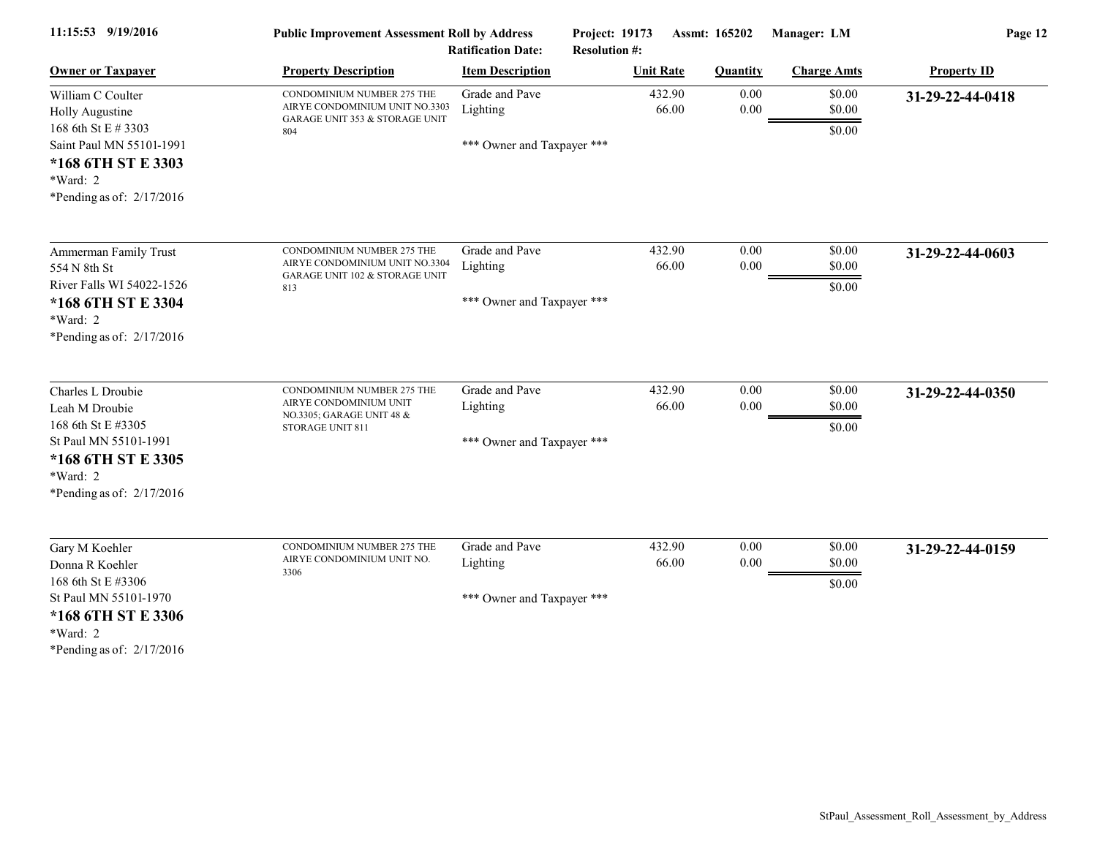| 11:15:53 9/19/2016                                                                                                                                       | <b>Public Improvement Assessment Roll by Address</b><br><b>Ratification Date:</b>                     |                                                          | Project: 19173<br><b>Resolution #:</b> | Assmt: 165202<br>Manager: LM |                            | Page 12            |  |
|----------------------------------------------------------------------------------------------------------------------------------------------------------|-------------------------------------------------------------------------------------------------------|----------------------------------------------------------|----------------------------------------|------------------------------|----------------------------|--------------------|--|
| <b>Owner or Taxpayer</b>                                                                                                                                 | <b>Property Description</b>                                                                           | <b>Item Description</b>                                  | <b>Unit Rate</b>                       | <b>Quantity</b>              | <b>Charge Amts</b>         | <b>Property ID</b> |  |
| William C Coulter<br>Holly Augustine<br>168 6th St E # 3303<br>Saint Paul MN 55101-1991<br>*168 6TH ST E 3303<br>*Ward: 2<br>*Pending as of: $2/17/2016$ | CONDOMINIUM NUMBER 275 THE<br>AIRYE CONDOMINIUM UNIT NO.3303<br>GARAGE UNIT 353 & STORAGE UNIT<br>804 | Grade and Pave<br>Lighting<br>*** Owner and Taxpayer *** | 432.90<br>66.00                        | 0.00<br>0.00                 | \$0.00<br>\$0.00<br>\$0.00 | 31-29-22-44-0418   |  |
| Ammerman Family Trust<br>554 N 8th St<br>River Falls WI 54022-1526<br>*168 6TH ST E 3304<br>*Ward: 2<br>*Pending as of: $2/17/2016$                      | CONDOMINIUM NUMBER 275 THE<br>AIRYE CONDOMINIUM UNIT NO.3304<br>GARAGE UNIT 102 & STORAGE UNIT<br>813 | Grade and Pave<br>Lighting<br>*** Owner and Taxpayer *** | 432.90<br>66.00                        | 0.00<br>$0.00\,$             | \$0.00<br>\$0.00<br>\$0.00 | 31-29-22-44-0603   |  |
| Charles L Droubie<br>Leah M Droubie<br>168 6th St E #3305<br>St Paul MN 55101-1991<br>*168 6TH ST E 3305<br>*Ward: 2<br>*Pending as of: $2/17/2016$      | CONDOMINIUM NUMBER 275 THE<br>AIRYE CONDOMINIUM UNIT<br>NO.3305; GARAGE UNIT 48 &<br>STORAGE UNIT 811 | Grade and Pave<br>Lighting<br>*** Owner and Taxpayer *** | 432.90<br>66.00                        | 0.00<br>0.00                 | \$0.00<br>\$0.00<br>\$0.00 | 31-29-22-44-0350   |  |
| Gary M Koehler<br>Donna R Koehler<br>168 6th St E #3306<br>St Paul MN 55101-1970<br>*168 6TH ST E 3306<br>*Ward: 2<br>*Pending as of: $2/17/2016$        | CONDOMINIUM NUMBER 275 THE<br>AIRYE CONDOMINIUM UNIT NO.<br>3306                                      | Grade and Pave<br>Lighting<br>*** Owner and Taxpayer *** | 432.90<br>66.00                        | 0.00<br>0.00                 | \$0.00<br>\$0.00<br>\$0.00 | 31-29-22-44-0159   |  |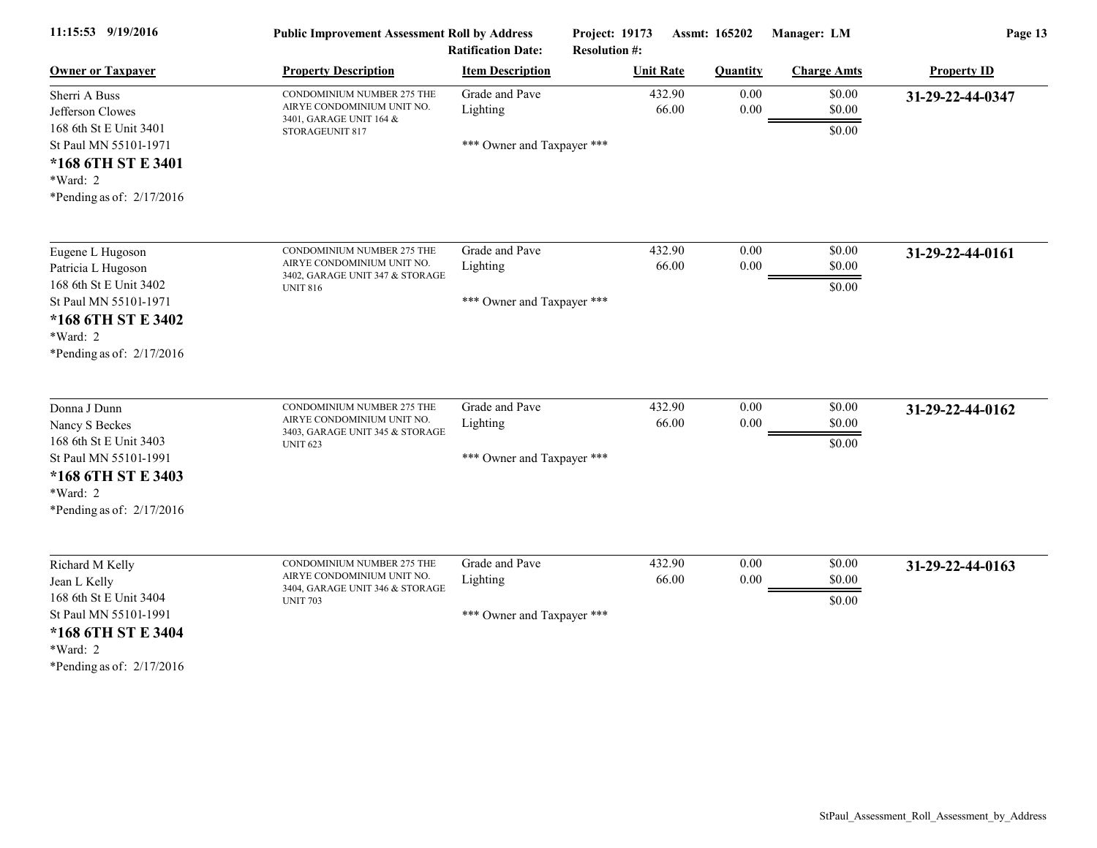| 11:15:53 9/19/2016                                                                                                                                       | <b>Public Improvement Assessment Roll by Address</b><br><b>Ratification Date:</b>                              |                                                          | <b>Project: 19173</b><br><b>Resolution #:</b> | Assmt: 165202    | Manager: LM                | Page 13            |
|----------------------------------------------------------------------------------------------------------------------------------------------------------|----------------------------------------------------------------------------------------------------------------|----------------------------------------------------------|-----------------------------------------------|------------------|----------------------------|--------------------|
| <b>Owner or Taxpayer</b>                                                                                                                                 | <b>Property Description</b>                                                                                    | <b>Item Description</b>                                  | <b>Unit Rate</b>                              | <b>Quantity</b>  | <b>Charge Amts</b>         | <b>Property ID</b> |
| Sherri A Buss<br>Jefferson Clowes<br>168 6th St E Unit 3401<br>St Paul MN 55101-1971<br>*168 6TH ST E 3401<br>*Ward: 2<br>*Pending as of: $2/17/2016$    | CONDOMINIUM NUMBER 275 THE<br>AIRYE CONDOMINIUM UNIT NO.<br>3401, GARAGE UNIT 164 &<br>STORAGEUNIT 817         | Grade and Pave<br>Lighting<br>*** Owner and Taxpayer *** | 432.90<br>66.00                               | 0.00<br>0.00     | \$0.00<br>\$0.00<br>\$0.00 | 31-29-22-44-0347   |
| Eugene L Hugoson<br>Patricia L Hugoson<br>168 6th St E Unit 3402<br>St Paul MN 55101-1971<br>*168 6TH ST E 3402<br>*Ward: 2<br>*Pending as of: 2/17/2016 | CONDOMINIUM NUMBER 275 THE<br>AIRYE CONDOMINIUM UNIT NO.<br>3402, GARAGE UNIT 347 & STORAGE<br><b>UNIT 816</b> | Grade and Pave<br>Lighting<br>*** Owner and Taxpayer *** | 432.90<br>66.00                               | 0.00<br>$0.00\,$ | \$0.00<br>\$0.00<br>\$0.00 | 31-29-22-44-0161   |
| Donna J Dunn<br>Nancy S Beckes<br>168 6th St E Unit 3403<br>St Paul MN 55101-1991<br>*168 6TH ST E 3403<br>*Ward: 2<br>*Pending as of: 2/17/2016         | CONDOMINIUM NUMBER 275 THE<br>AIRYE CONDOMINIUM UNIT NO.<br>3403, GARAGE UNIT 345 & STORAGE<br><b>UNIT 623</b> | Grade and Pave<br>Lighting<br>*** Owner and Taxpayer *** | 432.90<br>66.00                               | 0.00<br>$0.00\,$ | \$0.00<br>\$0.00<br>\$0.00 | 31-29-22-44-0162   |
| Richard M Kelly<br>Jean L Kelly<br>168 6th St E Unit 3404<br>St Paul MN 55101-1991<br>*168 6TH ST E 3404<br>*Ward: 2<br>*Pending as of: $2/17/2016$      | CONDOMINIUM NUMBER 275 THE<br>AIRYE CONDOMINIUM UNIT NO.<br>3404, GARAGE UNIT 346 & STORAGE<br><b>UNIT 703</b> | Grade and Pave<br>Lighting<br>*** Owner and Taxpayer *** | 432.90<br>66.00                               | 0.00<br>$0.00\,$ | \$0.00<br>\$0.00<br>\$0.00 | 31-29-22-44-0163   |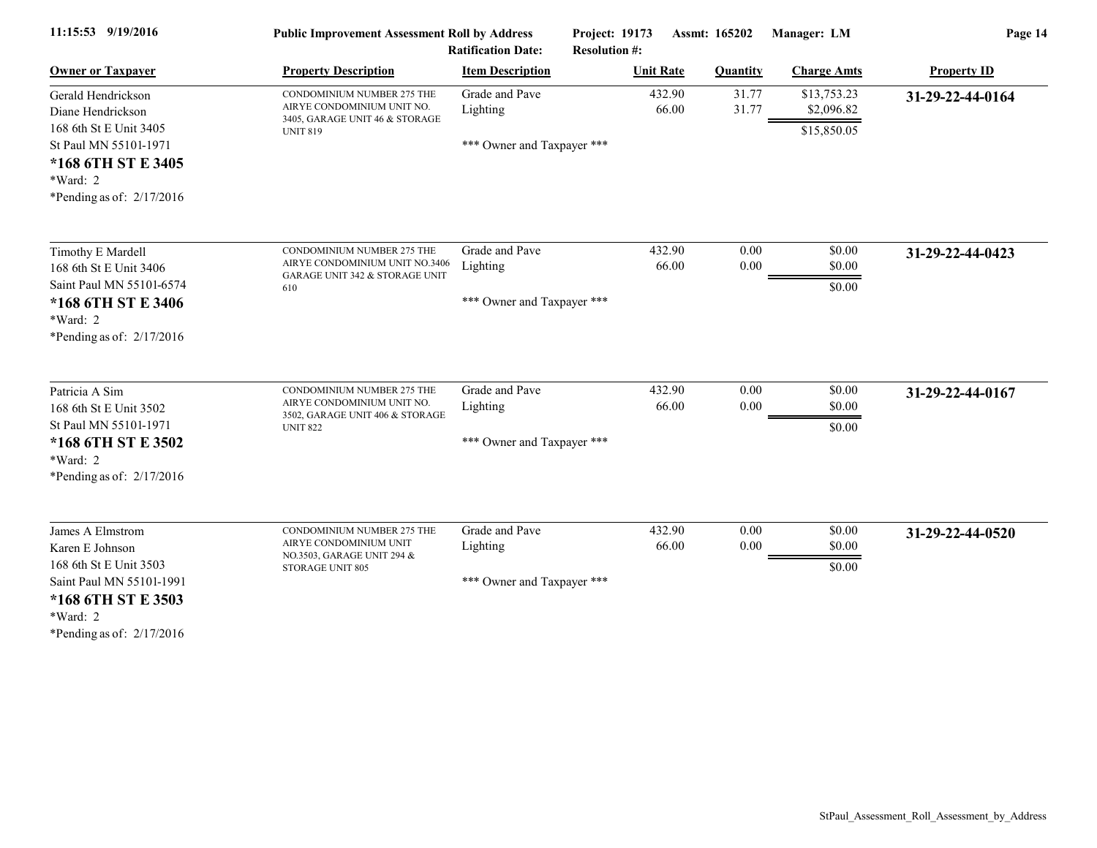| 11:15:53 9/19/2016                                                                                                                                                                                               | <b>Public Improvement Assessment Roll by Address</b><br><b>Ratification Date:</b>                              |                                                          | <b>Project: 19173</b><br>Assmt: 165202<br><b>Resolution #:</b> |                  | Manager: LM                | Page 14            |  |
|------------------------------------------------------------------------------------------------------------------------------------------------------------------------------------------------------------------|----------------------------------------------------------------------------------------------------------------|----------------------------------------------------------|----------------------------------------------------------------|------------------|----------------------------|--------------------|--|
| <b>Owner or Taxpayer</b>                                                                                                                                                                                         | <b>Property Description</b>                                                                                    | <b>Item Description</b>                                  | <b>Unit Rate</b>                                               | <b>Quantity</b>  | <b>Charge Amts</b>         | <b>Property ID</b> |  |
| Gerald Hendrickson<br>Diane Hendrickson<br>168 6th St E Unit 3405                                                                                                                                                | CONDOMINIUM NUMBER 275 THE<br>AIRYE CONDOMINIUM UNIT NO.<br>3405, GARAGE UNIT 46 & STORAGE                     | Grade and Pave<br>Lighting                               | 432.90<br>66.00                                                | 31.77<br>31.77   | \$13,753.23<br>\$2,096.82  | 31-29-22-44-0164   |  |
| St Paul MN 55101-1971<br>*168 6TH ST E 3405<br>$*Ward: 2$<br>*Pending as of: $2/17/2016$                                                                                                                         | <b>UNIT 819</b>                                                                                                | *** Owner and Taxpayer ***                               |                                                                |                  | \$15,850.05                |                    |  |
| Timothy E Mardell<br>168 6th St E Unit 3406<br>Saint Paul MN 55101-6574                                                                                                                                          | CONDOMINIUM NUMBER 275 THE<br>AIRYE CONDOMINIUM UNIT NO.3406<br>GARAGE UNIT 342 & STORAGE UNIT<br>610          | Grade and Pave<br>Lighting                               | 432.90<br>66.00                                                | 0.00<br>0.00     | \$0.00<br>\$0.00<br>\$0.00 | 31-29-22-44-0423   |  |
| *168 6TH ST E 3406<br>*Ward: 2<br>*Pending as of: $2/17/2016$                                                                                                                                                    |                                                                                                                | *** Owner and Taxpayer ***                               |                                                                |                  |                            |                    |  |
| Patricia A Sim<br>168 6th St E Unit 3502<br>St Paul MN 55101-1971<br>*168 6TH ST E 3502<br>$*Ward: 2$<br>*Pending as of: $2/17/2016$                                                                             | CONDOMINIUM NUMBER 275 THE<br>AIRYE CONDOMINIUM UNIT NO.<br>3502, GARAGE UNIT 406 & STORAGE<br><b>UNIT 822</b> | Grade and Pave<br>Lighting<br>*** Owner and Taxpayer *** | 432.90<br>66.00                                                | 0.00<br>0.00     | \$0.00<br>\$0.00<br>\$0.00 | 31-29-22-44-0167   |  |
| James A Elmstrom<br>Karen E Johnson<br>168 6th St E Unit 3503<br>Saint Paul MN 55101-1991<br>*168 6TH ST E 3503<br>*Ward: 2<br>$*D_{21}$ $\ldots$ $\ldots$ $\ldots$ $\ldots$ $\ldots$ $\ldots$ $\ldots$ $\ldots$ | CONDOMINIUM NUMBER 275 THE<br>AIRYE CONDOMINIUM UNIT<br>NO.3503, GARAGE UNIT 294 &<br>STORAGE UNIT 805         | Grade and Pave<br>Lighting<br>*** Owner and Taxpayer *** | 432.90<br>66.00                                                | 0.00<br>$0.00\,$ | \$0.00<br>\$0.00<br>\$0.00 | 31-29-22-44-0520   |  |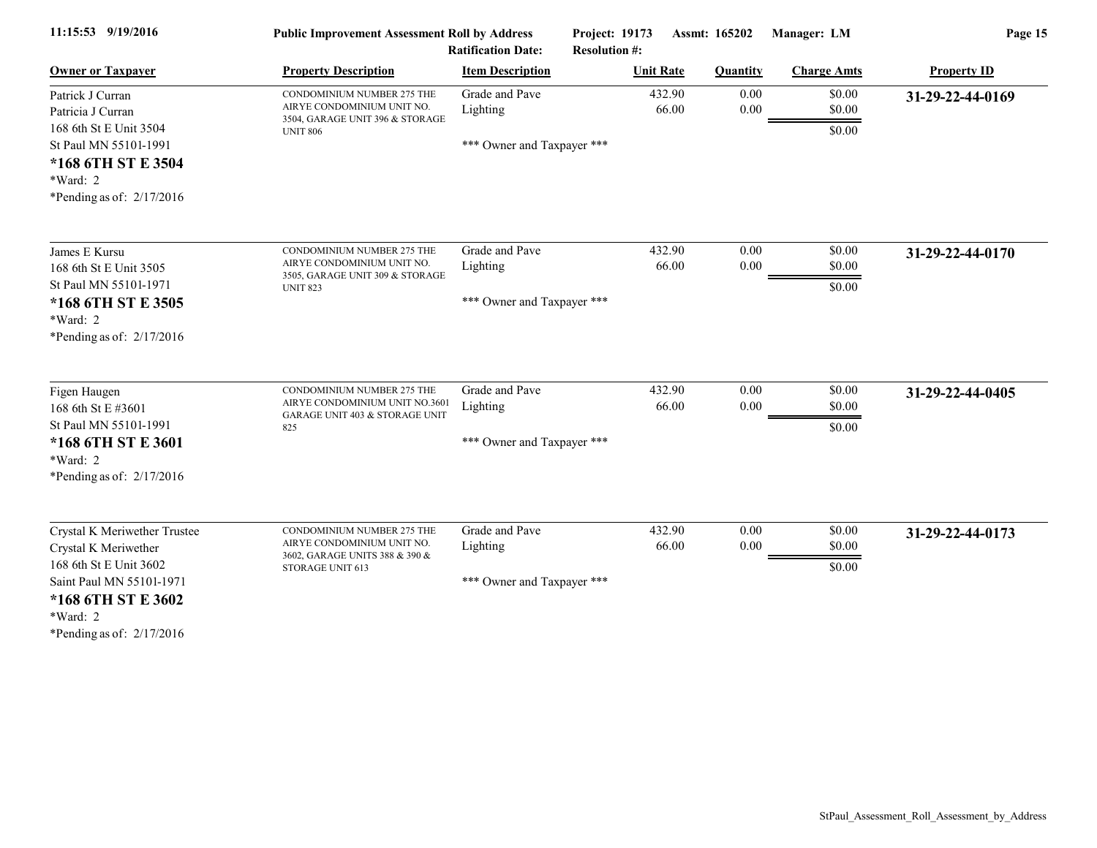| 11:15:53 9/19/2016                                                                                                                                                          | <b>Public Improvement Assessment Roll by Address</b><br><b>Ratification Date:</b>                              |                                                          | Project: 19173<br><b>Resolution #:</b> | Assmt: 165202    | Manager: LM                | Page 15            |  |
|-----------------------------------------------------------------------------------------------------------------------------------------------------------------------------|----------------------------------------------------------------------------------------------------------------|----------------------------------------------------------|----------------------------------------|------------------|----------------------------|--------------------|--|
| <b>Owner or Taxpayer</b>                                                                                                                                                    | <b>Property Description</b>                                                                                    | <b>Item Description</b>                                  | <b>Unit Rate</b>                       | <b>Quantity</b>  | <b>Charge Amts</b>         | <b>Property ID</b> |  |
| Patrick J Curran<br>Patricia J Curran<br>168 6th St E Unit 3504                                                                                                             | CONDOMINIUM NUMBER 275 THE<br>AIRYE CONDOMINIUM UNIT NO.<br>3504, GARAGE UNIT 396 & STORAGE<br><b>UNIT 806</b> | Grade and Pave<br>Lighting                               | 432.90<br>66.00                        | 0.00<br>0.00     | \$0.00<br>\$0.00<br>\$0.00 | 31-29-22-44-0169   |  |
| St Paul MN 55101-1991<br>*168 6TH ST E 3504<br>*Ward: 2<br>*Pending as of: $2/17/2016$                                                                                      |                                                                                                                | *** Owner and Taxpayer ***                               |                                        |                  |                            |                    |  |
| James E Kursu<br>168 6th St E Unit 3505                                                                                                                                     | CONDOMINIUM NUMBER 275 THE<br>AIRYE CONDOMINIUM UNIT NO.<br>3505, GARAGE UNIT 309 & STORAGE                    | Grade and Pave<br>Lighting                               | 432.90<br>66.00                        | 0.00<br>0.00     | \$0.00<br>\$0.00           | 31-29-22-44-0170   |  |
| St Paul MN 55101-1971<br>*168 6TH ST E 3505<br>*Ward: 2<br>*Pending as of: $2/17/2016$                                                                                      | <b>UNIT 823</b>                                                                                                | *** Owner and Taxpayer ***                               |                                        |                  | \$0.00                     |                    |  |
| Figen Haugen<br>168 6th St E #3601<br>St Paul MN 55101-1991<br>*168 6TH ST E 3601<br>*Ward: 2<br>*Pending as of: $2/17/2016$                                                | CONDOMINIUM NUMBER 275 THE<br>AIRYE CONDOMINIUM UNIT NO.3601<br>GARAGE UNIT 403 & STORAGE UNIT<br>825          | Grade and Pave<br>Lighting<br>*** Owner and Taxpayer *** | 432.90<br>66.00                        | 0.00<br>0.00     | \$0.00<br>\$0.00<br>\$0.00 | 31-29-22-44-0405   |  |
| Crystal K Meriwether Trustee<br>Crystal K Meriwether<br>168 6th St E Unit 3602<br>Saint Paul MN 55101-1971<br>*168 6TH ST E 3602<br>*Ward: 2<br>*Pending as of: $2/17/2016$ | CONDOMINIUM NUMBER 275 THE<br>AIRYE CONDOMINIUM UNIT NO.<br>3602, GARAGE UNITS 388 & 390 &<br>STORAGE UNIT 613 | Grade and Pave<br>Lighting<br>*** Owner and Taxpayer *** | 432.90<br>66.00                        | 0.00<br>$0.00\,$ | \$0.00<br>\$0.00<br>\$0.00 | 31-29-22-44-0173   |  |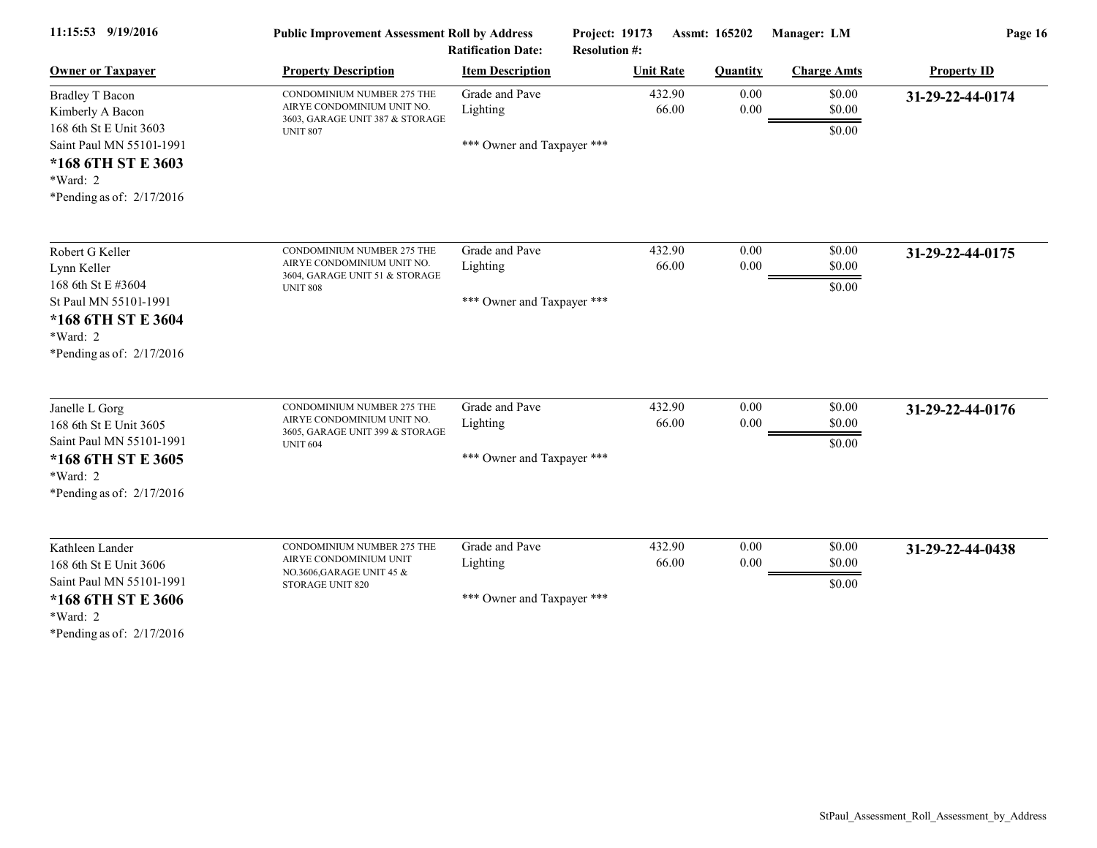| 11:15:53 9/19/2016                                                                                                                                                  | <b>Public Improvement Assessment Roll by Address</b><br><b>Ratification Date:</b>                              |                                                          | Assmt: 165202<br><b>Project: 19173</b><br><b>Resolution #:</b> |                 | Manager: LM                | Page 16            |  |
|---------------------------------------------------------------------------------------------------------------------------------------------------------------------|----------------------------------------------------------------------------------------------------------------|----------------------------------------------------------|----------------------------------------------------------------|-----------------|----------------------------|--------------------|--|
| <b>Owner or Taxpayer</b>                                                                                                                                            | <b>Property Description</b>                                                                                    | <b>Item Description</b>                                  | <b>Unit Rate</b>                                               | <b>Quantity</b> | <b>Charge Amts</b>         | <b>Property ID</b> |  |
| <b>Bradley T Bacon</b><br>Kimberly A Bacon<br>168 6th St E Unit 3603<br>Saint Paul MN 55101-1991<br>*168 6TH ST E 3603<br>$*Ward: 2$<br>*Pending as of: $2/17/2016$ | CONDOMINIUM NUMBER 275 THE<br>AIRYE CONDOMINIUM UNIT NO.<br>3603, GARAGE UNIT 387 & STORAGE<br><b>UNIT 807</b> | Grade and Pave<br>Lighting<br>*** Owner and Taxpayer *** | 432.90<br>66.00                                                | 0.00<br>0.00    | \$0.00<br>\$0.00<br>\$0.00 | 31-29-22-44-0174   |  |
| Robert G Keller<br>Lynn Keller<br>168 6th St E #3604<br>St Paul MN 55101-1991<br>*168 6TH ST E 3604<br>$*Ward: 2$<br>*Pending as of: $2/17/2016$                    | CONDOMINIUM NUMBER 275 THE<br>AIRYE CONDOMINIUM UNIT NO.<br>3604, GARAGE UNIT 51 & STORAGE<br><b>UNIT 808</b>  | Grade and Pave<br>Lighting<br>*** Owner and Taxpayer *** | 432.90<br>66.00                                                | 0.00<br>0.00    | \$0.00<br>\$0.00<br>\$0.00 | 31-29-22-44-0175   |  |
| Janelle L Gorg<br>168 6th St E Unit 3605<br>Saint Paul MN 55101-1991<br>*168 6TH ST E 3605<br>*Ward: 2<br>*Pending as of: $2/17/2016$                               | CONDOMINIUM NUMBER 275 THE<br>AIRYE CONDOMINIUM UNIT NO.<br>3605, GARAGE UNIT 399 & STORAGE<br><b>UNIT 604</b> | Grade and Pave<br>Lighting<br>*** Owner and Taxpayer *** | 432.90<br>66.00                                                | 0.00<br>0.00    | \$0.00<br>\$0.00<br>\$0.00 | 31-29-22-44-0176   |  |
| Kathleen Lander<br>168 6th St E Unit 3606<br>Saint Paul MN 55101-1991<br>*168 6TH ST E 3606<br>*Ward: 2<br>*Pending as of: $2/17/2016$                              | CONDOMINIUM NUMBER 275 THE<br>AIRYE CONDOMINIUM UNIT<br>NO.3606, GARAGE UNIT 45 &<br>STORAGE UNIT 820          | Grade and Pave<br>Lighting<br>*** Owner and Taxpayer *** | 432.90<br>66.00                                                | 0.00<br>0.00    | \$0.00<br>\$0.00<br>\$0.00 | 31-29-22-44-0438   |  |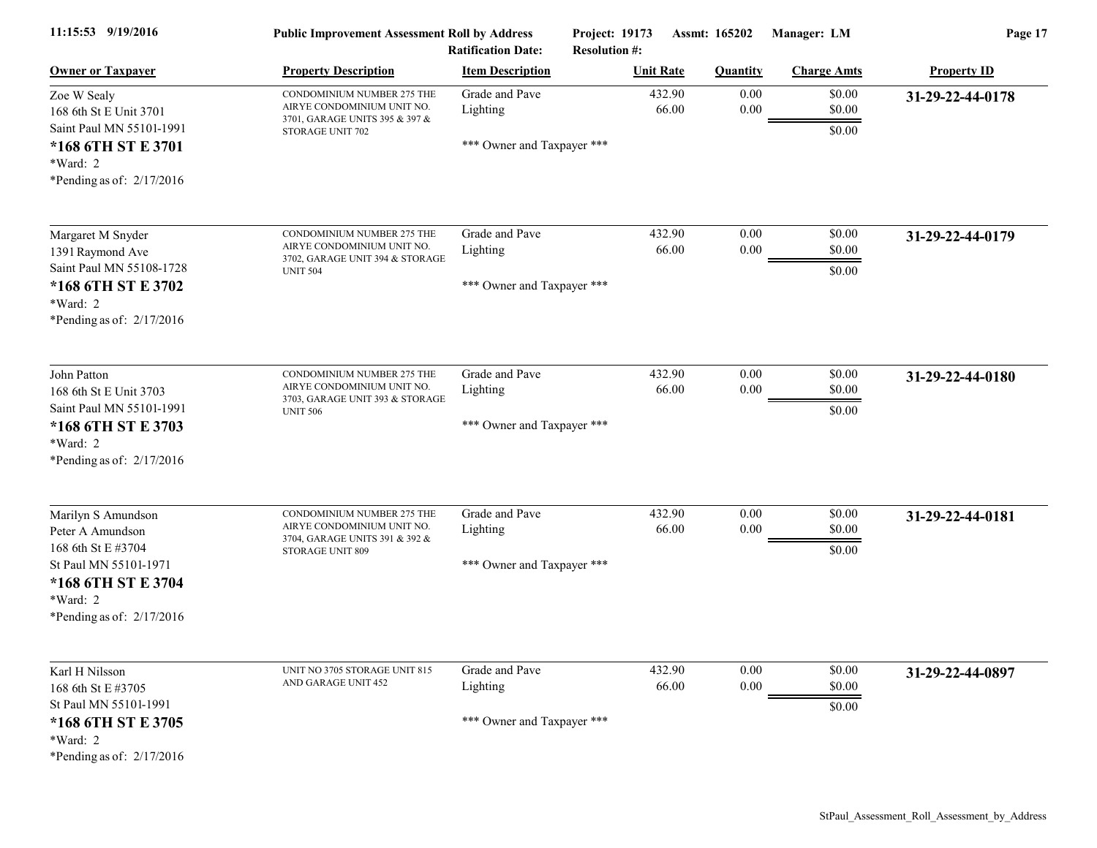| 11:15:53 9/19/2016                                                                        | <b>Public Improvement Assessment Roll by Address</b><br><b>Ratification Date:</b>                              |                                                          | Project: 19173<br>Assmt: 165202<br><b>Resolution #:</b> |                  | Manager: LM                | Page 17            |  |
|-------------------------------------------------------------------------------------------|----------------------------------------------------------------------------------------------------------------|----------------------------------------------------------|---------------------------------------------------------|------------------|----------------------------|--------------------|--|
| <b>Owner or Taxpayer</b>                                                                  | <b>Property Description</b>                                                                                    | <b>Item Description</b>                                  | <b>Unit Rate</b>                                        | <b>Quantity</b>  | <b>Charge Amts</b>         | <b>Property ID</b> |  |
| Zoe W Sealy<br>168 6th St E Unit 3701<br>Saint Paul MN 55101-1991<br>*168 6TH ST E 3701   | CONDOMINIUM NUMBER 275 THE<br>AIRYE CONDOMINIUM UNIT NO.<br>3701, GARAGE UNITS 395 & 397 &<br>STORAGE UNIT 702 | Grade and Pave<br>Lighting<br>*** Owner and Taxpayer *** | 432.90<br>66.00                                         | 0.00<br>$0.00\,$ | \$0.00<br>\$0.00<br>\$0.00 | 31-29-22-44-0178   |  |
| *Ward: 2<br>*Pending as of: 2/17/2016                                                     |                                                                                                                |                                                          |                                                         |                  |                            |                    |  |
| Margaret M Snyder                                                                         | CONDOMINIUM NUMBER 275 THE<br>AIRYE CONDOMINIUM UNIT NO.                                                       | Grade and Pave                                           | 432.90                                                  | 0.00             | \$0.00                     | 31-29-22-44-0179   |  |
| 1391 Raymond Ave<br>Saint Paul MN 55108-1728<br>*168 6TH ST E 3702                        | 3702, GARAGE UNIT 394 & STORAGE<br><b>UNIT 504</b>                                                             | Lighting<br>*** Owner and Taxpayer ***                   | 66.00                                                   | $0.00\,$         | \$0.00<br>\$0.00           |                    |  |
| *Ward: 2<br>*Pending as of: 2/17/2016                                                     |                                                                                                                |                                                          |                                                         |                  |                            |                    |  |
| John Patton                                                                               | CONDOMINIUM NUMBER 275 THE<br>AIRYE CONDOMINIUM UNIT NO.                                                       | Grade and Pave<br>Lighting                               | 432.90<br>66.00                                         | 0.00<br>0.00     | \$0.00<br>\$0.00           | 31-29-22-44-0180   |  |
| Saint Paul MN 55101-1991<br>*168 6TH ST E 3703<br>*Ward: 2<br>*Pending as of: $2/17/2016$ | 168 6th St E Unit 3703<br>3703, GARAGE UNIT 393 & STORAGE<br><b>UNIT 506</b>                                   | *** Owner and Taxpayer ***                               |                                                         | \$0.00           |                            |                    |  |
| Marilyn S Amundson                                                                        | CONDOMINIUM NUMBER 275 THE                                                                                     | Grade and Pave                                           | 432.90                                                  | 0.00             | \$0.00                     | 31-29-22-44-0181   |  |
| Peter A Amundson<br>168 6th St E #3704<br>St Paul MN 55101-1971                           | AIRYE CONDOMINIUM UNIT NO.<br>3704, GARAGE UNITS 391 & 392 &<br>STORAGE UNIT 809                               | Lighting<br>*** Owner and Taxpayer ***                   | 66.00                                                   | 0.00             | \$0.00<br>\$0.00           |                    |  |
| *168 6TH ST E 3704<br>*Ward: 2<br>*Pending as of: 2/17/2016                               |                                                                                                                |                                                          |                                                         |                  |                            |                    |  |
| Karl H Nilsson<br>168 6th St E #3705                                                      | UNIT NO 3705 STORAGE UNIT 815<br>AND GARAGE UNIT 452                                                           | Grade and Pave<br>Lighting                               | 432.90<br>66.00                                         | 0.00<br>$0.00\,$ | \$0.00<br>\$0.00           | 31-29-22-44-0897   |  |
| St Paul MN 55101-1991<br>*168 6TH ST E 3705                                               |                                                                                                                | *** Owner and Taxpayer ***                               |                                                         |                  | \$0.00                     |                    |  |
| *Ward: 2<br>*Pending as of: 2/17/2016                                                     |                                                                                                                |                                                          |                                                         |                  |                            |                    |  |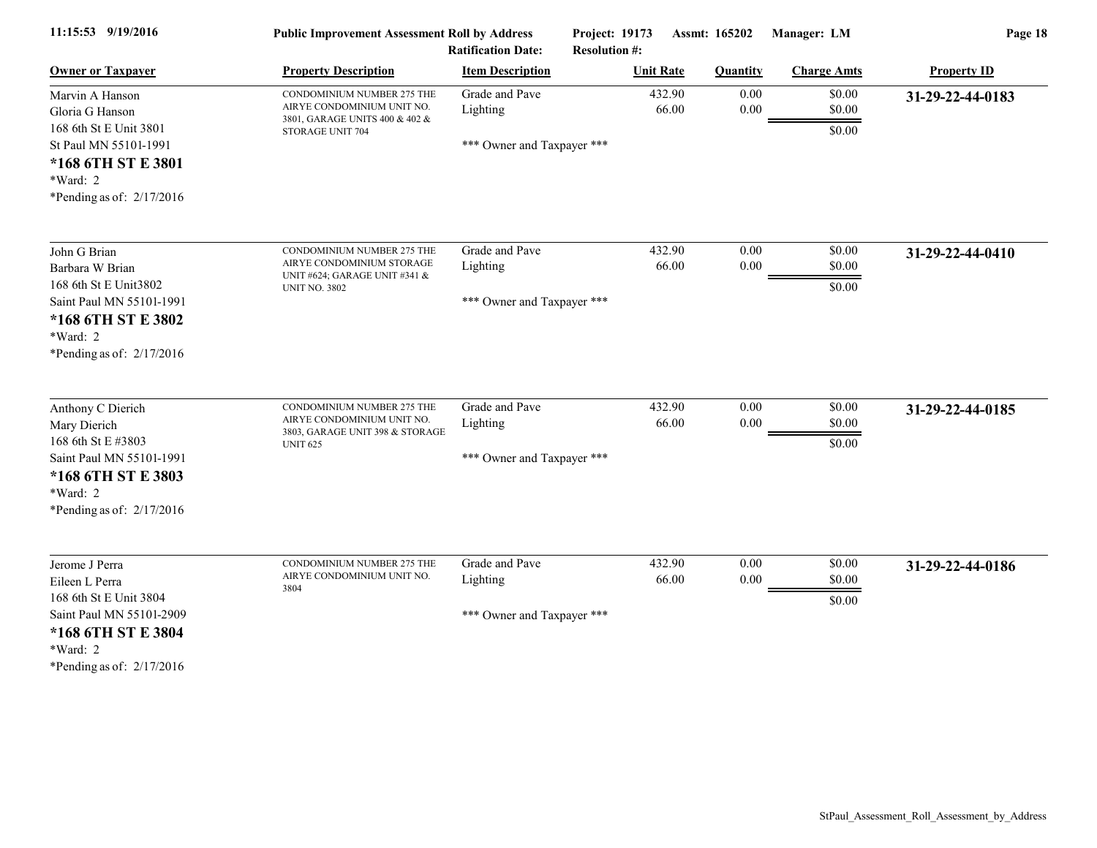| 11:15:53 9/19/2016                                                                                                                                      | <b>Public Improvement Assessment Roll by Address</b><br><b>Ratification Date:</b>                                |                                                          | Project: 19173<br><b>Resolution #:</b> |                 | Assmt: 165202    | Manager: LM                | Page 18            |
|---------------------------------------------------------------------------------------------------------------------------------------------------------|------------------------------------------------------------------------------------------------------------------|----------------------------------------------------------|----------------------------------------|-----------------|------------------|----------------------------|--------------------|
| <b>Owner or Taxpayer</b>                                                                                                                                | <b>Property Description</b>                                                                                      | <b>Item Description</b>                                  | <b>Unit Rate</b>                       |                 | <b>Quantity</b>  | <b>Charge Amts</b>         | <b>Property ID</b> |
| Marvin A Hanson<br>Gloria G Hanson<br>168 6th St E Unit 3801<br>St Paul MN 55101-1991<br>*168 6TH ST E 3801<br>*Ward: 2<br>*Pending as of: $2/17/2016$  | CONDOMINIUM NUMBER 275 THE<br>AIRYE CONDOMINIUM UNIT NO.<br>3801, GARAGE UNITS 400 & 402 &<br>STORAGE UNIT 704   | Grade and Pave<br>Lighting<br>*** Owner and Taxpayer *** |                                        | 432.90<br>66.00 | 0.00<br>$0.00\,$ | \$0.00<br>\$0.00<br>\$0.00 | 31-29-22-44-0183   |
| John G Brian<br>Barbara W Brian<br>168 6th St E Unit3802<br>Saint Paul MN 55101-1991<br>*168 6TH ST E 3802<br>$*Ward: 2$<br>*Pending as of: $2/17/2016$ | CONDOMINIUM NUMBER 275 THE<br>AIRYE CONDOMINIUM STORAGE<br>UNIT #624; GARAGE UNIT #341 &<br><b>UNIT NO. 3802</b> | Grade and Pave<br>Lighting<br>*** Owner and Taxpayer *** |                                        | 432.90<br>66.00 | 0.00<br>0.00     | \$0.00<br>\$0.00<br>\$0.00 | 31-29-22-44-0410   |
| Anthony C Dierich<br>Mary Dierich<br>168 6th St E #3803<br>Saint Paul MN 55101-1991<br>*168 6TH ST E 3803<br>*Ward: 2<br>*Pending as of: $2/17/2016$    | CONDOMINIUM NUMBER 275 THE<br>AIRYE CONDOMINIUM UNIT NO.<br>3803, GARAGE UNIT 398 & STORAGE<br><b>UNIT 625</b>   | Grade and Pave<br>Lighting<br>*** Owner and Taxpayer *** |                                        | 432.90<br>66.00 | 0.00<br>0.00     | \$0.00<br>\$0.00<br>\$0.00 | 31-29-22-44-0185   |
| Jerome J Perra<br>Eileen L Perra<br>168 6th St E Unit 3804<br>Saint Paul MN 55101-2909<br>*168 6TH ST E 3804<br>*Ward: 2<br>*Pending as of: $2/17/2016$ | CONDOMINIUM NUMBER 275 THE<br>AIRYE CONDOMINIUM UNIT NO.<br>3804                                                 | Grade and Pave<br>Lighting<br>*** Owner and Taxpayer *** |                                        | 432.90<br>66.00 | 0.00<br>0.00     | \$0.00<br>\$0.00<br>\$0.00 | 31-29-22-44-0186   |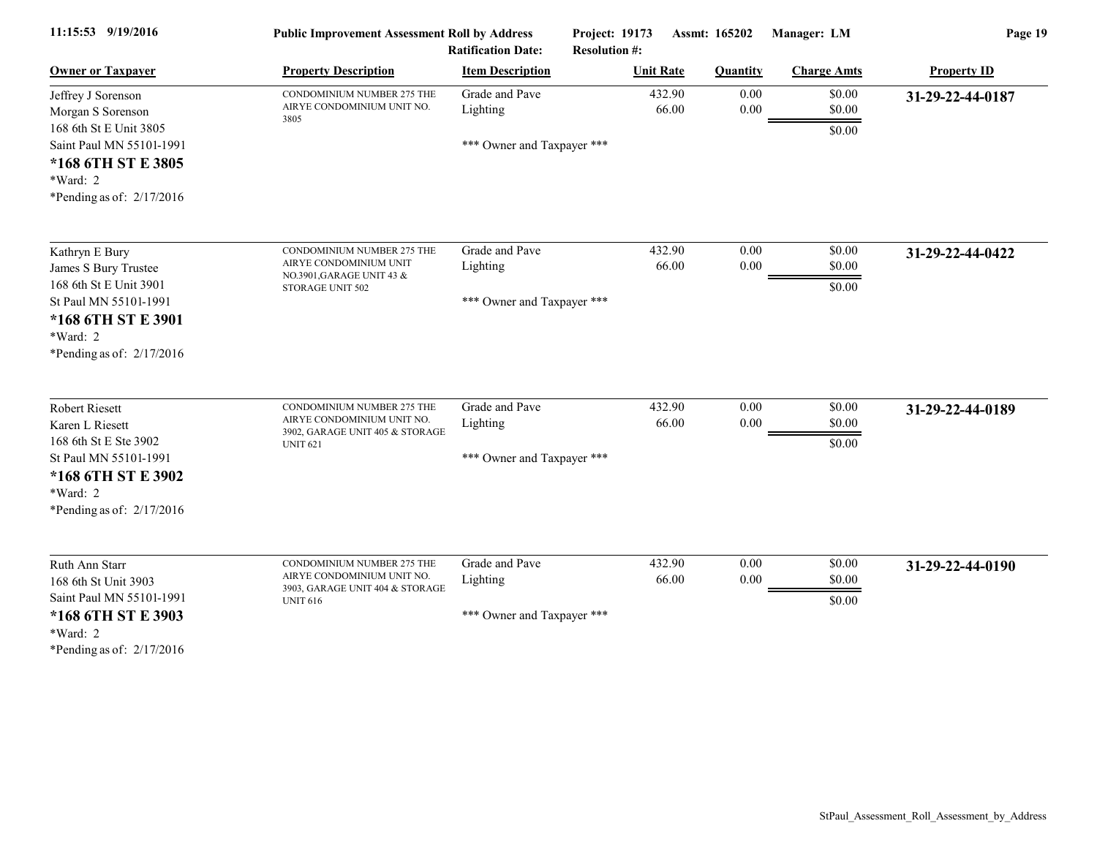| 11:15:53 9/19/2016                                                                        | <b>Public Improvement Assessment Roll by Address</b><br><b>Ratification Date:</b>                              |                                        | Project: 19173<br>Assmt: 165202<br><b>Resolution #:</b> |                 | Manager: LM                | Page 19            |
|-------------------------------------------------------------------------------------------|----------------------------------------------------------------------------------------------------------------|----------------------------------------|---------------------------------------------------------|-----------------|----------------------------|--------------------|
| <b>Owner or Taxpayer</b>                                                                  | <b>Property Description</b>                                                                                    | <b>Item Description</b>                | <b>Unit Rate</b>                                        | <b>Quantity</b> | <b>Charge Amts</b>         | <b>Property ID</b> |
| Jeffrey J Sorenson<br>Morgan S Sorenson<br>168 6th St E Unit 3805                         | CONDOMINIUM NUMBER 275 THE<br>AIRYE CONDOMINIUM UNIT NO.<br>3805                                               | Grade and Pave<br>Lighting             | 432.90<br>66.00                                         | 0.00<br>0.00    | \$0.00<br>\$0.00<br>\$0.00 | 31-29-22-44-0187   |
| Saint Paul MN 55101-1991<br>*168 6TH ST E 3805<br>*Ward: 2<br>*Pending as of: 2/17/2016   |                                                                                                                | *** Owner and Taxpayer ***             |                                                         |                 |                            |                    |
| Kathryn E Bury                                                                            | CONDOMINIUM NUMBER 275 THE<br>AIRYE CONDOMINIUM UNIT                                                           | Grade and Pave                         | 432.90                                                  | 0.00            | \$0.00                     | 31-29-22-44-0422   |
| James S Bury Trustee<br>168 6th St E Unit 3901<br>St Paul MN 55101-1991                   | NO.3901, GARAGE UNIT 43 &<br>STORAGE UNIT 502                                                                  | Lighting<br>*** Owner and Taxpayer *** | 66.00                                                   | 0.00            | \$0.00<br>\$0.00           |                    |
| *168 6TH ST E 3901<br>*Ward: 2<br>*Pending as of: 2/17/2016                               |                                                                                                                |                                        |                                                         |                 |                            |                    |
| <b>Robert Riesett</b><br>Karen L Riesett<br>168 6th St E Ste 3902                         | CONDOMINIUM NUMBER 275 THE<br>AIRYE CONDOMINIUM UNIT NO.<br>3902, GARAGE UNIT 405 & STORAGE<br><b>UNIT 621</b> | Grade and Pave<br>Lighting             | 432.90<br>66.00                                         | 0.00<br>0.00    | \$0.00<br>\$0.00<br>\$0.00 | 31-29-22-44-0189   |
| St Paul MN 55101-1991<br>*168 6TH ST E 3902<br>*Ward: 2<br>*Pending as of: 2/17/2016      |                                                                                                                | *** Owner and Taxpayer ***             |                                                         |                 |                            |                    |
| Ruth Ann Starr<br>168 6th St Unit 3903                                                    | CONDOMINIUM NUMBER 275 THE<br>AIRYE CONDOMINIUM UNIT NO.<br>3903, GARAGE UNIT 404 & STORAGE                    | Grade and Pave<br>Lighting             | 432.90<br>66.00                                         | 0.00<br>0.00    | \$0.00<br>\$0.00           | 31-29-22-44-0190   |
| Saint Paul MN 55101-1991<br>*168 6TH ST E 3903<br>*Ward: 2<br>*Pending as of: $2/17/2016$ | <b>UNIT 616</b>                                                                                                | *** Owner and Taxpayer ***             |                                                         |                 | \$0.00                     |                    |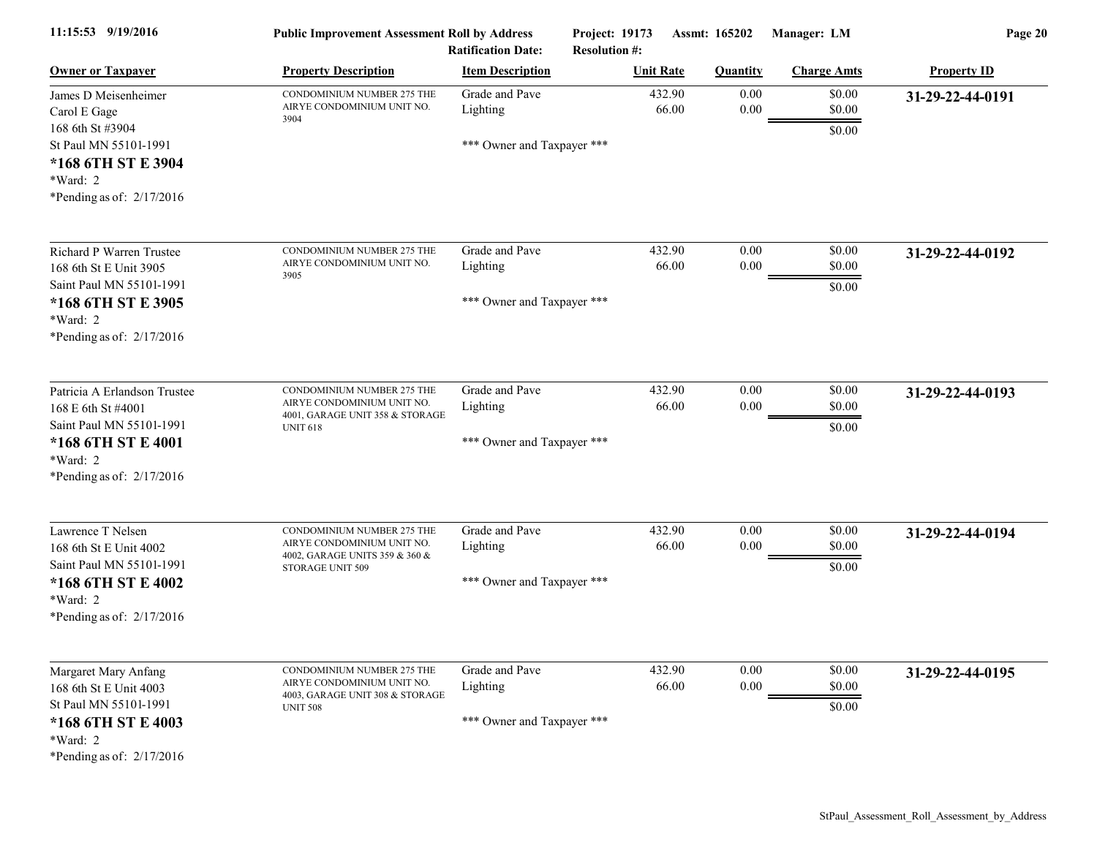| 11:15:53 9/19/2016                                                                                                                              | <b>Public Improvement Assessment Roll by Address</b><br><b>Ratification Date:</b>                              |                                                          | Project: 19173<br>Assmt: 165202<br><b>Resolution #:</b> |                  | Manager: LM                | Page 20            |  |
|-------------------------------------------------------------------------------------------------------------------------------------------------|----------------------------------------------------------------------------------------------------------------|----------------------------------------------------------|---------------------------------------------------------|------------------|----------------------------|--------------------|--|
| <b>Owner or Taxpayer</b>                                                                                                                        | <b>Property Description</b>                                                                                    | <b>Item Description</b>                                  | <b>Unit Rate</b>                                        | <b>Quantity</b>  | <b>Charge Amts</b>         | <b>Property ID</b> |  |
| James D Meisenheimer<br>Carol E Gage<br>168 6th St #3904<br>St Paul MN 55101-1991<br>*168 6TH ST E 3904<br>*Ward: 2                             | CONDOMINIUM NUMBER 275 THE<br>AIRYE CONDOMINIUM UNIT NO.<br>3904                                               | Grade and Pave<br>Lighting<br>*** Owner and Taxpayer *** | 432.90<br>66.00                                         | 0.00<br>$0.00\,$ | \$0.00<br>\$0.00<br>\$0.00 | 31-29-22-44-0191   |  |
| *Pending as of: $2/17/2016$                                                                                                                     |                                                                                                                |                                                          |                                                         |                  |                            |                    |  |
| <b>Richard P Warren Trustee</b><br>168 6th St E Unit 3905                                                                                       | CONDOMINIUM NUMBER 275 THE<br>AIRYE CONDOMINIUM UNIT NO.<br>3905                                               | Grade and Pave<br>Lighting                               | 432.90<br>66.00                                         | 0.00<br>$0.00\,$ | \$0.00<br>\$0.00           | 31-29-22-44-0192   |  |
| Saint Paul MN 55101-1991<br>*168 6TH ST E 3905<br>$*Ward: 2$<br>*Pending as of: $2/17/2016$                                                     |                                                                                                                | *** Owner and Taxpayer ***                               |                                                         |                  | \$0.00                     |                    |  |
| Patricia A Erlandson Trustee<br>168 E 6th St #4001<br>Saint Paul MN 55101-1991<br>*168 6TH ST E 4001<br>*Ward: 2<br>*Pending as of: $2/17/2016$ | CONDOMINIUM NUMBER 275 THE<br>AIRYE CONDOMINIUM UNIT NO.<br>4001, GARAGE UNIT 358 & STORAGE<br><b>UNIT 618</b> | Grade and Pave<br>Lighting<br>*** Owner and Taxpayer *** | 432.90<br>66.00                                         | 0.00<br>$0.00\,$ | \$0.00<br>\$0.00<br>\$0.00 | 31-29-22-44-0193   |  |
| Lawrence T Nelsen<br>168 6th St E Unit 4002<br>Saint Paul MN 55101-1991<br>*168 6TH ST E 4002<br>*Ward: 2<br>*Pending as of: 2/17/2016          | CONDOMINIUM NUMBER 275 THE<br>AIRYE CONDOMINIUM UNIT NO.<br>4002, GARAGE UNITS 359 & 360 &<br>STORAGE UNIT 509 | Grade and Pave<br>Lighting<br>*** Owner and Taxpayer *** | 432.90<br>66.00                                         | 0.00<br>0.00     | \$0.00<br>\$0.00<br>\$0.00 | 31-29-22-44-0194   |  |
| Margaret Mary Anfang<br>168 6th St E Unit 4003<br>St Paul MN 55101-1991<br>*168 6TH ST E 4003<br>*Ward: 2<br>*Pending as of: 2/17/2016          | CONDOMINIUM NUMBER 275 THE<br>AIRYE CONDOMINIUM UNIT NO.<br>4003, GARAGE UNIT 308 & STORAGE<br><b>UNIT 508</b> | Grade and Pave<br>Lighting<br>*** Owner and Taxpayer *** | 432.90<br>66.00                                         | 0.00<br>$0.00\,$ | \$0.00<br>\$0.00<br>\$0.00 | 31-29-22-44-0195   |  |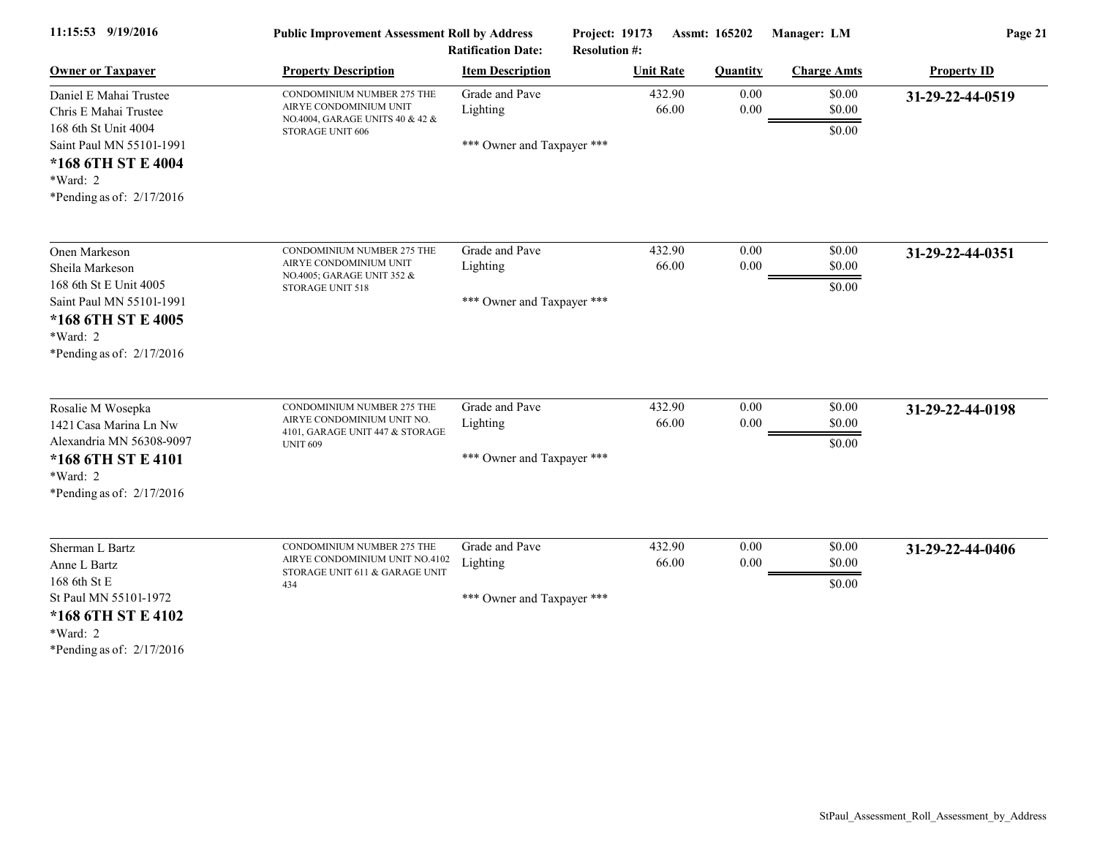| 11:15:53 9/19/2016                                                                                                                                                     | <b>Public Improvement Assessment Roll by Address</b><br><b>Ratification Date:</b>                              |                                                          | Project: 19173<br>Assmt: 165202<br><b>Resolution #:</b> |                           | Manager: LM                | Page 21            |  |
|------------------------------------------------------------------------------------------------------------------------------------------------------------------------|----------------------------------------------------------------------------------------------------------------|----------------------------------------------------------|---------------------------------------------------------|---------------------------|----------------------------|--------------------|--|
| <b>Owner or Taxpayer</b>                                                                                                                                               | <b>Property Description</b>                                                                                    | <b>Item Description</b>                                  | <b>Unit Rate</b>                                        | <b>Quantity</b>           | <b>Charge Amts</b>         | <b>Property ID</b> |  |
| Daniel E Mahai Trustee<br>Chris E Mahai Trustee<br>168 6th St Unit 4004<br>Saint Paul MN 55101-1991<br>*168 6TH ST E 4004<br>$*Ward: 2$<br>*Pending as of: $2/17/2016$ | CONDOMINIUM NUMBER 275 THE<br>AIRYE CONDOMINIUM UNIT<br>NO.4004, GARAGE UNITS 40 & 42 &<br>STORAGE UNIT 606    | Grade and Pave<br>Lighting<br>*** Owner and Taxpayer *** | 432.90                                                  | 0.00<br>0.00<br>66.00     | \$0.00<br>\$0.00<br>\$0.00 | 31-29-22-44-0519   |  |
| Onen Markeson<br>Sheila Markeson<br>168 6th St E Unit 4005<br>Saint Paul MN 55101-1991<br>*168 6TH ST E 4005<br>*Ward: 2<br>*Pending as of: 2/17/2016                  | CONDOMINIUM NUMBER 275 THE<br>AIRYE CONDOMINIUM UNIT<br>NO.4005; GARAGE UNIT 352 &<br>STORAGE UNIT 518         | Grade and Pave<br>Lighting<br>*** Owner and Taxpayer *** | 432.90                                                  | 0.00<br>66.00<br>$0.00\,$ | \$0.00<br>\$0.00<br>\$0.00 | 31-29-22-44-0351   |  |
| Rosalie M Wosepka<br>1421 Casa Marina Ln Nw<br>Alexandria MN 56308-9097<br>*168 6TH ST E 4101<br>*Ward: 2<br>*Pending as of: $2/17/2016$                               | CONDOMINIUM NUMBER 275 THE<br>AIRYE CONDOMINIUM UNIT NO.<br>4101, GARAGE UNIT 447 & STORAGE<br><b>UNIT 609</b> | Grade and Pave<br>Lighting<br>*** Owner and Taxpayer *** | 432.90                                                  | 0.00<br>0.00<br>66.00     | \$0.00<br>\$0.00<br>\$0.00 | 31-29-22-44-0198   |  |
| Sherman L Bartz<br>Anne L Bartz<br>168 6th St E<br>St Paul MN 55101-1972<br>*168 6TH ST E 4102<br>*Ward: 2<br>*Pending as of: $2/17/2016$                              | CONDOMINIUM NUMBER 275 THE<br>AIRYE CONDOMINIUM UNIT NO.4102<br>STORAGE UNIT 611 & GARAGE UNIT<br>434          | Grade and Pave<br>Lighting<br>*** Owner and Taxpayer *** | 432.90                                                  | 0.00<br>66.00<br>0.00     | \$0.00<br>\$0.00<br>\$0.00 | 31-29-22-44-0406   |  |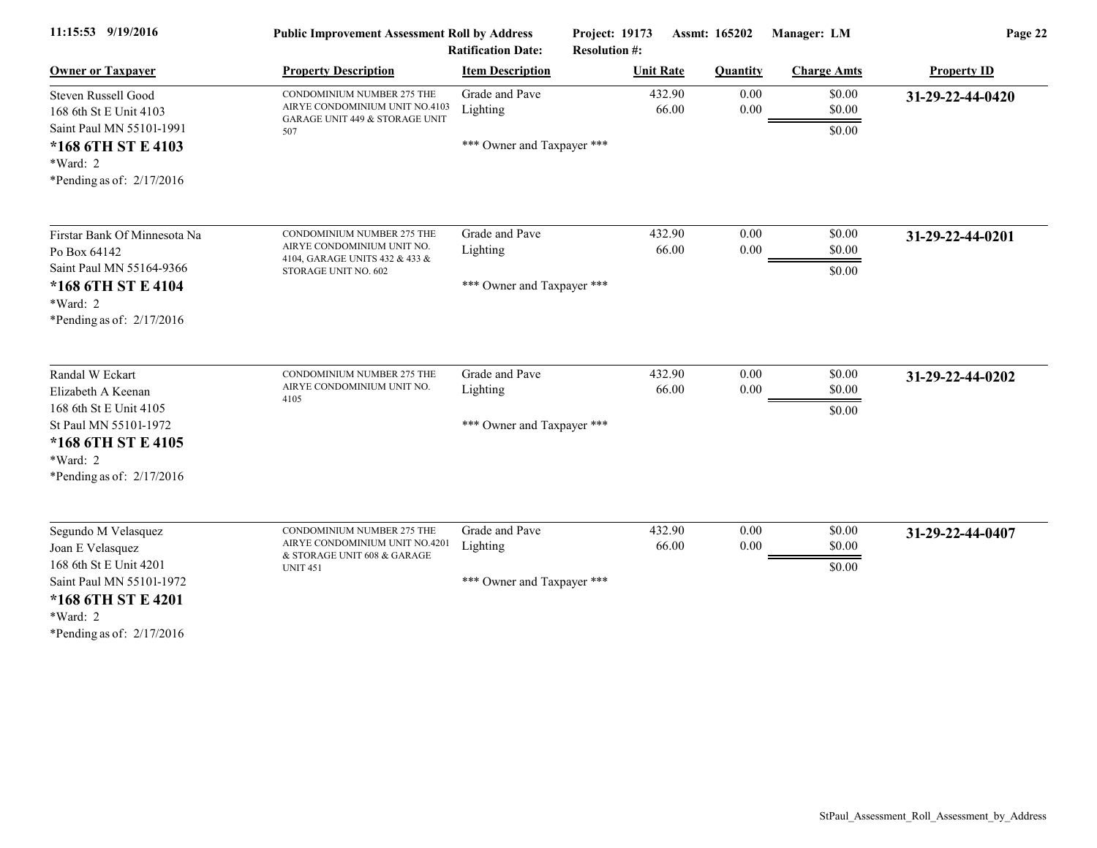| 11:15:53 9/19/2016                                                                                                                                             | <b>Public Improvement Assessment Roll by Address</b><br><b>Ratification Date:</b>                                  |                                                          | Project: 19173<br>Assmt: 165202<br><b>Resolution #:</b> |                  | Manager: LM                | Page 22            |  |
|----------------------------------------------------------------------------------------------------------------------------------------------------------------|--------------------------------------------------------------------------------------------------------------------|----------------------------------------------------------|---------------------------------------------------------|------------------|----------------------------|--------------------|--|
| <b>Owner or Taxpayer</b>                                                                                                                                       | <b>Property Description</b>                                                                                        | <b>Item Description</b>                                  | <b>Unit Rate</b>                                        | <b>Quantity</b>  | <b>Charge Amts</b>         | <b>Property ID</b> |  |
| Steven Russell Good<br>168 6th St E Unit 4103                                                                                                                  | CONDOMINIUM NUMBER 275 THE<br>AIRYE CONDOMINIUM UNIT NO.4103<br>GARAGE UNIT 449 & STORAGE UNIT                     | Grade and Pave<br>Lighting                               | 432.90<br>66.00                                         | 0.00<br>$0.00\,$ | \$0.00<br>\$0.00           | 31-29-22-44-0420   |  |
| Saint Paul MN 55101-1991<br>*168 6TH ST E 4103<br>*Ward: 2<br>*Pending as of: $2/17/2016$                                                                      | 507                                                                                                                | *** Owner and Taxpayer ***                               |                                                         |                  | \$0.00                     |                    |  |
| Firstar Bank Of Minnesota Na<br>Po Box 64142<br>Saint Paul MN 55164-9366<br>*168 6TH ST E 4104<br>*Ward: 2<br>*Pending as of: $2/17/2016$                      | CONDOMINIUM NUMBER 275 THE<br>AIRYE CONDOMINIUM UNIT NO.<br>4104, GARAGE UNITS 432 & 433 &<br>STORAGE UNIT NO. 602 | Grade and Pave<br>Lighting<br>*** Owner and Taxpayer *** | 432.90<br>66.00                                         | 0.00<br>0.00     | \$0.00<br>\$0.00<br>\$0.00 | 31-29-22-44-0201   |  |
| Randal W Eckart<br>Elizabeth A Keenan<br>168 6th St E Unit 4105<br>St Paul MN 55101-1972<br>*168 6TH ST E 4105<br>*Ward: 2<br>*Pending as of: $2/17/2016$      | CONDOMINIUM NUMBER 275 THE<br>AIRYE CONDOMINIUM UNIT NO.<br>4105                                                   | Grade and Pave<br>Lighting<br>*** Owner and Taxpayer *** | 432.90<br>66.00                                         | 0.00<br>0.00     | \$0.00<br>\$0.00<br>\$0.00 | 31-29-22-44-0202   |  |
| Segundo M Velasquez<br>Joan E Velasquez<br>168 6th St E Unit 4201<br>Saint Paul MN 55101-1972<br>*168 6TH ST E 4201<br>*Ward: 2<br>*Pending as of: $2/17/2016$ | CONDOMINIUM NUMBER 275 THE<br>AIRYE CONDOMINIUM UNIT NO.4201<br>& STORAGE UNIT 608 & GARAGE<br><b>UNIT 451</b>     | Grade and Pave<br>Lighting<br>*** Owner and Taxpayer *** | 432.90<br>66.00                                         | 0.00<br>0.00     | \$0.00<br>\$0.00<br>\$0.00 | 31-29-22-44-0407   |  |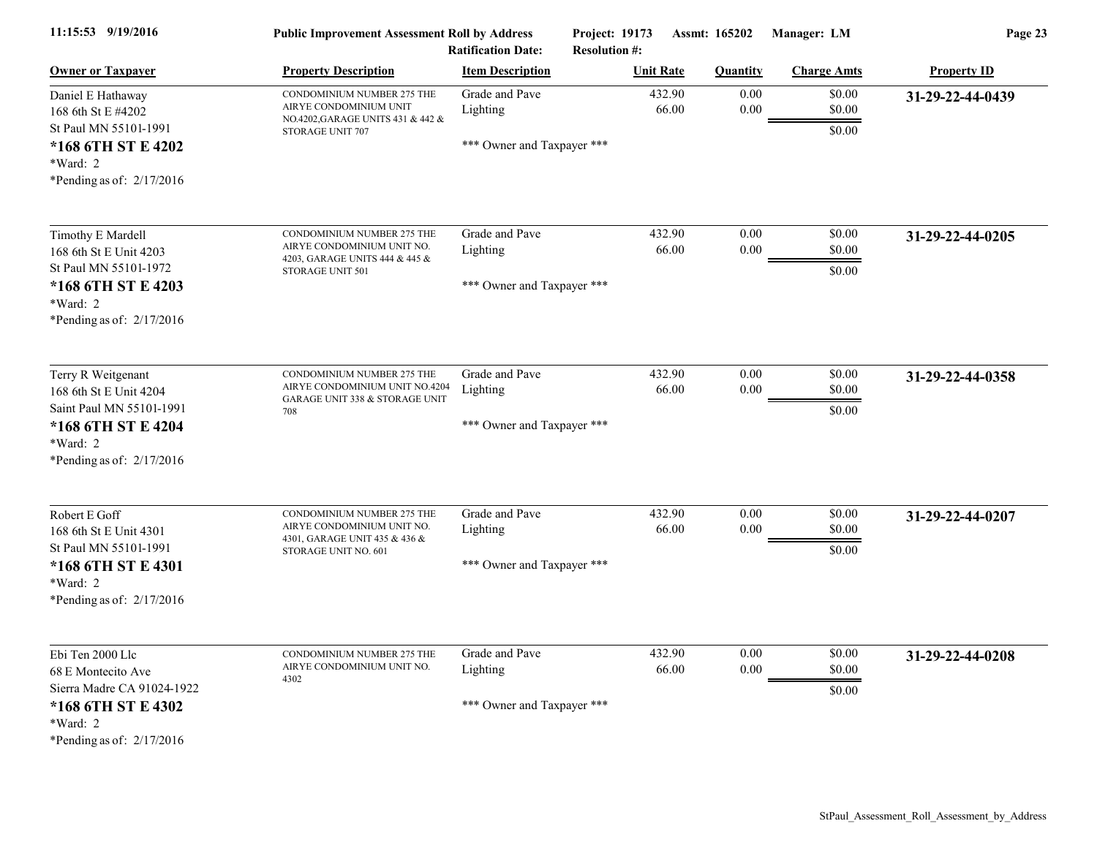| 11:15:53 9/19/2016                                                                                                                      | <b>Public Improvement Assessment Roll by Address</b><br><b>Ratification Date:</b>                                 |                                                          | Project: 19173<br>Assmt: 165202<br><b>Resolution #:</b> |                      | Manager: LM                | Page 23            |  |
|-----------------------------------------------------------------------------------------------------------------------------------------|-------------------------------------------------------------------------------------------------------------------|----------------------------------------------------------|---------------------------------------------------------|----------------------|----------------------------|--------------------|--|
| <b>Owner or Taxpayer</b>                                                                                                                | <b>Property Description</b>                                                                                       | <b>Item Description</b>                                  | <b>Unit Rate</b>                                        | <b>Quantity</b>      | <b>Charge Amts</b>         | <b>Property ID</b> |  |
| Daniel E Hathaway<br>168 6th St E #4202<br>St Paul MN 55101-1991<br>*168 6TH ST E 4202<br>*Ward: 2<br>*Pending as of: 2/17/2016         | CONDOMINIUM NUMBER 275 THE<br>AIRYE CONDOMINIUM UNIT<br>NO.4202, GARAGE UNITS 431 & 442 &<br>STORAGE UNIT 707     | Grade and Pave<br>Lighting<br>*** Owner and Taxpayer *** | 432.90<br>66.00                                         | 0.00<br>$0.00\,$     | \$0.00<br>\$0.00<br>\$0.00 | 31-29-22-44-0439   |  |
| Timothy E Mardell<br>168 6th St E Unit 4203<br>St Paul MN 55101-1972<br>*168 6TH ST E 4203<br>*Ward: 2<br>*Pending as of: 2/17/2016     | CONDOMINIUM NUMBER 275 THE<br>AIRYE CONDOMINIUM UNIT NO.<br>4203, GARAGE UNITS 444 & 445 &<br>STORAGE UNIT 501    | Grade and Pave<br>Lighting<br>*** Owner and Taxpayer *** | 432.90<br>66.00                                         | 0.00<br>$0.00\,$     | \$0.00<br>\$0.00<br>\$0.00 | 31-29-22-44-0205   |  |
| Terry R Weitgenant<br>168 6th St E Unit 4204<br>Saint Paul MN 55101-1991<br>*168 6TH ST E 4204<br>*Ward: 2<br>*Pending as of: 2/17/2016 | CONDOMINIUM NUMBER 275 THE<br>AIRYE CONDOMINIUM UNIT NO.4204<br><b>GARAGE UNIT 338 &amp; STORAGE UNIT</b><br>708  | Grade and Pave<br>Lighting<br>*** Owner and Taxpayer *** | 432.90<br>66.00                                         | $0.00\,$<br>$0.00\,$ | \$0.00<br>\$0.00<br>\$0.00 | 31-29-22-44-0358   |  |
| Robert E Goff<br>168 6th St E Unit 4301<br>St Paul MN 55101-1991<br>*168 6TH ST E 4301<br>*Ward: 2<br>*Pending as of: 2/17/2016         | CONDOMINIUM NUMBER 275 THE<br>AIRYE CONDOMINIUM UNIT NO.<br>4301, GARAGE UNIT 435 & 436 &<br>STORAGE UNIT NO. 601 | Grade and Pave<br>Lighting<br>*** Owner and Taxpayer *** | 432.90<br>66.00                                         | 0.00<br>0.00         | \$0.00<br>\$0.00<br>\$0.00 | 31-29-22-44-0207   |  |
| Ebi Ten 2000 Llc<br>68 E Montecito Ave<br>Sierra Madre CA 91024-1922<br>*168 6TH ST E 4302<br>*Ward: 2<br>*Pending as of: $2/17/2016$   | CONDOMINIUM NUMBER 275 THE<br>AIRYE CONDOMINIUM UNIT NO.<br>4302                                                  | Grade and Pave<br>Lighting<br>*** Owner and Taxpayer *** | 432.90<br>66.00                                         | 0.00<br>0.00         | \$0.00<br>\$0.00<br>\$0.00 | 31-29-22-44-0208   |  |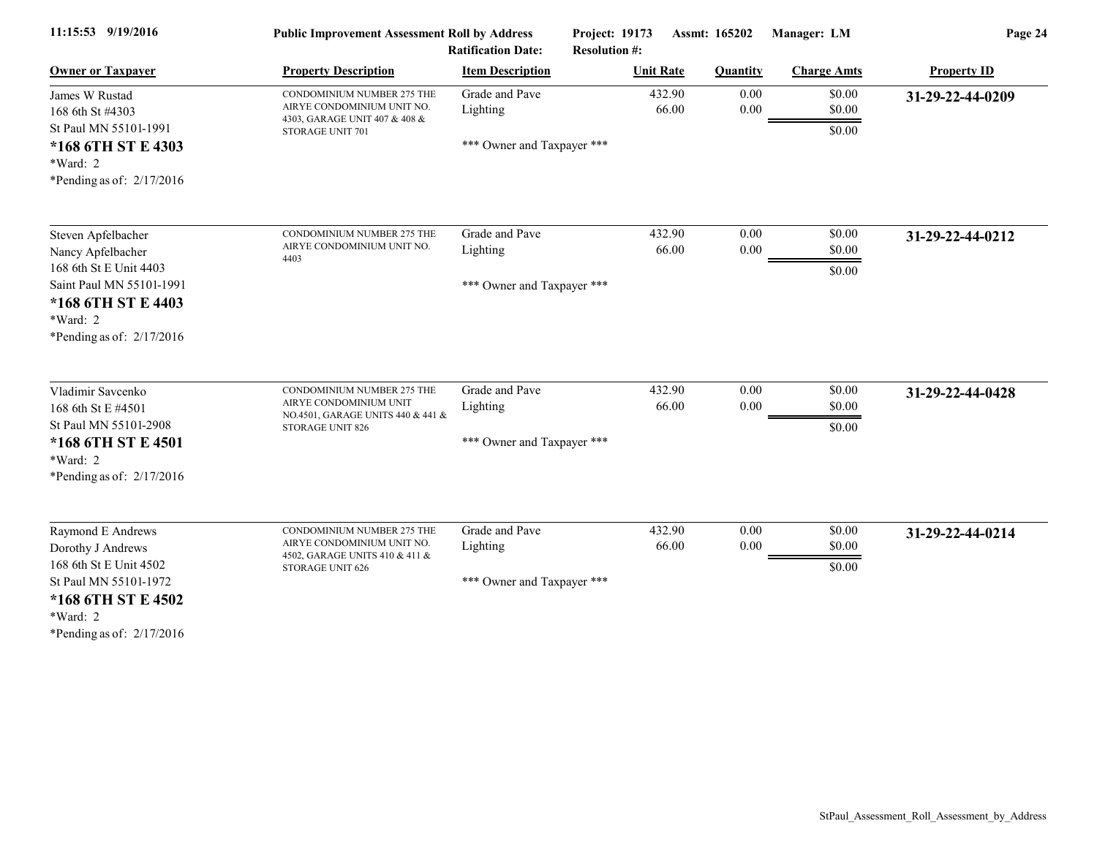| 11:15:53 9/19/2016                                                                                                                | <b>Public Improvement Assessment Roll by Address</b><br><b>Ratification Date:</b>                              |                                                          | Project: 19173<br>Assmt: 165202<br><b>Resolution #:</b> |                  | Manager: LM                | Page 24            |  |
|-----------------------------------------------------------------------------------------------------------------------------------|----------------------------------------------------------------------------------------------------------------|----------------------------------------------------------|---------------------------------------------------------|------------------|----------------------------|--------------------|--|
| <b>Owner or Taxpayer</b>                                                                                                          | <b>Property Description</b>                                                                                    | <b>Item Description</b>                                  | <b>Unit Rate</b>                                        | <b>Quantity</b>  | <b>Charge Amts</b>         | <b>Property ID</b> |  |
| James W Rustad<br>168 6th St #4303<br>St Paul MN 55101-1991                                                                       | CONDOMINIUM NUMBER 275 THE<br>AIRYE CONDOMINIUM UNIT NO.<br>4303, GARAGE UNIT 407 & 408 &                      | Grade and Pave<br>Lighting                               | 432.90<br>66.00                                         | 0.00<br>$0.00\,$ | \$0.00<br>\$0.00           | 31-29-22-44-0209   |  |
| *168 6TH ST E 4303<br>$*Ward: 2$<br>*Pending as of: $2/17/2016$                                                                   | STORAGE UNIT 701                                                                                               | *** Owner and Taxpayer ***                               |                                                         |                  | \$0.00                     |                    |  |
| Steven Apfelbacher<br>Nancy Apfelbacher                                                                                           | CONDOMINIUM NUMBER 275 THE<br>AIRYE CONDOMINIUM UNIT NO.                                                       | Grade and Pave<br>Lighting                               | 432.90<br>66.00                                         | 0.00<br>0.00     | \$0.00<br>\$0.00           | 31-29-22-44-0212   |  |
| 168 6th St E Unit 4403<br>Saint Paul MN 55101-1991<br>*168 6TH ST E 4403<br>*Ward: 2<br>*Pending as of: $2/17/2016$               | 4403                                                                                                           | *** Owner and Taxpayer ***                               |                                                         |                  | \$0.00                     |                    |  |
| Vladimir Savcenko<br>168 6th St E #4501<br>St Paul MN 55101-2908<br>*168 6TH ST E 4501<br>*Ward: 2<br>*Pending as of: $2/17/2016$ | CONDOMINIUM NUMBER 275 THE<br>AIRYE CONDOMINIUM UNIT<br>NO.4501, GARAGE UNITS 440 & 441 &<br>STORAGE UNIT 826  | Grade and Pave<br>Lighting<br>*** Owner and Taxpayer *** | 432.90<br>66.00                                         | 0.00<br>0.00     | \$0.00<br>\$0.00<br>\$0.00 | 31-29-22-44-0428   |  |
| Raymond E Andrews<br>Dorothy J Andrews<br>168 6th St E Unit 4502<br>St Paul MN 55101-1972<br>*168 6TH ST E 4502<br>*Ward: 2       | CONDOMINIUM NUMBER 275 THE<br>AIRYE CONDOMINIUM UNIT NO.<br>4502, GARAGE UNITS 410 & 411 &<br>STORAGE UNIT 626 | Grade and Pave<br>Lighting<br>*** Owner and Taxpayer *** | 432.90<br>66.00                                         | 0.00<br>0.00     | \$0.00<br>\$0.00<br>\$0.00 | 31-29-22-44-0214   |  |
|                                                                                                                                   |                                                                                                                |                                                          |                                                         |                  |                            |                    |  |

\*Pending as of: 2/17/2016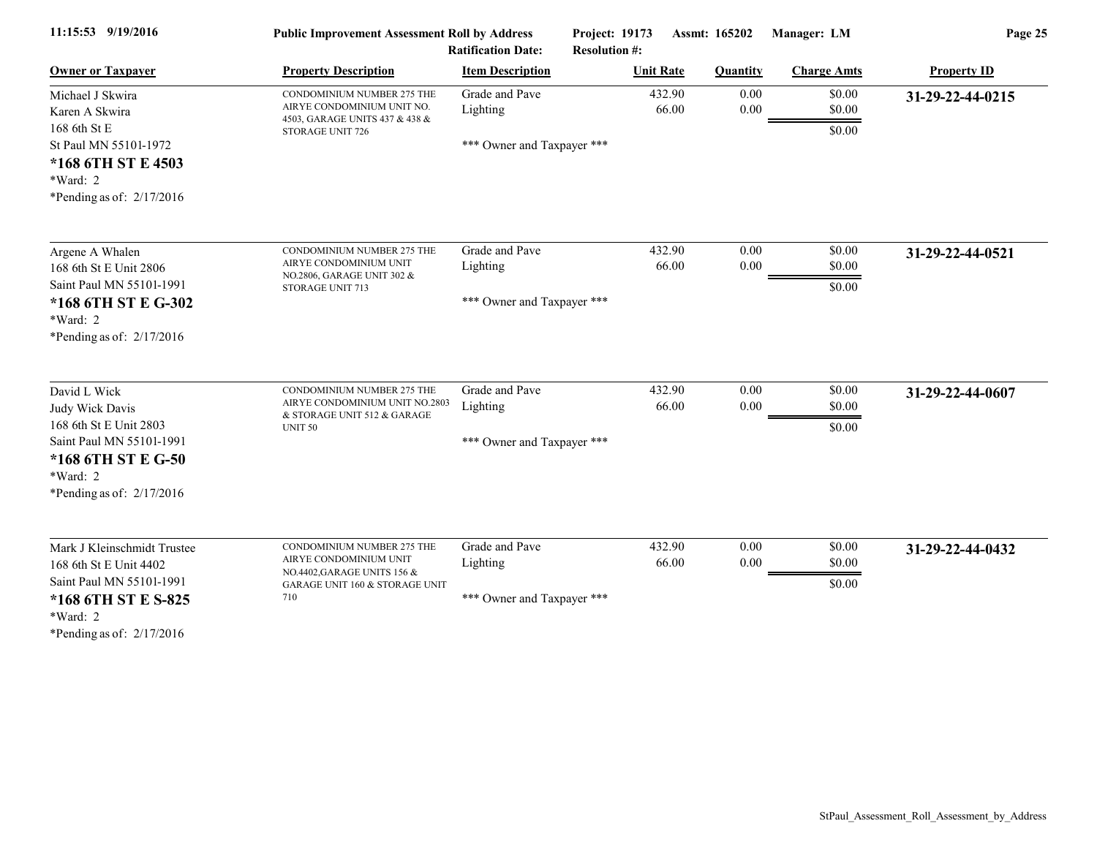| 11:15:53 9/19/2016                                                                                                                                     | <b>Public Improvement Assessment Roll by Address</b><br><b>Ratification Date:</b>                                            |                                                          | Project: 19173<br>Assmt: 165202<br><b>Resolution #:</b> |                 | Manager: LM                | Page 25            |  |
|--------------------------------------------------------------------------------------------------------------------------------------------------------|------------------------------------------------------------------------------------------------------------------------------|----------------------------------------------------------|---------------------------------------------------------|-----------------|----------------------------|--------------------|--|
| <b>Owner or Taxpayer</b>                                                                                                                               | <b>Property Description</b>                                                                                                  | <b>Item Description</b>                                  | <b>Unit Rate</b>                                        | <b>Quantity</b> | <b>Charge Amts</b>         | <b>Property ID</b> |  |
| Michael J Skwira<br>Karen A Skwira<br>168 6th St E                                                                                                     | CONDOMINIUM NUMBER 275 THE<br>AIRYE CONDOMINIUM UNIT NO.<br>4503, GARAGE UNITS 437 & 438 &                                   | Grade and Pave<br>Lighting                               | 432.90<br>66.00                                         | 0.00<br>0.00    | \$0.00<br>\$0.00<br>\$0.00 | 31-29-22-44-0215   |  |
| St Paul MN 55101-1972<br>*168 6TH ST E 4503<br>*Ward: 2<br>*Pending as of: $2/17/2016$                                                                 | STORAGE UNIT 726                                                                                                             | *** Owner and Taxpayer ***                               |                                                         |                 |                            |                    |  |
| Argene A Whalen<br>168 6th St E Unit 2806                                                                                                              | CONDOMINIUM NUMBER 275 THE<br>AIRYE CONDOMINIUM UNIT                                                                         | Grade and Pave<br>Lighting                               | 432.90<br>66.00                                         | 0.00<br>0.00    | \$0.00<br>\$0.00           | 31-29-22-44-0521   |  |
| Saint Paul MN 55101-1991<br>*168 6TH ST E G-302<br>*Ward: 2<br>*Pending as of: $2/17/2016$                                                             | NO.2806, GARAGE UNIT 302 &<br>STORAGE UNIT 713                                                                               | *** Owner and Taxpayer ***                               |                                                         |                 | \$0.00                     |                    |  |
| David L Wick<br>Judy Wick Davis<br>168 6th St E Unit 2803<br>Saint Paul MN 55101-1991<br>*168 6TH ST E G-50<br>*Ward: 2<br>*Pending as of: $2/17/2016$ | CONDOMINIUM NUMBER 275 THE<br>AIRYE CONDOMINIUM UNIT NO.2803<br>& STORAGE UNIT 512 & GARAGE<br><b>UNIT 50</b>                | Grade and Pave<br>Lighting<br>*** Owner and Taxpayer *** | 432.90<br>66.00                                         | 0.00<br>0.00    | \$0.00<br>\$0.00<br>\$0.00 | 31-29-22-44-0607   |  |
| Mark J Kleinschmidt Trustee<br>168 6th St E Unit 4402<br>Saint Paul MN 55101-1991<br>*168 6TH ST E S-825<br>*Ward: 2<br>*Pending as of: 2/17/2016      | CONDOMINIUM NUMBER 275 THE<br>AIRYE CONDOMINIUM UNIT<br>NO.4402, GARAGE UNITS 156 &<br>GARAGE UNIT 160 & STORAGE UNIT<br>710 | Grade and Pave<br>Lighting<br>*** Owner and Taxpayer *** | 432.90<br>66.00                                         | 0.00<br>0.00    | \$0.00<br>\$0.00<br>\$0.00 | 31-29-22-44-0432   |  |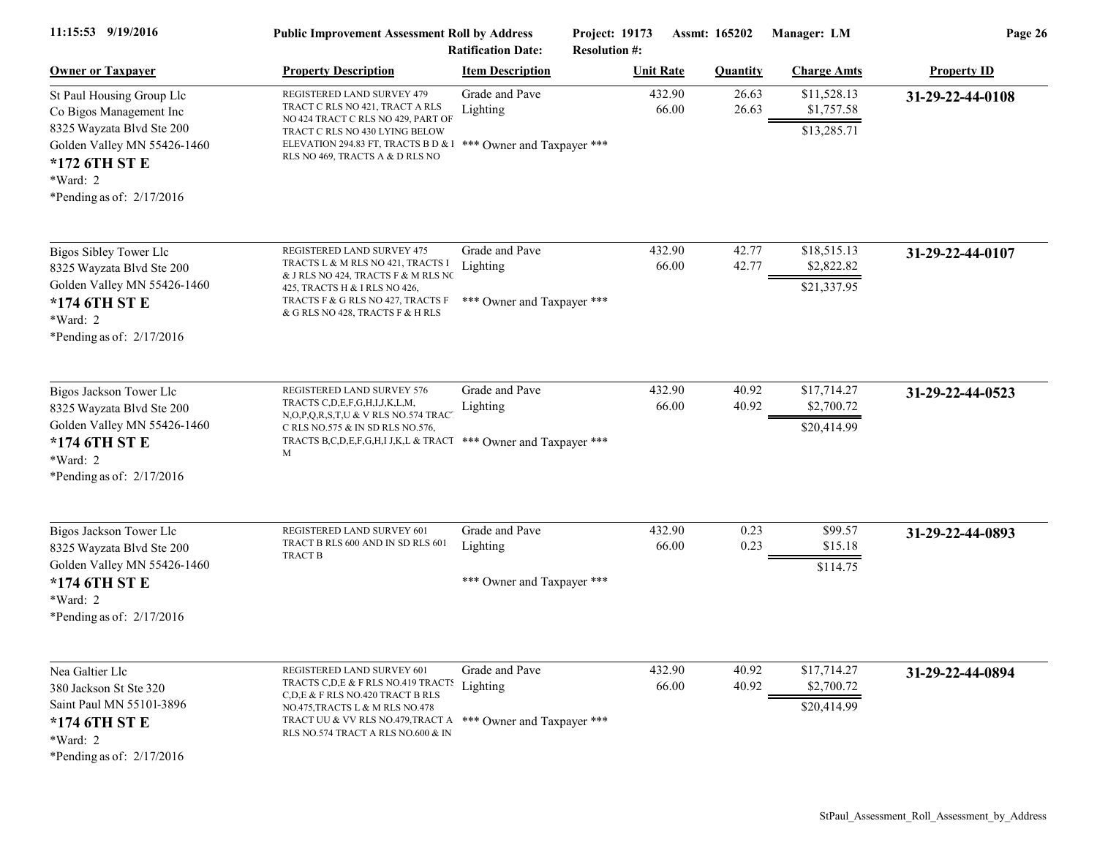| 11:15:53 9/19/2016                                                                                                                                                           | <b>Public Improvement Assessment Roll by Address</b><br><b>Ratification Date:</b>                                                                                                                                                                      |                                                          | Project: 19173<br>Assmt: 165202<br><b>Resolution #:</b> |                 | Manager: LM                              | Page 26            |  |
|------------------------------------------------------------------------------------------------------------------------------------------------------------------------------|--------------------------------------------------------------------------------------------------------------------------------------------------------------------------------------------------------------------------------------------------------|----------------------------------------------------------|---------------------------------------------------------|-----------------|------------------------------------------|--------------------|--|
| <b>Owner or Taxpayer</b>                                                                                                                                                     | <b>Property Description</b>                                                                                                                                                                                                                            | <b>Item Description</b>                                  | <b>Unit Rate</b>                                        | <b>Quantity</b> | <b>Charge Amts</b>                       | <b>Property ID</b> |  |
| St Paul Housing Group Llc<br>Co Bigos Management Inc<br>8325 Wayzata Blvd Ste 200<br>Golden Valley MN 55426-1460<br>*172 6TH ST E<br>*Ward: 2<br>*Pending as of: $2/17/2016$ | REGISTERED LAND SURVEY 479<br>TRACT C RLS NO 421, TRACT A RLS<br>NO 424 TRACT C RLS NO 429, PART OF<br>TRACT C RLS NO 430 LYING BELOW<br>ELEVATION 294.83 FT, TRACTS B D & 1 *** Owner and Taxpayer ***<br>RLS NO 469, TRACTS A & D RLS NO             | Grade and Pave<br>Lighting                               | 432.90<br>66.00                                         | 26.63<br>26.63  | \$11,528.13<br>\$1,757.58<br>\$13,285.71 | 31-29-22-44-0108   |  |
| <b>Bigos Sibley Tower Llc</b><br>8325 Wayzata Blvd Ste 200<br>Golden Valley MN 55426-1460<br>*174 6TH ST E<br>*Ward: 2<br>*Pending as of: $2/17/2016$                        | REGISTERED LAND SURVEY 475<br>TRACTS L & M RLS NO 421, TRACTS I<br>& J RLS NO 424, TRACTS F & M RLS NC<br>425, TRACTS H & I RLS NO 426,<br>TRACTS F & G RLS NO 427, TRACTS F<br>& G RLS NO 428, TRACTS F & H RLS                                       | Grade and Pave<br>Lighting<br>*** Owner and Taxpayer *** | 432.90<br>66.00                                         | 42.77<br>42.77  | \$18,515.13<br>\$2,822.82<br>\$21,337.95 | 31-29-22-44-0107   |  |
| Bigos Jackson Tower Llc<br>8325 Wayzata Blvd Ste 200<br>Golden Valley MN 55426-1460<br>*174 6TH ST E<br>*Ward: 2<br>*Pending as of: $2/17/2016$                              | REGISTERED LAND SURVEY 576<br>TRACTS C,D,E,F,G,H,I,J,K,L,M,<br>N,O,P,Q,R,S,T,U & V RLS NO.574 TRACT<br>C RLS NO.575 & IN SD RLS NO.576,<br>TRACTS B,C,D,E,F,G,H,I J,K,L & TRACT *** Owner and Taxpayer ***<br>М                                        | Grade and Pave<br>Lighting                               | 432.90<br>66.00                                         | 40.92<br>40.92  | \$17,714.27<br>\$2,700.72<br>\$20,414.99 | 31-29-22-44-0523   |  |
| Bigos Jackson Tower Llc<br>8325 Wayzata Blvd Ste 200<br>Golden Valley MN 55426-1460<br>*174 6TH ST E<br>$*Ward: 2$<br>*Pending as of: $2/17/2016$                            | REGISTERED LAND SURVEY 601<br>TRACT B RLS 600 AND IN SD RLS 601<br><b>TRACT B</b>                                                                                                                                                                      | Grade and Pave<br>Lighting<br>*** Owner and Taxpayer *** | 432.90<br>66.00                                         | 0.23<br>0.23    | \$99.57<br>\$15.18<br>\$114.75           | 31-29-22-44-0893   |  |
| Nea Galtier Llc<br>380 Jackson St Ste 320<br>Saint Paul MN 55101-3896<br>*174 6TH ST E<br>*Ward: 2<br>*Pending as of: $2/17/2016$                                            | REGISTERED LAND SURVEY 601<br>TRACTS C,D,E & F RLS NO.419 TRACTS Lighting<br>C,D,E & F RLS NO.420 TRACT B RLS<br>NO.475, TRACTS L & M RLS NO.478<br>TRACT UU & VV RLS NO.479, TRACT A *** Owner and Taxpayer ***<br>RLS NO.574 TRACT A RLS NO.600 & IN | Grade and Pave                                           | 432.90<br>66.00                                         | 40.92<br>40.92  | \$17,714.27<br>\$2,700.72<br>\$20,414.99 | 31-29-22-44-0894   |  |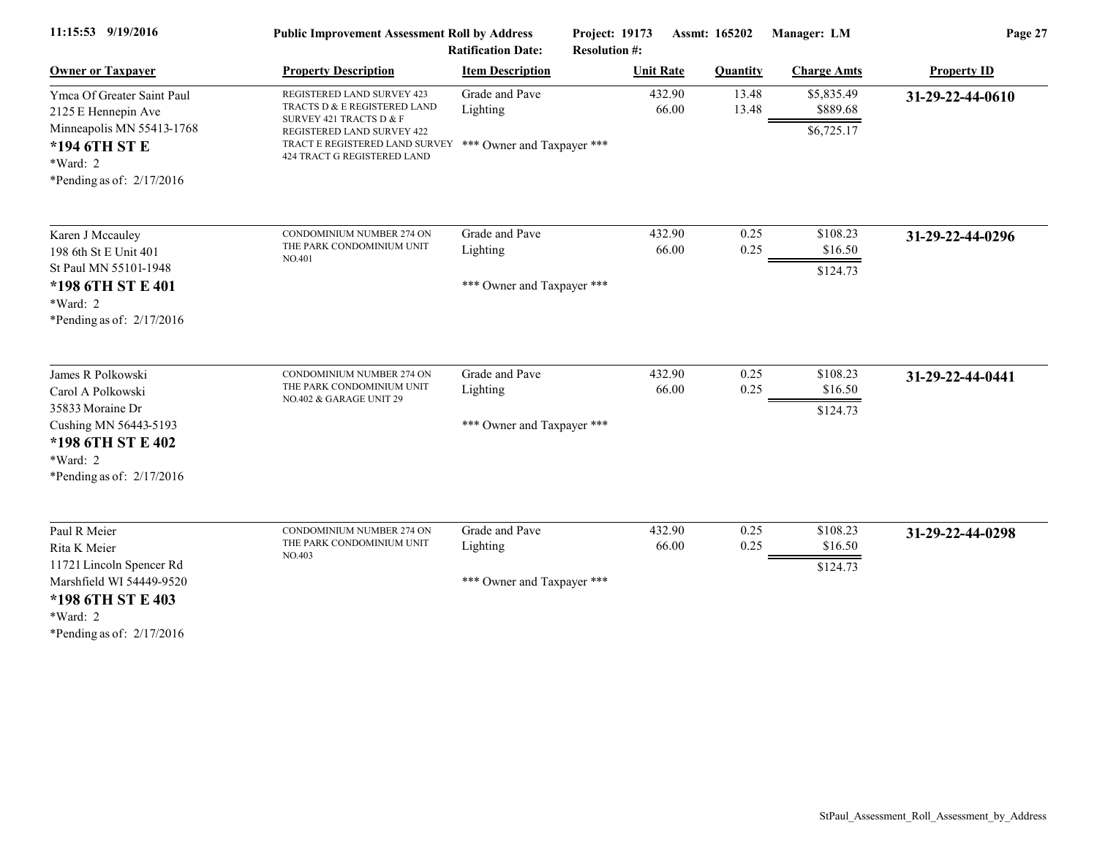| 11:15:53 9/19/2016                                                                                                     | <b>Public Improvement Assessment Roll by Address</b>                                                                                                                             |                            | Project: 19173<br>Assmt: 165202 |                 | Manager: LM                          | Page 27            |  |
|------------------------------------------------------------------------------------------------------------------------|----------------------------------------------------------------------------------------------------------------------------------------------------------------------------------|----------------------------|---------------------------------|-----------------|--------------------------------------|--------------------|--|
|                                                                                                                        |                                                                                                                                                                                  | <b>Ratification Date:</b>  | <b>Resolution #:</b>            |                 |                                      |                    |  |
| <b>Owner or Taxpayer</b>                                                                                               | <b>Property Description</b>                                                                                                                                                      | <b>Item Description</b>    | <b>Unit Rate</b>                | <b>Quantity</b> | <b>Charge Amts</b>                   | <b>Property ID</b> |  |
| Ymca Of Greater Saint Paul<br>2125 E Hennepin Ave<br>Minneapolis MN 55413-1768<br>*194 6TH ST E                        | REGISTERED LAND SURVEY 423<br>TRACTS D & E REGISTERED LAND<br>SURVEY 421 TRACTS D & F<br>REGISTERED LAND SURVEY 422<br>TRACT E REGISTERED LAND SURVEY *** Owner and Taxpayer *** | Grade and Pave<br>Lighting | 432.90<br>66.00                 | 13.48<br>13.48  | \$5,835.49<br>\$889.68<br>\$6,725.17 | 31-29-22-44-0610   |  |
| *Ward: 2<br>*Pending as of: $2/17/2016$                                                                                | 424 TRACT G REGISTERED LAND                                                                                                                                                      |                            |                                 |                 |                                      |                    |  |
| Karen J Mccauley<br>198 6th St E Unit 401                                                                              | CONDOMINIUM NUMBER 274 ON<br>THE PARK CONDOMINIUM UNIT                                                                                                                           | Grade and Pave<br>Lighting | 432.90<br>66.00                 | 0.25<br>0.25    | \$108.23<br>\$16.50                  | 31-29-22-44-0296   |  |
| St Paul MN 55101-1948<br>*198 6TH ST E 401<br>*Ward: 2<br>*Pending as of: $2/17/2016$                                  | NO.401                                                                                                                                                                           | *** Owner and Taxpayer *** |                                 |                 | \$124.73                             |                    |  |
| James R Polkowski<br>Carol A Polkowski                                                                                 | CONDOMINIUM NUMBER 274 ON<br>THE PARK CONDOMINIUM UNIT<br>NO.402 & GARAGE UNIT 29                                                                                                | Grade and Pave<br>Lighting | 432.90<br>66.00                 | 0.25<br>0.25    | \$108.23<br>\$16.50                  | 31-29-22-44-0441   |  |
| 35833 Moraine Dr<br>Cushing MN 56443-5193<br>*198 6TH ST E 402<br>*Ward: 2<br>*Pending as of: $2/17/2016$              |                                                                                                                                                                                  | *** Owner and Taxpayer *** |                                 |                 | \$124.73                             |                    |  |
| Paul R Meier<br>Rita K Meier                                                                                           | CONDOMINIUM NUMBER 274 ON<br>THE PARK CONDOMINIUM UNIT<br>NO.403                                                                                                                 | Grade and Pave<br>Lighting | 432.90<br>66.00                 | 0.25<br>0.25    | \$108.23<br>\$16.50                  | 31-29-22-44-0298   |  |
| 11721 Lincoln Spencer Rd<br>Marshfield WI 54449-9520<br>*198 6TH ST E 403<br>$*Ward: 2$<br>*Pending as of: $2/17/2016$ |                                                                                                                                                                                  | *** Owner and Taxpayer *** |                                 |                 | \$124.73                             |                    |  |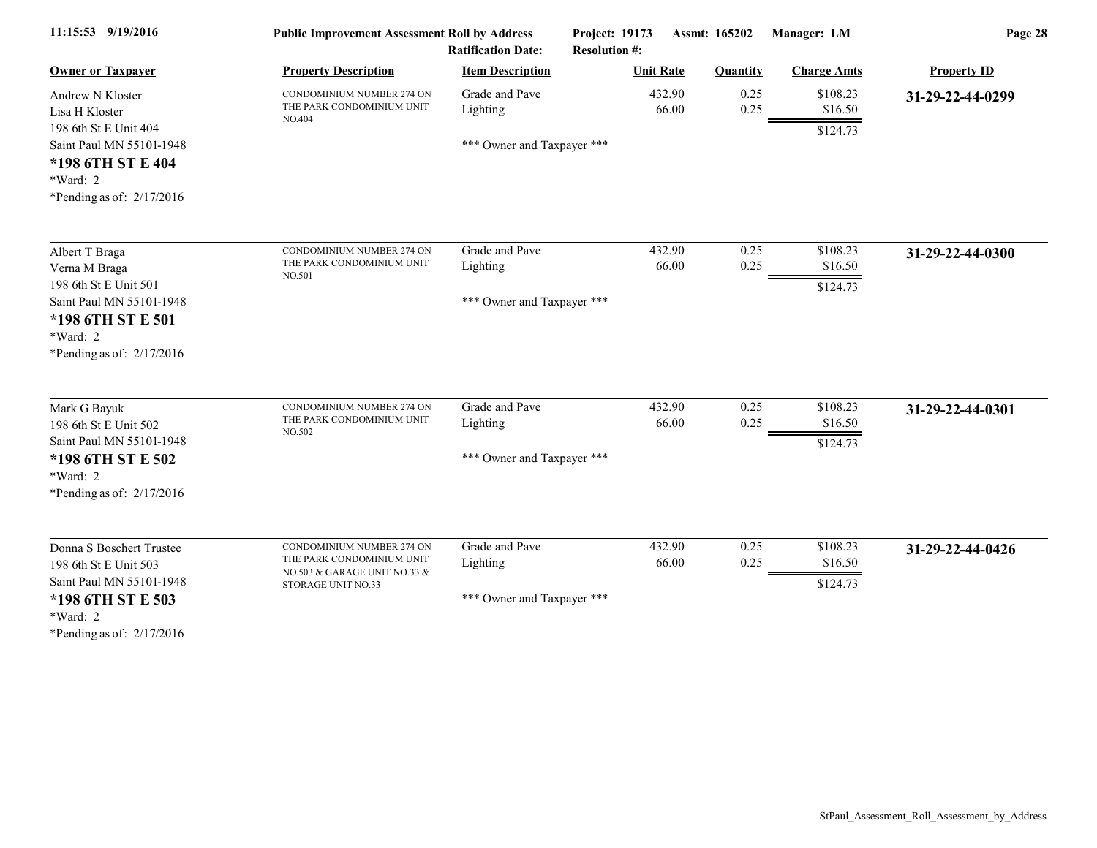| 11:15:53 9/19/2016                                                                                                                                   | <b>Public Improvement Assessment Roll by Address</b><br><b>Ratification Date:</b>                            |                                                          | Project: 19173<br>Assmt: 165202<br><b>Resolution #:</b> |                 | Manager: LM                     | Page 28            |  |
|------------------------------------------------------------------------------------------------------------------------------------------------------|--------------------------------------------------------------------------------------------------------------|----------------------------------------------------------|---------------------------------------------------------|-----------------|---------------------------------|--------------------|--|
| <b>Owner or Taxpayer</b>                                                                                                                             | <b>Property Description</b>                                                                                  | <b>Item Description</b>                                  | <b>Unit Rate</b>                                        | <b>Quantity</b> | <b>Charge Amts</b>              | <b>Property ID</b> |  |
| Andrew N Kloster<br>Lisa H Kloster                                                                                                                   | CONDOMINIUM NUMBER 274 ON<br>THE PARK CONDOMINIUM UNIT<br>NO.404                                             | Grade and Pave<br>Lighting                               | 432.90<br>66.00                                         | 0.25<br>0.25    | \$108.23<br>\$16.50             | 31-29-22-44-0299   |  |
| 198 6th St E Unit 404<br>Saint Paul MN 55101-1948<br>*198 6TH ST E 404<br>*Ward: 2<br>*Pending as of: $2/17/2016$                                    |                                                                                                              | *** Owner and Taxpayer ***                               |                                                         |                 | \$124.73                        |                    |  |
| Albert T Braga<br>Verna M Braga<br>198 6th St E Unit 501<br>Saint Paul MN 55101-1948<br>*198 6TH ST E 501<br>*Ward: 2<br>*Pending as of: $2/17/2016$ | CONDOMINIUM NUMBER 274 ON<br>THE PARK CONDOMINIUM UNIT<br>NO.501                                             | Grade and Pave<br>Lighting<br>*** Owner and Taxpayer *** | 432.90<br>66.00                                         | 0.25<br>0.25    | \$108.23<br>\$16.50<br>\$124.73 | 31-29-22-44-0300   |  |
| Mark G Bayuk<br>198 6th St E Unit 502<br>Saint Paul MN 55101-1948<br>*198 6TH ST E 502<br>*Ward: 2<br>*Pending as of: $2/17/2016$                    | CONDOMINIUM NUMBER 274 ON<br>THE PARK CONDOMINIUM UNIT<br>NO.502                                             | Grade and Pave<br>Lighting<br>*** Owner and Taxpayer *** | 432.90<br>66.00                                         | 0.25<br>0.25    | \$108.23<br>\$16.50<br>\$124.73 | 31-29-22-44-0301   |  |
| Donna S Boschert Trustee<br>198 6th St E Unit 503<br>Saint Paul MN 55101-1948<br>*198 6TH ST E 503<br>*Ward: 2<br>*Pending as of: $2/17/2016$        | CONDOMINIUM NUMBER 274 ON<br>THE PARK CONDOMINIUM UNIT<br>NO.503 & GARAGE UNIT NO.33 &<br>STORAGE UNIT NO.33 | Grade and Pave<br>Lighting<br>*** Owner and Taxpayer *** | 432.90<br>66.00                                         | 0.25<br>0.25    | \$108.23<br>\$16.50<br>\$124.73 | 31-29-22-44-0426   |  |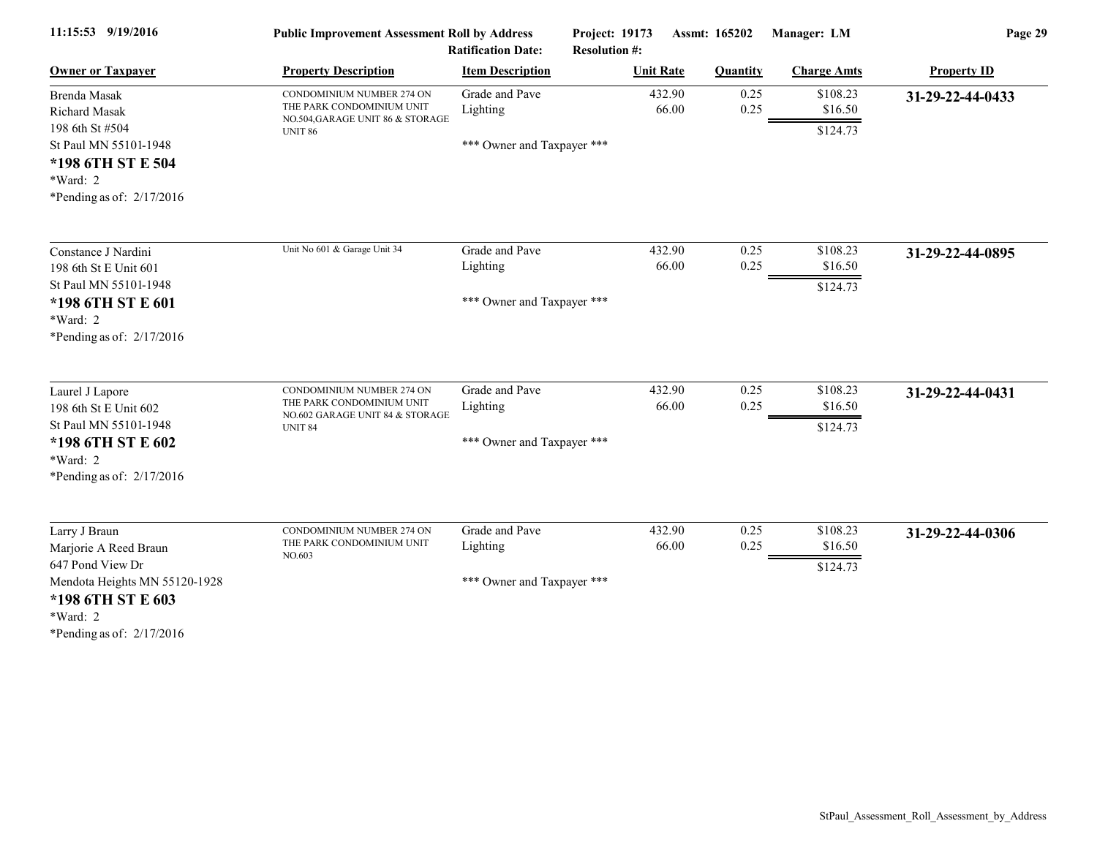| 11:15:53 9/19/2016            | <b>Public Improvement Assessment Roll by Address</b>          |                            | Project: 19173       | Assmt: 165202   | Manager: LM        | Page 29            |
|-------------------------------|---------------------------------------------------------------|----------------------------|----------------------|-----------------|--------------------|--------------------|
|                               |                                                               | <b>Ratification Date:</b>  | <b>Resolution #:</b> |                 |                    |                    |
| <b>Owner or Taxpayer</b>      | <b>Property Description</b>                                   | <b>Item Description</b>    | <b>Unit Rate</b>     | <b>Quantity</b> | <b>Charge Amts</b> | <b>Property ID</b> |
| Brenda Masak                  | CONDOMINIUM NUMBER 274 ON                                     | Grade and Pave             | 432.90               | 0.25            | \$108.23           | 31-29-22-44-0433   |
| <b>Richard Masak</b>          | THE PARK CONDOMINIUM UNIT<br>NO.504, GARAGE UNIT 86 & STORAGE | Lighting                   | 66.00                | 0.25            | \$16.50            |                    |
| 198 6th St #504               | <b>UNIT 86</b>                                                |                            |                      |                 | \$124.73           |                    |
| St Paul MN 55101-1948         |                                                               | *** Owner and Taxpayer *** |                      |                 |                    |                    |
| *198 6TH ST E 504             |                                                               |                            |                      |                 |                    |                    |
| *Ward: 2                      |                                                               |                            |                      |                 |                    |                    |
| *Pending as of: $2/17/2016$   |                                                               |                            |                      |                 |                    |                    |
| Constance J Nardini           | Unit No 601 & Garage Unit 34                                  | Grade and Pave             | 432.90               | 0.25            | \$108.23           | 31-29-22-44-0895   |
| 198 6th St E Unit 601         |                                                               | Lighting                   | 66.00                | 0.25            | \$16.50            |                    |
| St Paul MN 55101-1948         |                                                               |                            |                      |                 | \$124.73           |                    |
| *198 6TH ST E 601             |                                                               | *** Owner and Taxpayer *** |                      |                 |                    |                    |
| *Ward: 2                      |                                                               |                            |                      |                 |                    |                    |
| *Pending as of: $2/17/2016$   |                                                               |                            |                      |                 |                    |                    |
| Laurel J Lapore               | CONDOMINIUM NUMBER 274 ON                                     | Grade and Pave             | 432.90               | 0.25            | \$108.23           | 31-29-22-44-0431   |
| 198 6th St E Unit 602         | THE PARK CONDOMINIUM UNIT                                     | Lighting                   | 66.00                | 0.25            | \$16.50            |                    |
| St Paul MN 55101-1948         | NO.602 GARAGE UNIT 84 & STORAGE<br><b>UNIT 84</b>             |                            |                      |                 | \$124.73           |                    |
| *198 6TH ST E 602             |                                                               | *** Owner and Taxpayer *** |                      |                 |                    |                    |
| *Ward: 2                      |                                                               |                            |                      |                 |                    |                    |
| *Pending as of: $2/17/2016$   |                                                               |                            |                      |                 |                    |                    |
| Larry J Braun                 | CONDOMINIUM NUMBER 274 ON                                     | Grade and Pave             | 432.90               | 0.25            | \$108.23           | 31-29-22-44-0306   |
| Marjorie A Reed Braun         | THE PARK CONDOMINIUM UNIT                                     | Lighting                   | 66.00                | 0.25            | \$16.50            |                    |
| 647 Pond View Dr              | NO.603                                                        |                            |                      |                 | \$124.73           |                    |
| Mendota Heights MN 55120-1928 |                                                               | *** Owner and Taxpayer *** |                      |                 |                    |                    |
| *198 6TH ST E 603             |                                                               |                            |                      |                 |                    |                    |
| *Ward: 2                      |                                                               |                            |                      |                 |                    |                    |
| *Pending as of: $2/17/2016$   |                                                               |                            |                      |                 |                    |                    |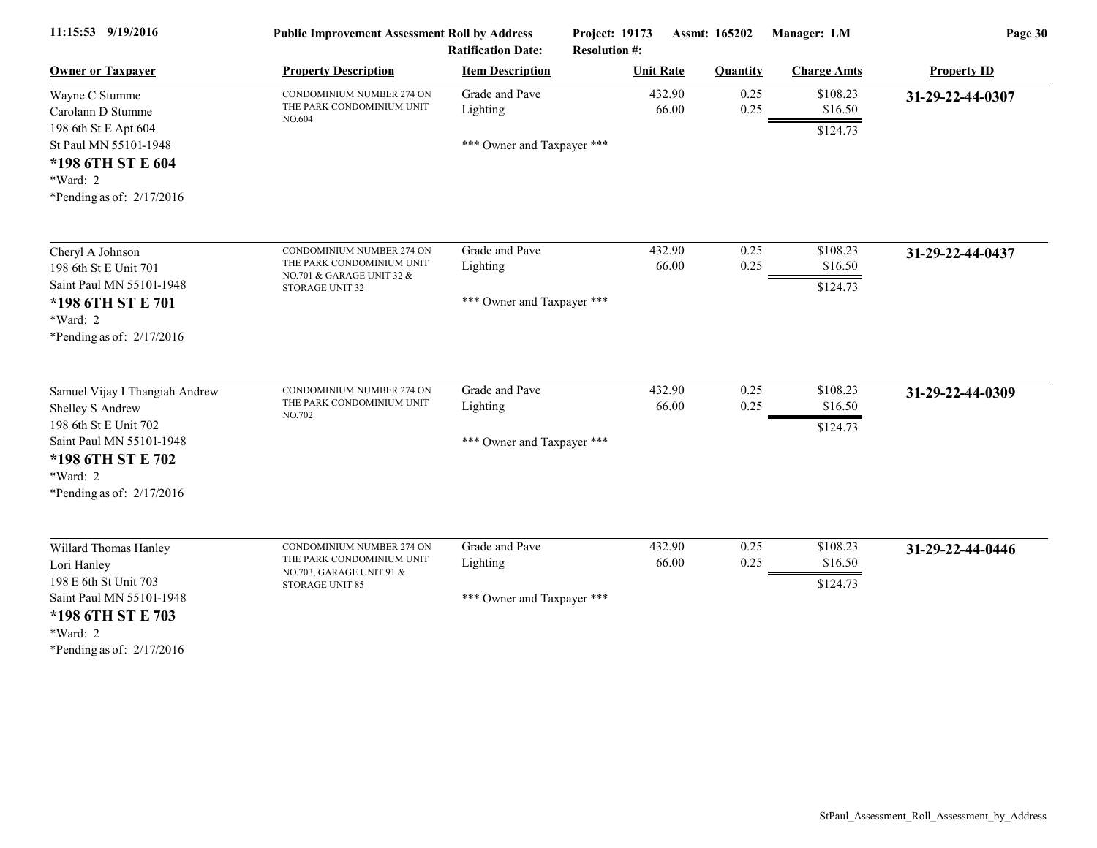| 11:15:53 9/19/2016                                                                                                                                                        | <b>Public Improvement Assessment Roll by Address</b><br><b>Ratification Date:</b>                      |                                                          | Project: 19173<br>Assmt: 165202<br><b>Resolution #:</b> |                       | Manager: LM                     | Page 30            |  |
|---------------------------------------------------------------------------------------------------------------------------------------------------------------------------|--------------------------------------------------------------------------------------------------------|----------------------------------------------------------|---------------------------------------------------------|-----------------------|---------------------------------|--------------------|--|
| <b>Owner or Taxpayer</b>                                                                                                                                                  | <b>Property Description</b>                                                                            | <b>Item Description</b>                                  | <b>Unit Rate</b>                                        | <b>Quantity</b>       | <b>Charge Amts</b>              | <b>Property ID</b> |  |
| Wayne C Stumme<br>Carolann D Stumme<br>198 6th St E Apt 604                                                                                                               | CONDOMINIUM NUMBER 274 ON<br>THE PARK CONDOMINIUM UNIT<br>NO.604                                       | Grade and Pave<br>Lighting                               | 432.90                                                  | 0.25<br>0.25<br>66.00 | \$108.23<br>\$16.50<br>\$124.73 | 31-29-22-44-0307   |  |
| St Paul MN 55101-1948<br>*198 6TH ST E 604<br>*Ward: 2<br>*Pending as of: $2/17/2016$                                                                                     |                                                                                                        | *** Owner and Taxpayer ***                               |                                                         |                       |                                 |                    |  |
| Cheryl A Johnson<br>198 6th St E Unit 701<br>Saint Paul MN 55101-1948<br>*198 6TH ST E 701<br>*Ward: 2<br>*Pending as of: $2/17/2016$                                     | CONDOMINIUM NUMBER 274 ON<br>THE PARK CONDOMINIUM UNIT<br>NO.701 & GARAGE UNIT 32 &<br>STORAGE UNIT 32 | Grade and Pave<br>Lighting<br>*** Owner and Taxpayer *** | 432.90                                                  | 0.25<br>66.00<br>0.25 | \$108.23<br>\$16.50<br>\$124.73 | 31-29-22-44-0437   |  |
| Samuel Vijay I Thangiah Andrew<br>Shelley S Andrew<br>198 6th St E Unit 702<br>Saint Paul MN 55101-1948<br>*198 6TH ST E 702<br>$*Ward: 2$<br>*Pending as of: $2/17/2016$ | CONDOMINIUM NUMBER 274 ON<br>THE PARK CONDOMINIUM UNIT<br>NO.702                                       | Grade and Pave<br>Lighting<br>*** Owner and Taxpayer *** | 432.90                                                  | 0.25<br>0.25<br>66.00 | \$108.23<br>\$16.50<br>\$124.73 | 31-29-22-44-0309   |  |
| Willard Thomas Hanley<br>Lori Hanley<br>198 E 6th St Unit 703<br>Saint Paul MN 55101-1948<br>*198 6TH ST E 703<br>*Ward: 2<br>*Pending as of: $2/17/2016$                 | CONDOMINIUM NUMBER 274 ON<br>THE PARK CONDOMINIUM UNIT<br>NO.703, GARAGE UNIT 91 &<br>STORAGE UNIT 85  | Grade and Pave<br>Lighting<br>*** Owner and Taxpayer *** | 432.90                                                  | 0.25<br>66.00<br>0.25 | \$108.23<br>\$16.50<br>\$124.73 | 31-29-22-44-0446   |  |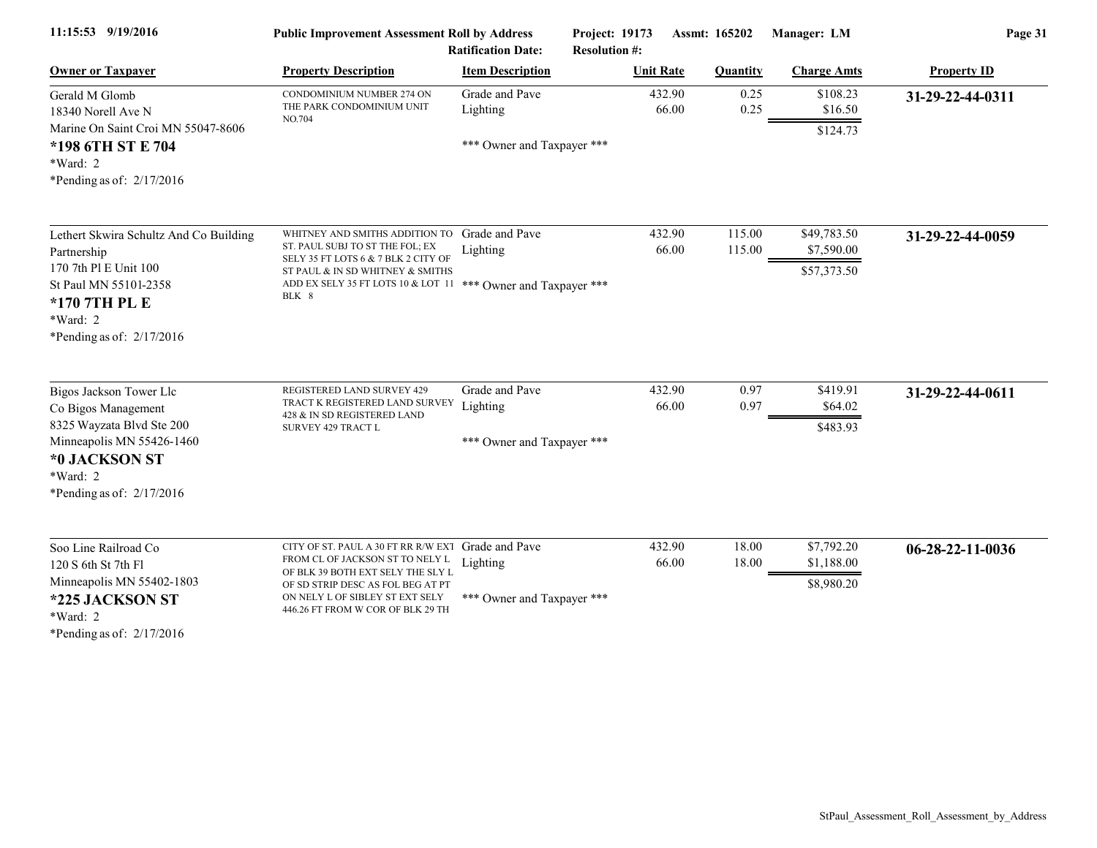| 11:15:53 9/19/2016                                                                                                                                                   | <b>Public Improvement Assessment Roll by Address</b><br><b>Ratification Date:</b>                                                                                                                                        |                                                          | Project: 19173<br>Assmt: 165202<br><b>Resolution #:</b> |                  | Manager: LM                              | Page 31            |  |
|----------------------------------------------------------------------------------------------------------------------------------------------------------------------|--------------------------------------------------------------------------------------------------------------------------------------------------------------------------------------------------------------------------|----------------------------------------------------------|---------------------------------------------------------|------------------|------------------------------------------|--------------------|--|
| <b>Owner or Taxpayer</b>                                                                                                                                             | <b>Property Description</b>                                                                                                                                                                                              | <b>Item Description</b>                                  | <b>Unit Rate</b>                                        | <b>Quantity</b>  | <b>Charge Amts</b>                       | <b>Property ID</b> |  |
| Gerald M Glomb<br>18340 Norell Ave N                                                                                                                                 | CONDOMINIUM NUMBER 274 ON<br>THE PARK CONDOMINIUM UNIT<br>NO.704                                                                                                                                                         | Grade and Pave<br>Lighting                               | 432.90<br>66.00                                         | 0.25<br>0.25     | \$108.23<br>\$16.50                      | 31-29-22-44-0311   |  |
| Marine On Saint Croi MN 55047-8606<br>*198 6TH ST E 704<br>*Ward: 2<br>*Pending as of: $2/17/2016$                                                                   |                                                                                                                                                                                                                          | *** Owner and Taxpayer ***                               |                                                         |                  | \$124.73                                 |                    |  |
| Lethert Skwira Schultz And Co Building<br>Partnership<br>170 7th Pl E Unit 100<br>St Paul MN 55101-2358<br>*170 7TH PL E<br>*Ward: 2<br>*Pending as of: $2/17/2016$  | WHITNEY AND SMITHS ADDITION TO<br>ST. PAUL SUBJ TO ST THE FOL; EX<br>SELY 35 FT LOTS 6 & 7 BLK 2 CITY OF<br>ST PAUL & IN SD WHITNEY & SMITHS<br>ADD EX SELY 35 FT LOTS 10 & LOT 11 *** Owner and Taxpayer ***<br>BLK 8   | Grade and Pave<br>Lighting                               | 432.90<br>66.00                                         | 115.00<br>115.00 | \$49,783.50<br>\$7,590.00<br>\$57,373.50 | 31-29-22-44-0059   |  |
| Bigos Jackson Tower Llc<br>Co Bigos Management<br>8325 Wayzata Blvd Ste 200<br>Minneapolis MN 55426-1460<br>*0 JACKSON ST<br>*Ward: 2<br>*Pending as of: $2/17/2016$ | REGISTERED LAND SURVEY 429<br>TRACT K REGISTERED LAND SURVEY Lighting<br>428 & IN SD REGISTERED LAND<br>SURVEY 429 TRACT L                                                                                               | Grade and Pave<br>*** Owner and Taxpayer ***             | 432.90<br>66.00                                         | 0.97<br>0.97     | \$419.91<br>\$64.02<br>\$483.93          | 31-29-22-44-0611   |  |
| Soo Line Railroad Co<br>120 S 6th St 7th F1<br>Minneapolis MN 55402-1803<br>*225 JACKSON ST<br>*Ward: 2<br>*Pending as of: $2/17/2016$                               | CITY OF ST. PAUL A 30 FT RR R/W EXT<br>FROM CL OF JACKSON ST TO NELY L<br>OF BLK 39 BOTH EXT SELY THE SLY L<br>OF SD STRIP DESC AS FOL BEG AT PT<br>ON NELY L OF SIBLEY ST EXT SELY<br>446.26 FT FROM W COR OF BLK 29 TH | Grade and Pave<br>Lighting<br>*** Owner and Taxpayer *** | 432.90<br>66.00                                         | 18.00<br>18.00   | \$7,792.20<br>\$1,188.00<br>\$8,980.20   | 06-28-22-11-0036   |  |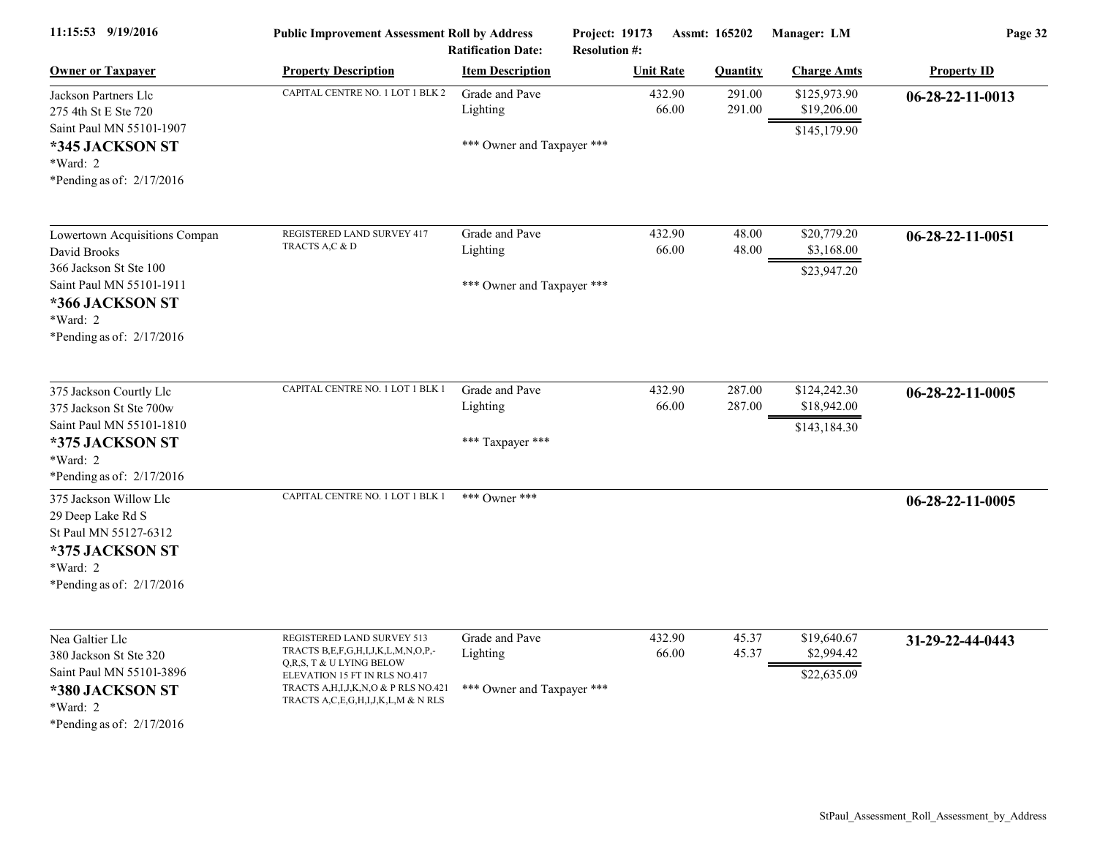| 11:15:53 9/19/2016                                                                                                                                              | <b>Public Improvement Assessment Roll by Address</b><br><b>Ratification Date:</b>                                                                                                                                |                                                          | <b>Project: 19173</b><br><b>Assmt: 165202</b><br><b>Resolution #:</b> |                           | Manager: LM                                 | Page 32            |  |
|-----------------------------------------------------------------------------------------------------------------------------------------------------------------|------------------------------------------------------------------------------------------------------------------------------------------------------------------------------------------------------------------|----------------------------------------------------------|-----------------------------------------------------------------------|---------------------------|---------------------------------------------|--------------------|--|
| <b>Owner or Taxpayer</b>                                                                                                                                        | <b>Property Description</b>                                                                                                                                                                                      | <b>Item Description</b>                                  | <b>Unit Rate</b>                                                      | <b>Quantity</b>           | <b>Charge Amts</b>                          | <b>Property ID</b> |  |
| Jackson Partners Llc<br>275 4th St E Ste 720<br>Saint Paul MN 55101-1907<br>*345 JACKSON ST<br>*Ward: 2<br>*Pending as of: 2/17/2016                            | CAPITAL CENTRE NO. 1 LOT 1 BLK 2                                                                                                                                                                                 | Grade and Pave<br>Lighting<br>*** Owner and Taxpayer *** | 432.90                                                                | 291.00<br>66.00<br>291.00 | \$125,973.90<br>\$19,206.00<br>\$145,179.90 | 06-28-22-11-0013   |  |
| Lowertown Acquisitions Compan<br>David Brooks<br>366 Jackson St Ste 100<br>Saint Paul MN 55101-1911<br>*366 JACKSON ST<br>*Ward: 2<br>*Pending as of: 2/17/2016 | REGISTERED LAND SURVEY 417<br>TRACTS A,C & D                                                                                                                                                                     | Grade and Pave<br>Lighting<br>*** Owner and Taxpayer *** | 432.90<br>66.00                                                       | 48.00<br>48.00            | \$20,779.20<br>\$3,168.00<br>\$23,947.20    | 06-28-22-11-0051   |  |
| 375 Jackson Courtly Llc<br>375 Jackson St Ste 700w<br>Saint Paul MN 55101-1810<br>*375 JACKSON ST<br>*Ward: 2<br>*Pending as of: $2/17/2016$                    | CAPITAL CENTRE NO. 1 LOT 1 BLK 1                                                                                                                                                                                 | Grade and Pave<br>Lighting<br>*** Taxpayer ***           | 432.90<br>66.00                                                       | 287.00<br>287.00          | \$124,242.30<br>\$18,942.00<br>\$143,184.30 | $06-28-22-11-0005$ |  |
| 375 Jackson Willow Llc<br>29 Deep Lake Rd S<br>St Paul MN 55127-6312<br>*375 JACKSON ST<br>$*Ward: 2$<br>*Pending as of: $2/17/2016$                            | CAPITAL CENTRE NO. 1 LOT 1 BLK 1                                                                                                                                                                                 | *** Owner ***                                            |                                                                       |                           |                                             | $06-28-22-11-0005$ |  |
| Nea Galtier Llc<br>380 Jackson St Ste 320<br>Saint Paul MN 55101-3896<br>*380 JACKSON ST<br>*Ward: 2<br>*Pending as of: $2/17/2016$                             | REGISTERED LAND SURVEY 513<br>TRACTS B,E,F,G,H,I,J,K,L,M,N,O,P,-<br>Q,R,S, T & U LYING BELOW<br>ELEVATION 15 FT IN RLS NO.417<br>TRACTS A, H, I, J, K, N, O & P RLS NO.421<br>TRACTS A,C,E,G,H,I,J,K,L,M & N RLS | Grade and Pave<br>Lighting<br>*** Owner and Taxpayer *** | 432.90<br>66.00                                                       | 45.37<br>45.37            | \$19,640.67<br>\$2,994.42<br>\$22,635.09    | 31-29-22-44-0443   |  |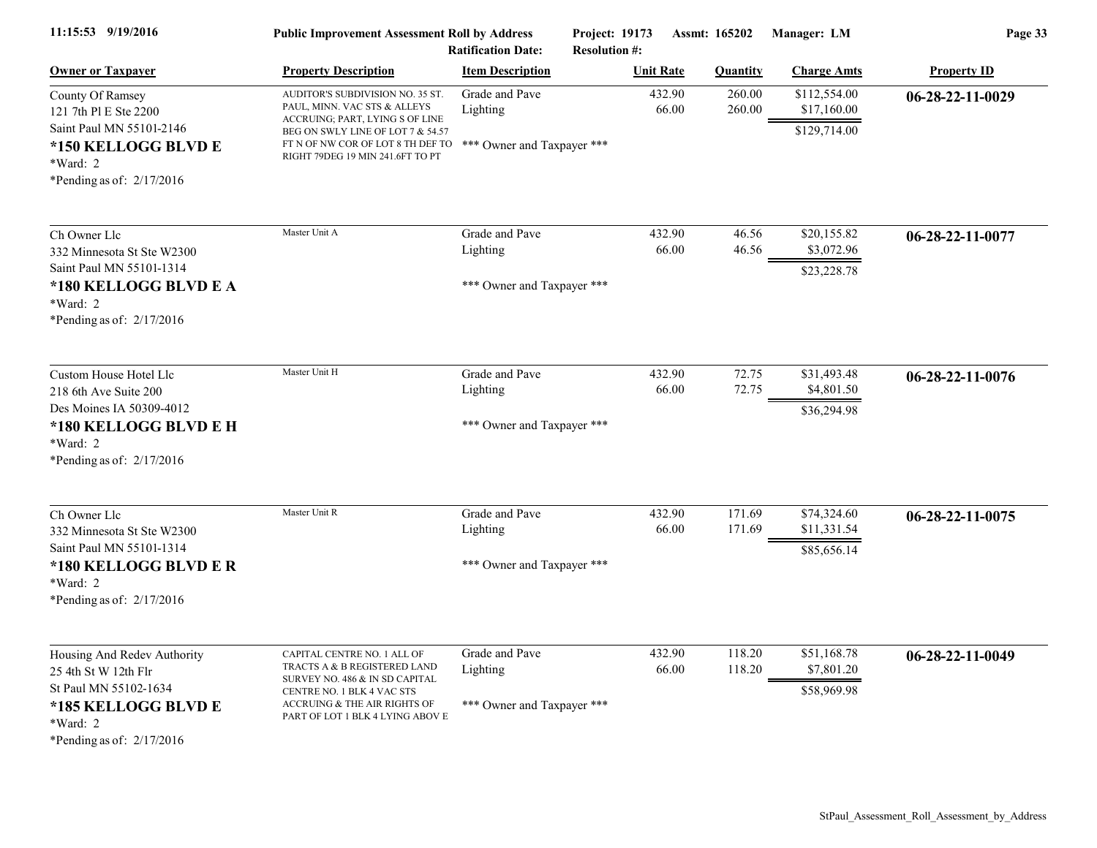| 11:15:53 9/19/2016                                                                                                                              | <b>Public Improvement Assessment Roll by Address</b><br><b>Ratification Date:</b>                                                                                                                                                            |                                                          | Project: 19173<br>Assmt: 165202<br><b>Resolution #:</b> |                  | Manager: LM                                 | Page 33            |  |
|-------------------------------------------------------------------------------------------------------------------------------------------------|----------------------------------------------------------------------------------------------------------------------------------------------------------------------------------------------------------------------------------------------|----------------------------------------------------------|---------------------------------------------------------|------------------|---------------------------------------------|--------------------|--|
| <b>Owner or Taxpayer</b>                                                                                                                        | <b>Property Description</b>                                                                                                                                                                                                                  | <b>Item Description</b>                                  | <b>Unit Rate</b>                                        | <b>Quantity</b>  | <b>Charge Amts</b>                          | <b>Property ID</b> |  |
| County Of Ramsey<br>121 7th Pl E Ste 2200<br>Saint Paul MN 55101-2146<br>*150 KELLOGG BLVD E<br>*Ward: 2<br>*Pending as of: $2/17/2016$         | AUDITOR'S SUBDIVISION NO. 35 ST.<br>PAUL, MINN. VAC STS & ALLEYS<br>ACCRUING; PART, LYING S OF LINE<br>BEG ON SWLY LINE OF LOT 7 & 54.57<br>FT N OF NW COR OF LOT 8 TH DEF TO *** Owner and Taxpayer ***<br>RIGHT 79DEG 19 MIN 241.6FT TO PT | Grade and Pave<br>Lighting                               | 432.90<br>66.00                                         | 260.00<br>260.00 | \$112,554.00<br>\$17,160.00<br>\$129,714.00 | 06-28-22-11-0029   |  |
| Ch Owner Llc<br>332 Minnesota St Ste W2300<br>Saint Paul MN 55101-1314                                                                          | Master Unit A                                                                                                                                                                                                                                | Grade and Pave<br>Lighting                               | 432.90<br>66.00                                         | 46.56<br>46.56   | \$20,155.82<br>\$3,072.96                   | 06-28-22-11-0077   |  |
| *180 KELLOGG BLVD E A<br>*Ward: 2<br>*Pending as of: 2/17/2016                                                                                  |                                                                                                                                                                                                                                              | *** Owner and Taxpayer ***                               |                                                         |                  | \$23,228.78                                 |                    |  |
| Custom House Hotel Llc<br>218 6th Ave Suite 200<br>Des Moines IA 50309-4012<br>*180 KELLOGG BLVD E H<br>*Ward: 2<br>*Pending as of: $2/17/2016$ | Master Unit H                                                                                                                                                                                                                                | Grade and Pave<br>Lighting<br>*** Owner and Taxpayer *** | 432.90<br>66.00                                         | 72.75<br>72.75   | \$31,493.48<br>\$4,801.50<br>\$36,294.98    | 06-28-22-11-0076   |  |
| Ch Owner Llc<br>332 Minnesota St Ste W2300<br>Saint Paul MN 55101-1314<br>*180 KELLOGG BLVD E R<br>$*Ward: 2$<br>*Pending as of: $2/17/2016$    | Master Unit R                                                                                                                                                                                                                                | Grade and Pave<br>Lighting<br>*** Owner and Taxpayer *** | 432.90<br>66.00                                         | 171.69<br>171.69 | \$74,324.60<br>\$11,331.54<br>\$85,656.14   | 06-28-22-11-0075   |  |
| Housing And Redev Authority<br>25 4th St W 12th Flr<br>St Paul MN 55102-1634<br>*185 KELLOGG BLVD E<br>*Ward: 2<br>*Pending as of: 2/17/2016    | CAPITAL CENTRE NO. 1 ALL OF<br>TRACTS A & B REGISTERED LAND<br>SURVEY NO. 486 & IN SD CAPITAL<br>CENTRE NO. 1 BLK 4 VAC STS<br>ACCRUING & THE AIR RIGHTS OF<br>PART OF LOT 1 BLK 4 LYING ABOV E                                              | Grade and Pave<br>Lighting<br>*** Owner and Taxpayer *** | 432.90<br>66.00                                         | 118.20<br>118.20 | \$51,168.78<br>\$7,801.20<br>\$58,969.98    | 06-28-22-11-0049   |  |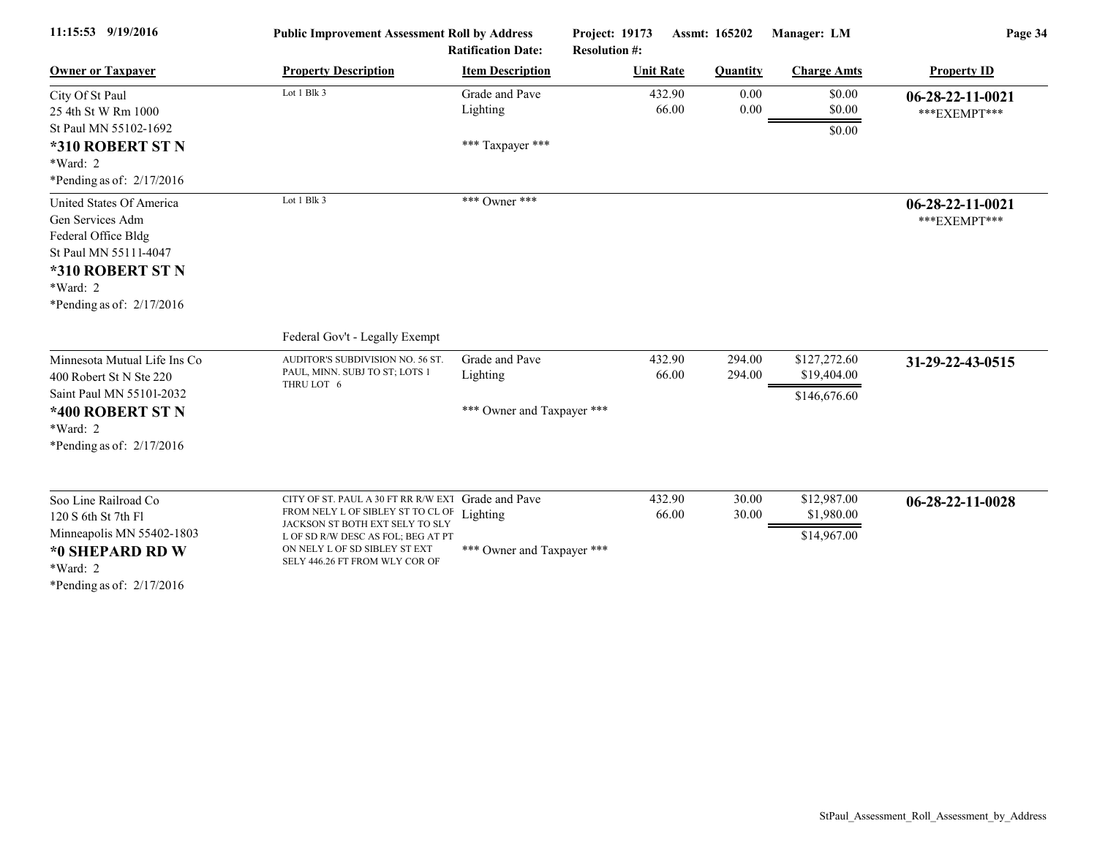| 11:15:53 9/19/2016                                                                                                                                          |                                                                                                                                                                                                                      | <b>Public Improvement Assessment Roll by Address</b><br><b>Ratification Date:</b> |                  | Manager: LM<br>Project: 19173<br>Assmt: 165202<br><b>Resolution #:</b> |                                                            | Page 34                            |  |
|-------------------------------------------------------------------------------------------------------------------------------------------------------------|----------------------------------------------------------------------------------------------------------------------------------------------------------------------------------------------------------------------|-----------------------------------------------------------------------------------|------------------|------------------------------------------------------------------------|------------------------------------------------------------|------------------------------------|--|
| <b>Owner or Taxpayer</b>                                                                                                                                    | <b>Property Description</b>                                                                                                                                                                                          | <b>Item Description</b>                                                           | <b>Unit Rate</b> | <b>Quantity</b>                                                        | <b>Charge Amts</b>                                         | <b>Property ID</b>                 |  |
| City Of St Paul<br>25 4th St W Rm 1000<br>St Paul MN 55102-1692<br>*310 ROBERT ST N<br>*Ward: 2<br>*Pending as of: $2/17/2016$                              | Lot 1 Blk 3                                                                                                                                                                                                          | Grade and Pave<br>Lighting<br>*** Taxpayer ***                                    |                  | 432.90<br>66.00                                                        | \$0.00<br>0.00<br>0.00<br>\$0.00<br>\$0.00                 | $06-28-22-11-0021$<br>***EXEMPT*** |  |
| United States Of America<br>Gen Services Adm<br>Federal Office Bldg<br>St Paul MN 55111-4047<br>*310 ROBERT ST N<br>*Ward: 2<br>*Pending as of: $2/17/2016$ | Lot 1 Blk 3                                                                                                                                                                                                          | *** Owner ***                                                                     |                  |                                                                        |                                                            | $06-28-22-11-0021$<br>***EXEMPT*** |  |
|                                                                                                                                                             | Federal Gov't - Legally Exempt                                                                                                                                                                                       |                                                                                   |                  |                                                                        |                                                            |                                    |  |
| Minnesota Mutual Life Ins Co<br>400 Robert St N Ste 220<br>Saint Paul MN 55101-2032<br>*400 ROBERT ST N<br>*Ward: 2<br>*Pending as of: $2/17/2016$          | AUDITOR'S SUBDIVISION NO. 56 ST.<br>PAUL, MINN. SUBJ TO ST; LOTS 1<br>THRU LOT 6                                                                                                                                     | Grade and Pave<br>Lighting<br>*** Owner and Taxpayer ***                          |                  | 432.90<br>294.00<br>66.00<br>294.00                                    | \$127,272.60<br>\$19,404.00<br>\$146,676.60                | 31-29-22-43-0515                   |  |
| Soo Line Railroad Co<br>120 S 6th St 7th F1<br>Minneapolis MN 55402-1803<br>*0 SHEPARD RD W<br>$*Ward: 2$<br>*Pending as of: $2/17/2016$                    | CITY OF ST. PAUL A 30 FT RR R/W EXT<br>FROM NELY L OF SIBLEY ST TO CL OF<br>JACKSON ST BOTH EXT SELY TO SLY<br>L OF SD R/W DESC AS FOL; BEG AT PT<br>ON NELY L OF SD SIBLEY ST EXT<br>SELY 446.26 FT FROM WLY COR OF | Grade and Pave<br>Lighting<br>*** Owner and Taxpayer ***                          |                  | 432.90<br>66.00                                                        | \$12,987.00<br>30.00<br>30.00<br>\$1,980.00<br>\$14,967.00 | 06-28-22-11-0028                   |  |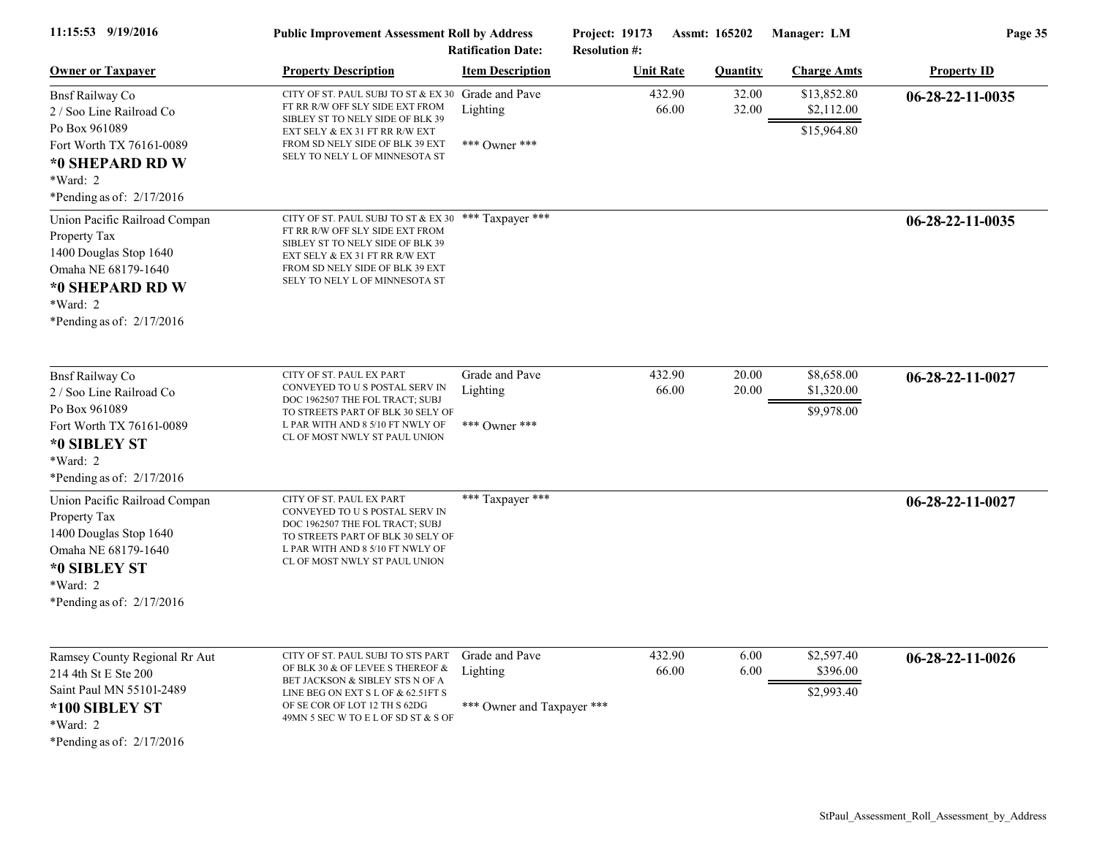| 11:15:53 9/19/2016                                                                                                                                            | <b>Public Improvement Assessment Roll by Address</b><br><b>Ratification Date:</b>                                                                                                                                                  |                                                          | <b>Project: 19173</b><br><b>Assmt: 165202</b><br><b>Resolution #:</b> |                 | Manager: LM     | Page 35                                  |                            |
|---------------------------------------------------------------------------------------------------------------------------------------------------------------|------------------------------------------------------------------------------------------------------------------------------------------------------------------------------------------------------------------------------------|----------------------------------------------------------|-----------------------------------------------------------------------|-----------------|-----------------|------------------------------------------|----------------------------|
| <b>Owner or Taxpayer</b>                                                                                                                                      | <b>Property Description</b>                                                                                                                                                                                                        | <b>Item Description</b>                                  | <b>Unit Rate</b>                                                      |                 | <b>Quantity</b> | <b>Charge Amts</b>                       | <b>Property ID</b>         |
| <b>Bnsf Railway Co</b><br>2 / Soo Line Railroad Co<br>Po Box 961089<br>Fort Worth TX 76161-0089<br>*0 SHEPARD RD W<br>*Ward: 2<br>*Pending as of: $2/17/2016$ | CITY OF ST. PAUL SUBJ TO ST & EX 30<br>FT RR R/W OFF SLY SIDE EXT FROM<br>SIBLEY ST TO NELY SIDE OF BLK 39<br>EXT SELY & EX 31 FT RR R/W EXT<br>FROM SD NELY SIDE OF BLK 39 EXT<br>SELY TO NELY L OF MINNESOTA ST                  | Grade and Pave<br>Lighting<br>*** Owner ***              |                                                                       | 432.90<br>66.00 | 32.00<br>32.00  | \$13,852.80<br>\$2,112.00<br>\$15,964.80 | 06-28-22-11-0035           |
| Union Pacific Railroad Compan<br>Property Tax<br>1400 Douglas Stop 1640<br>Omaha NE 68179-1640<br>*0 SHEPARD RD W<br>*Ward: 2<br>*Pending as of: $2/17/2016$  | CITY OF ST. PAUL SUBJ TO ST & EX 30 *** Taxpayer ***<br>FT RR R/W OFF SLY SIDE EXT FROM<br>SIBLEY ST TO NELY SIDE OF BLK 39<br>EXT SELY & EX 31 FT RR R/W EXT<br>FROM SD NELY SIDE OF BLK 39 EXT<br>SELY TO NELY L OF MINNESOTA ST |                                                          |                                                                       |                 |                 |                                          | $06-28-22-11-0035$         |
| <b>Bnsf Railway Co</b><br>2 / Soo Line Railroad Co<br>Po Box 961089<br>Fort Worth TX 76161-0089<br>*0 SIBLEY ST<br>*Ward: 2<br>*Pending as of: 2/17/2016      | CITY OF ST. PAUL EX PART<br>CONVEYED TO U S POSTAL SERV IN<br>DOC 1962507 THE FOL TRACT; SUBJ<br>TO STREETS PART OF BLK 30 SELY OF<br>L PAR WITH AND 8 5/10 FT NWLY OF<br>CL OF MOST NWLY ST PAUL UNION                            | Grade and Pave<br>Lighting<br>*** Owner ***              |                                                                       | 432.90<br>66.00 | 20.00<br>20.00  | \$8,658.00<br>\$1,320.00<br>\$9,978.00   | $06 - 28 - 22 - 11 - 0027$ |
| Union Pacific Railroad Compan<br>Property Tax<br>1400 Douglas Stop 1640<br>Omaha NE 68179-1640<br>*0 SIBLEY ST<br>*Ward: 2<br>*Pending as of: $2/17/2016$     | CITY OF ST. PAUL EX PART<br>CONVEYED TO U S POSTAL SERV IN<br>DOC 1962507 THE FOL TRACT; SUBJ<br>TO STREETS PART OF BLK 30 SELY OF<br>L PAR WITH AND 8 5/10 FT NWLY OF<br>CL OF MOST NWLY ST PAUL UNION                            | *** Taxpayer ***                                         |                                                                       |                 |                 |                                          | 06-28-22-11-0027           |
| Ramsey County Regional Rr Aut<br>214 4th St E Ste 200<br>Saint Paul MN 55101-2489<br>*100 SIBLEY ST<br>*Ward: 2<br>*Pending as of: 2/17/2016                  | CITY OF ST. PAUL SUBJ TO STS PART<br>OF BLK 30 & OF LEVEE S THEREOF &<br>BET JACKSON & SIBLEY STS N OF A<br>LINE BEG ON EXT S L OF & 62.51FT S<br>OF SE COR OF LOT 12 TH S 62DG<br>49MN 5 SEC W TO E L OF SD ST & S OF             | Grade and Pave<br>Lighting<br>*** Owner and Taxpayer *** |                                                                       | 432.90<br>66.00 | 6.00<br>6.00    | \$2,597.40<br>\$396.00<br>\$2,993.40     | 06-28-22-11-0026           |